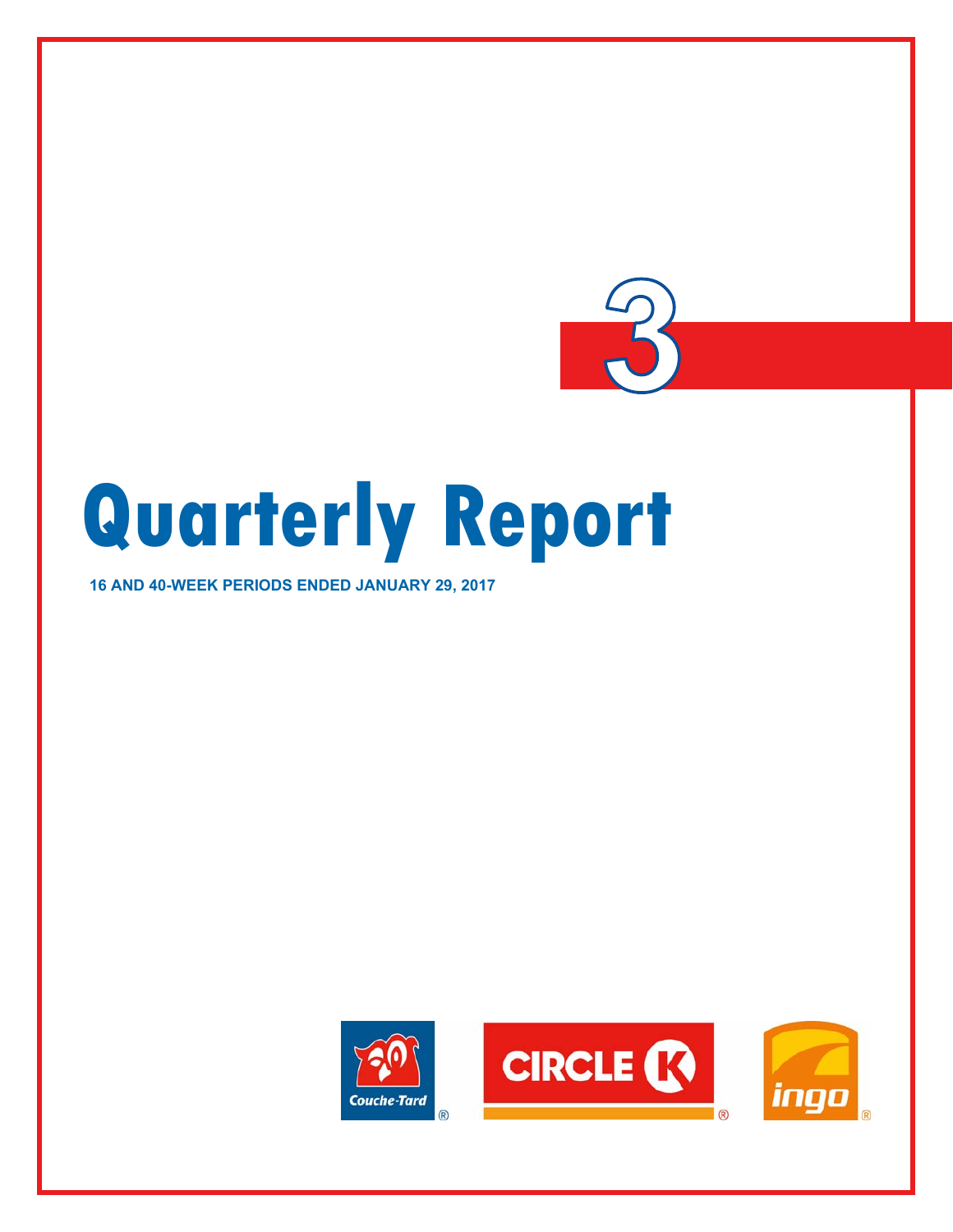

# **Quarterly Report**

## **16 AND 40-WEEK PERIODS ENDED JANUARY 29, 2017**





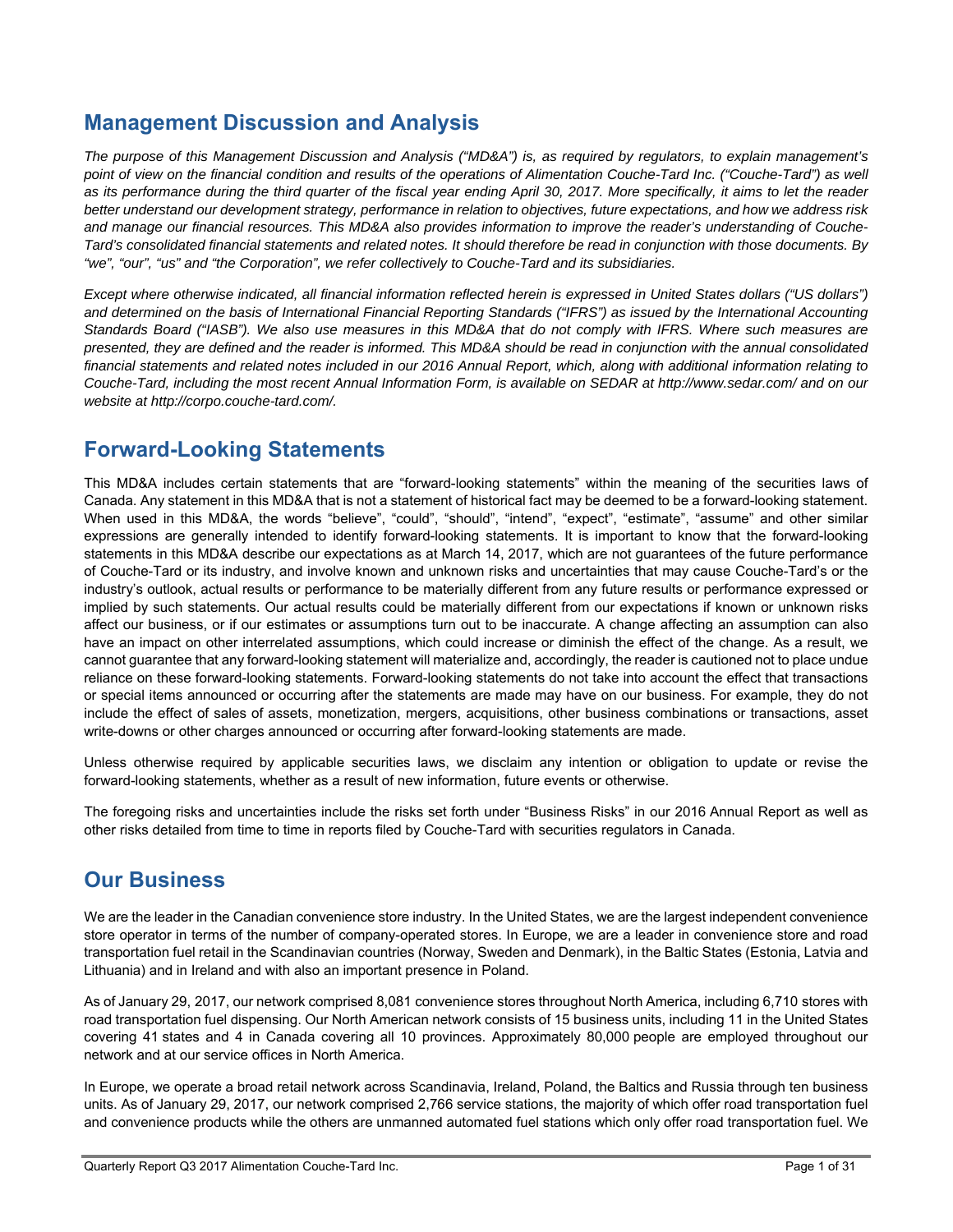# **Management Discussion and Analysis**

*The purpose of this Management Discussion and Analysis ("MD&A") is, as required by regulators, to explain management's point of view on the financial condition and results of the operations of Alimentation Couche-Tard Inc. ("Couche-Tard") as well as its performance during the third quarter of the fiscal year ending April 30, 2017. More specifically, it aims to let the reader better understand our development strategy, performance in relation to objectives, future expectations, and how we address risk and manage our financial resources. This MD&A also provides information to improve the reader's understanding of Couche-Tard's consolidated financial statements and related notes. It should therefore be read in conjunction with those documents. By "we", "our", "us" and "the Corporation", we refer collectively to Couche-Tard and its subsidiaries.* 

*Except where otherwise indicated, all financial information reflected herein is expressed in United States dollars ("US dollars") and determined on the basis of International Financial Reporting Standards ("IFRS") as issued by the International Accounting Standards Board ("IASB"). We also use measures in this MD&A that do not comply with IFRS. Where such measures are presented, they are defined and the reader is informed. This MD&A should be read in conjunction with the annual consolidated financial statements and related notes included in our 2016 Annual Report, which, along with additional information relating to Couche-Tard, including the most recent Annual Information Form, is available on SEDAR at http://www.sedar.com/ and on our website at http://corpo.couche-tard.com/.* 

# **Forward-Looking Statements**

This MD&A includes certain statements that are "forward-looking statements" within the meaning of the securities laws of Canada. Any statement in this MD&A that is not a statement of historical fact may be deemed to be a forward-looking statement. When used in this MD&A, the words "believe", "could", "should", "intend", "expect", "estimate", "assume" and other similar expressions are generally intended to identify forward-looking statements. It is important to know that the forward-looking statements in this MD&A describe our expectations as at March 14, 2017, which are not guarantees of the future performance of Couche-Tard or its industry, and involve known and unknown risks and uncertainties that may cause Couche-Tard's or the industry's outlook, actual results or performance to be materially different from any future results or performance expressed or implied by such statements. Our actual results could be materially different from our expectations if known or unknown risks affect our business, or if our estimates or assumptions turn out to be inaccurate. A change affecting an assumption can also have an impact on other interrelated assumptions, which could increase or diminish the effect of the change. As a result, we cannot guarantee that any forward-looking statement will materialize and, accordingly, the reader is cautioned not to place undue reliance on these forward-looking statements. Forward-looking statements do not take into account the effect that transactions or special items announced or occurring after the statements are made may have on our business. For example, they do not include the effect of sales of assets, monetization, mergers, acquisitions, other business combinations or transactions, asset write-downs or other charges announced or occurring after forward-looking statements are made.

Unless otherwise required by applicable securities laws, we disclaim any intention or obligation to update or revise the forward-looking statements, whether as a result of new information, future events or otherwise.

The foregoing risks and uncertainties include the risks set forth under "Business Risks" in our 2016 Annual Report as well as other risks detailed from time to time in reports filed by Couche-Tard with securities regulators in Canada.

# **Our Business**

We are the leader in the Canadian convenience store industry. In the United States, we are the largest independent convenience store operator in terms of the number of company-operated stores. In Europe, we are a leader in convenience store and road transportation fuel retail in the Scandinavian countries (Norway, Sweden and Denmark), in the Baltic States (Estonia, Latvia and Lithuania) and in Ireland and with also an important presence in Poland.

As of January 29, 2017, our network comprised 8,081 convenience stores throughout North America, including 6,710 stores with road transportation fuel dispensing. Our North American network consists of 15 business units, including 11 in the United States covering 41 states and 4 in Canada covering all 10 provinces. Approximately 80,000 people are employed throughout our network and at our service offices in North America.

In Europe, we operate a broad retail network across Scandinavia, Ireland, Poland, the Baltics and Russia through ten business units. As of January 29, 2017, our network comprised 2,766 service stations, the majority of which offer road transportation fuel and convenience products while the others are unmanned automated fuel stations which only offer road transportation fuel. We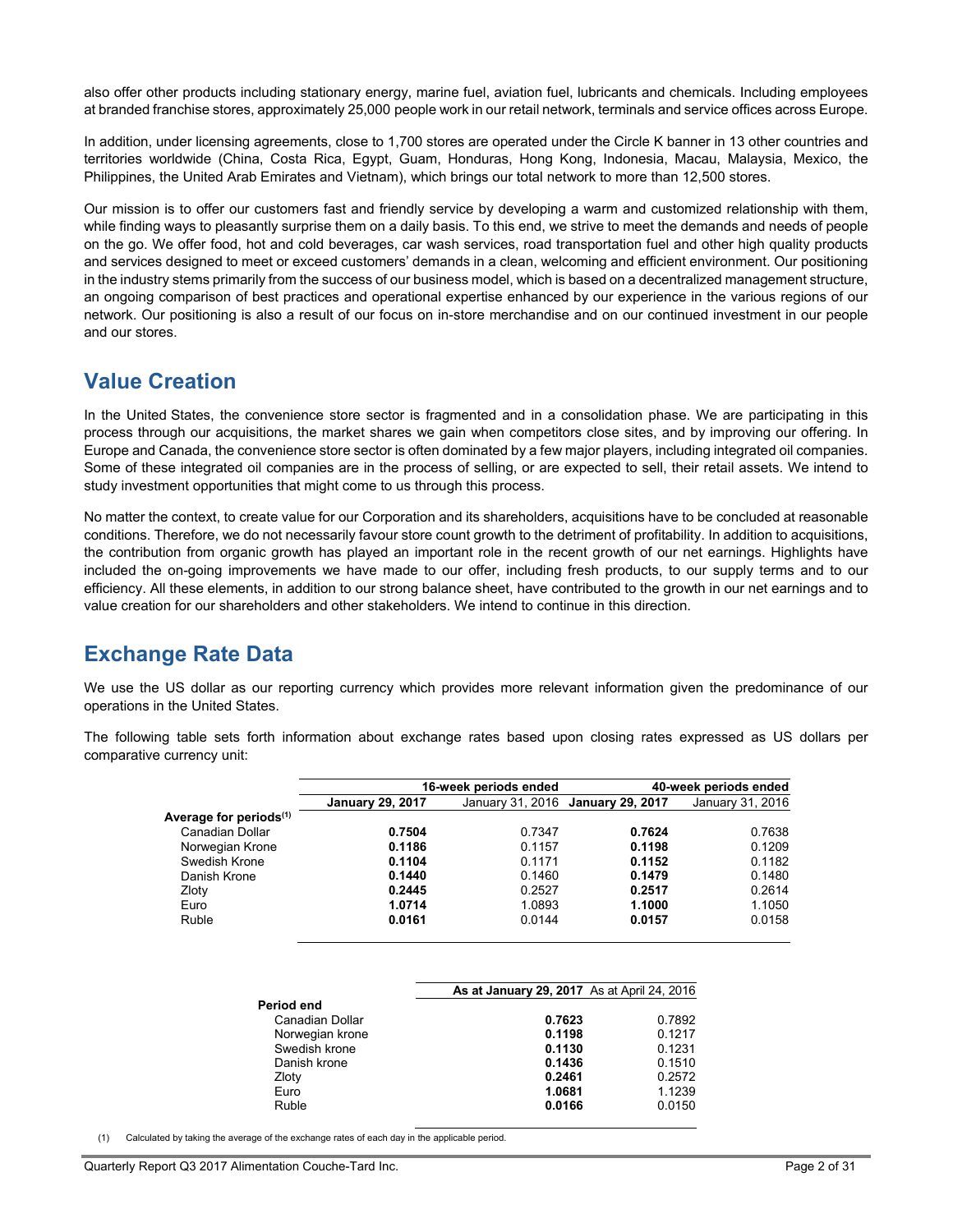also offer other products including stationary energy, marine fuel, aviation fuel, lubricants and chemicals. Including employees at branded franchise stores, approximately 25,000 people work in our retail network, terminals and service offices across Europe.

In addition, under licensing agreements, close to 1,700 stores are operated under the Circle K banner in 13 other countries and territories worldwide (China, Costa Rica, Egypt, Guam, Honduras, Hong Kong, Indonesia, Macau, Malaysia, Mexico, the Philippines, the United Arab Emirates and Vietnam), which brings our total network to more than 12,500 stores.

Our mission is to offer our customers fast and friendly service by developing a warm and customized relationship with them, while finding ways to pleasantly surprise them on a daily basis. To this end, we strive to meet the demands and needs of people on the go. We offer food, hot and cold beverages, car wash services, road transportation fuel and other high quality products and services designed to meet or exceed customers' demands in a clean, welcoming and efficient environment. Our positioning in the industry stems primarily from the success of our business model, which is based on a decentralized management structure, an ongoing comparison of best practices and operational expertise enhanced by our experience in the various regions of our network. Our positioning is also a result of our focus on in-store merchandise and on our continued investment in our people and our stores.

# **Value Creation**

In the United States, the convenience store sector is fragmented and in a consolidation phase. We are participating in this process through our acquisitions, the market shares we gain when competitors close sites, and by improving our offering. In Europe and Canada, the convenience store sector is often dominated by a few major players, including integrated oil companies. Some of these integrated oil companies are in the process of selling, or are expected to sell, their retail assets. We intend to study investment opportunities that might come to us through this process.

No matter the context, to create value for our Corporation and its shareholders, acquisitions have to be concluded at reasonable conditions. Therefore, we do not necessarily favour store count growth to the detriment of profitability. In addition to acquisitions, the contribution from organic growth has played an important role in the recent growth of our net earnings. Highlights have included the on-going improvements we have made to our offer, including fresh products, to our supply terms and to our efficiency. All these elements, in addition to our strong balance sheet, have contributed to the growth in our net earnings and to value creation for our shareholders and other stakeholders. We intend to continue in this direction.

# **Exchange Rate Data**

We use the US dollar as our reporting currency which provides more relevant information given the predominance of our operations in the United States.

The following table sets forth information about exchange rates based upon closing rates expressed as US dollars per comparative currency unit:

|                                    |                         | 16-week periods ended | 40-week periods ended             |                  |  |  |
|------------------------------------|-------------------------|-----------------------|-----------------------------------|------------------|--|--|
|                                    | <b>January 29, 2017</b> |                       | January 31, 2016 January 29, 2017 | January 31, 2016 |  |  |
| Average for periods <sup>(1)</sup> |                         |                       |                                   |                  |  |  |
| Canadian Dollar                    | 0.7504                  | 0.7347                | 0.7624                            | 0.7638           |  |  |
| Norwegian Krone                    | 0.1186                  | 0.1157                | 0.1198                            | 0.1209           |  |  |
| Swedish Krone                      | 0.1104                  | 0.1171                | 0.1152                            | 0.1182           |  |  |
| Danish Krone                       | 0.1440                  | 0.1460                | 0.1479                            | 0.1480           |  |  |
| Zloty                              | 0.2445                  | 0.2527                | 0.2517                            | 0.2614           |  |  |
| Euro                               | 1.0714                  | 1.0893                | 1.1000                            | 1.1050           |  |  |
| Ruble                              | 0.0161                  | 0.0144                | 0.0157                            | 0.0158           |  |  |
|                                    |                         |                       |                                   |                  |  |  |

|                 | As at January 29, 2017 As at April 24, 2016 |        |
|-----------------|---------------------------------------------|--------|
| Period end      |                                             |        |
| Canadian Dollar | 0.7623                                      | 0.7892 |
| Norwegian krone | 0.1198                                      | 0.1217 |
| Swedish krone   | 0.1130                                      | 0.1231 |
| Danish krone    | 0.1436                                      | 0.1510 |
| Zloty           | 0.2461                                      | 0.2572 |
| Euro            | 1.0681                                      | 1.1239 |
| Ruble           | 0.0166                                      | 0.0150 |

(1) Calculated by taking the average of the exchange rates of each day in the applicable period.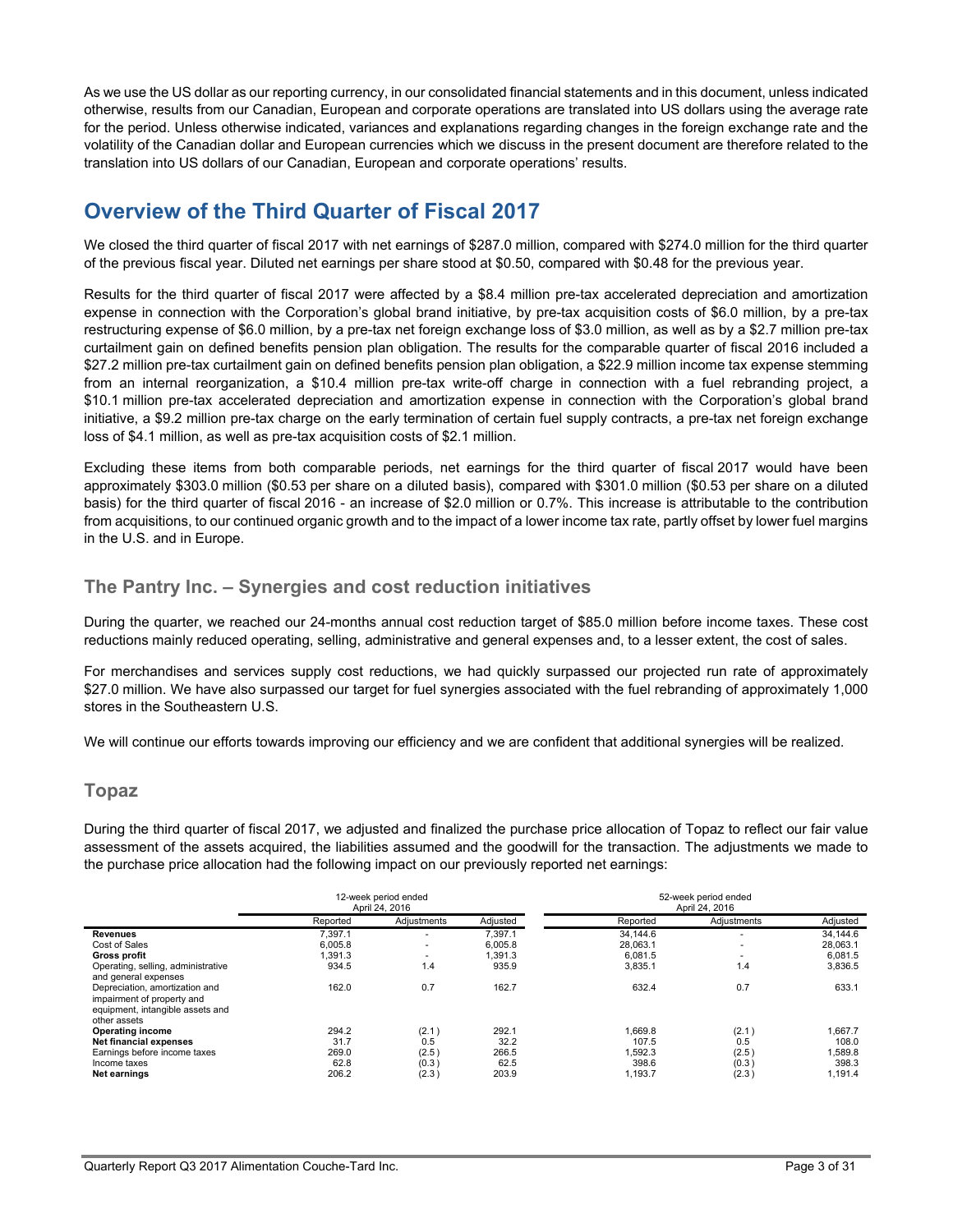As we use the US dollar as our reporting currency, in our consolidated financial statements and in this document, unless indicated otherwise, results from our Canadian, European and corporate operations are translated into US dollars using the average rate for the period. Unless otherwise indicated, variances and explanations regarding changes in the foreign exchange rate and the volatility of the Canadian dollar and European currencies which we discuss in the present document are therefore related to the translation into US dollars of our Canadian, European and corporate operations' results.

# **Overview of the Third Quarter of Fiscal 2017**

We closed the third quarter of fiscal 2017 with net earnings of \$287.0 million, compared with \$274.0 million for the third quarter of the previous fiscal year. Diluted net earnings per share stood at \$0.50, compared with \$0.48 for the previous year.

Results for the third quarter of fiscal 2017 were affected by a \$8.4 million pre-tax accelerated depreciation and amortization expense in connection with the Corporation's global brand initiative, by pre-tax acquisition costs of \$6.0 million, by a pre-tax restructuring expense of \$6.0 million, by a pre-tax net foreign exchange loss of \$3.0 million, as well as by a \$2.7 million pre-tax curtailment gain on defined benefits pension plan obligation. The results for the comparable quarter of fiscal 2016 included a \$27.2 million pre-tax curtailment gain on defined benefits pension plan obligation, a \$22.9 million income tax expense stemming from an internal reorganization, a \$10.4 million pre-tax write-off charge in connection with a fuel rebranding project, a \$10.1 million pre-tax accelerated depreciation and amortization expense in connection with the Corporation's global brand initiative, a \$9.2 million pre-tax charge on the early termination of certain fuel supply contracts, a pre-tax net foreign exchange loss of \$4.1 million, as well as pre-tax acquisition costs of \$2.1 million.

Excluding these items from both comparable periods, net earnings for the third quarter of fiscal 2017 would have been approximately \$303.0 million (\$0.53 per share on a diluted basis), compared with \$301.0 million (\$0.53 per share on a diluted basis) for the third quarter of fiscal 2016 - an increase of \$2.0 million or 0.7%. This increase is attributable to the contribution from acquisitions, to our continued organic growth and to the impact of a lower income tax rate, partly offset by lower fuel margins in the U.S. and in Europe.

# **The Pantry Inc. – Synergies and cost reduction initiatives**

During the quarter, we reached our 24-months annual cost reduction target of \$85.0 million before income taxes. These cost reductions mainly reduced operating, selling, administrative and general expenses and, to a lesser extent, the cost of sales.

For merchandises and services supply cost reductions, we had quickly surpassed our projected run rate of approximately \$27.0 million. We have also surpassed our target for fuel synergies associated with the fuel rebranding of approximately 1,000 stores in the Southeastern U.S.

We will continue our efforts towards improving our efficiency and we are confident that additional synergies will be realized.

# **Topaz**

During the third quarter of fiscal 2017, we adjusted and finalized the purchase price allocation of Topaz to reflect our fair value assessment of the assets acquired, the liabilities assumed and the goodwill for the transaction. The adjustments we made to the purchase price allocation had the following impact on our previously reported net earnings:

|                                                                                                                  |                        | 12-week period ended<br>April 24, 2016 |                        |                             | 52-week period ended<br>April 24, 2016 |                             |
|------------------------------------------------------------------------------------------------------------------|------------------------|----------------------------------------|------------------------|-----------------------------|----------------------------------------|-----------------------------|
|                                                                                                                  | Reported               | Adjustments                            | Adjusted               | Reported                    | Adjustments                            | Adjusted                    |
| <b>Revenues</b>                                                                                                  | 7.397.1                | $\overline{\phantom{a}}$               | 7.397.1                | 34,144.6                    | $\overline{\phantom{a}}$               | 34.144.6                    |
| Cost of Sales                                                                                                    | 6.005.8                | $\overline{\phantom{a}}$               | 6.005.8                | 28,063.1                    | $\overline{\phantom{a}}$               | 28.063.1                    |
| Gross profit                                                                                                     | 1.391.3                | $\overline{\phantom{a}}$               | .391.3                 | 6.081.5                     | $\overline{\phantom{a}}$               | 6.081.5                     |
| Operating, selling, administrative<br>and general expenses                                                       | 934.5                  | 1.4                                    | 935.9                  | 3,835.1                     | 1.4                                    | 3,836.5                     |
| Depreciation, amortization and<br>impairment of property and<br>equipment, intangible assets and<br>other assets | 162.0                  | 0.7                                    | 162.7                  | 632.4                       | 0.7                                    | 633.1                       |
| <b>Operating income</b>                                                                                          | 294.2                  | (2.1)                                  | 292.1                  | 1,669.8                     | (2.1)                                  | 1.667.7                     |
| Net financial expenses                                                                                           | 31.7                   | 0.5                                    | 32.2                   | 107.5                       | 0.5                                    | 108.0                       |
| Earnings before income taxes<br>Income taxes<br>Net earnings                                                     | 269.0<br>62.8<br>206.2 | (2.5)<br>(0.3)<br>(2.3)                | 266.5<br>62.5<br>203.9 | 1,592.3<br>398.6<br>1.193.7 | (2.5)<br>(0.3)<br>(2.3)                | 1.589.8<br>398.3<br>1.191.4 |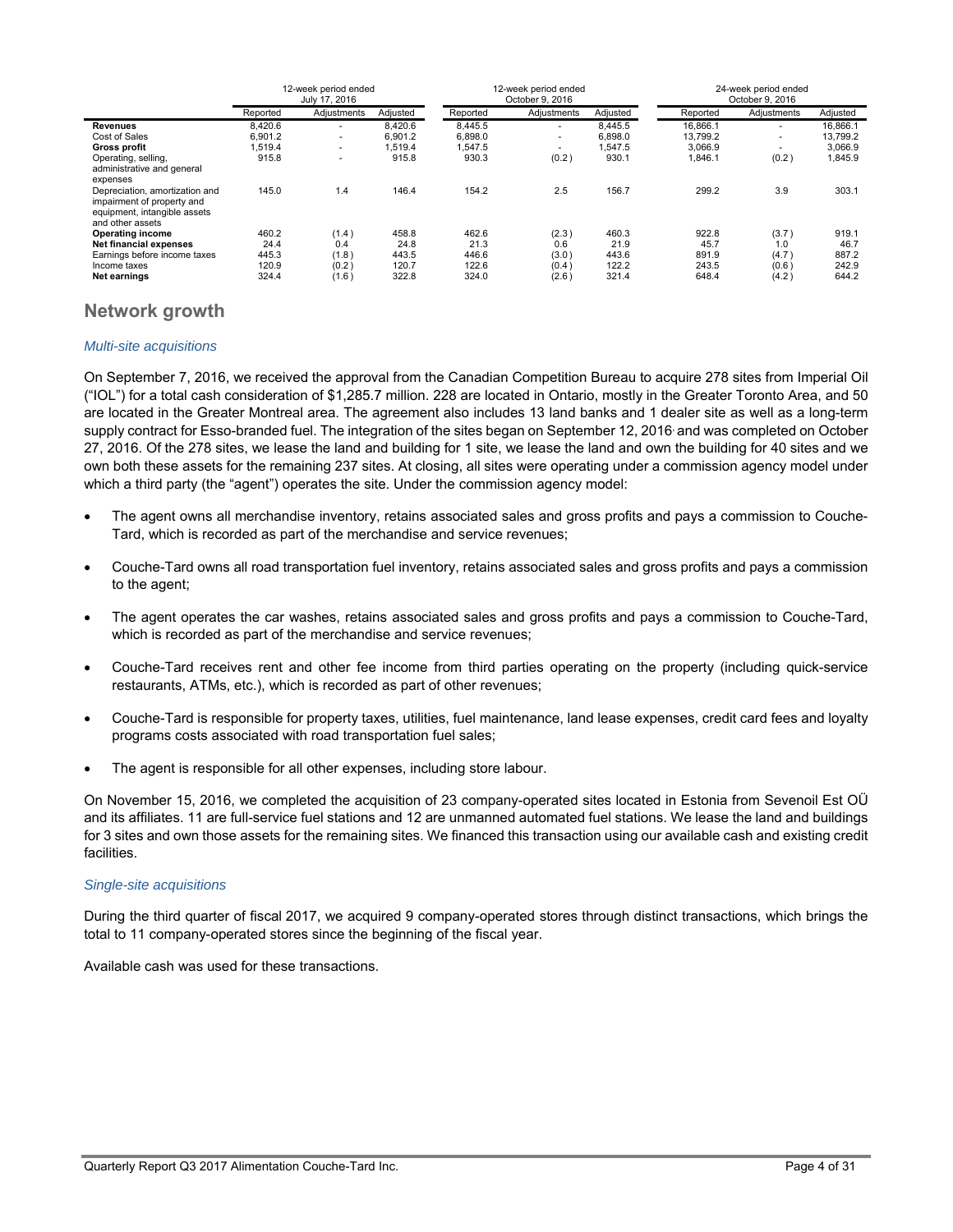|                                |          | 12-week period ended<br>12-week period ended<br>July 17, 2016<br>October 9, 2016 |          |          |                          | 24-week period ended<br>October 9, 2016 |          |             |          |
|--------------------------------|----------|----------------------------------------------------------------------------------|----------|----------|--------------------------|-----------------------------------------|----------|-------------|----------|
|                                | Reported | Adjustments                                                                      | Adjusted | Reported | Adjustments              | Adjusted                                | Reported | Adjustments | Adjusted |
| Revenues                       | 8,420.6  | $\overline{\phantom{a}}$                                                         | 8.420.6  | 8.445.5  | $\sim$                   | 8.445.5                                 | 16.866.1 | ۰           | 16.866.1 |
| Cost of Sales                  | 6,901.2  | $\overline{\phantom{a}}$                                                         | 6.901.2  | 6.898.0  | $\overline{\phantom{a}}$ | 6.898.0                                 | 13.799.2 | ٠           | 13.799.2 |
| <b>Gross profit</b>            | 1.519.4  | $\overline{\phantom{a}}$                                                         | 1.519.4  | 1.547.5  | $\overline{\phantom{a}}$ | 1.547.5                                 | 3.066.9  | ۰           | 3.066.9  |
| Operating, selling,            | 915.8    | $\overline{\phantom{a}}$                                                         | 915.8    | 930.3    | (0.2)                    | 930.1                                   | 1.846.1  | (0.2)       | 1,845.9  |
| administrative and general     |          |                                                                                  |          |          |                          |                                         |          |             |          |
| expenses                       |          |                                                                                  |          |          |                          |                                         |          |             |          |
| Depreciation, amortization and | 145.0    | 1.4                                                                              | 146.4    | 154.2    | 2.5                      | 156.7                                   | 299.2    | 3.9         | 303.1    |
| impairment of property and     |          |                                                                                  |          |          |                          |                                         |          |             |          |
| equipment, intangible assets   |          |                                                                                  |          |          |                          |                                         |          |             |          |
| and other assets               |          |                                                                                  |          |          |                          |                                         |          |             |          |
| <b>Operating income</b>        | 460.2    | (1.4)                                                                            | 458.8    | 462.6    | (2.3)                    | 460.3                                   | 922.8    | (3.7)       | 919.1    |
| Net financial expenses         | 24.4     | 0.4                                                                              | 24.8     | 21.3     | 0.6                      | 21.9                                    | 45.7     | 1.0         | 46.7     |
| Earnings before income taxes   | 445.3    | (1.8)                                                                            | 443.5    | 446.6    | (3.0)                    | 443.6                                   | 891.9    | (4.7)       | 887.2    |
| Income taxes                   | 120.9    | (0.2)                                                                            | 120.7    | 122.6    | (0.4)                    | 122.2                                   | 243.5    | (0.6)       | 242.9    |
| Net earnings                   | 324.4    | (1.6)                                                                            | 322.8    | 324.0    | (2.6)                    | 321.4                                   | 648.4    | (4.2)       | 644.2    |

# **Network growth**

#### *Multi-site acquisitions*

On September 7, 2016, we received the approval from the Canadian Competition Bureau to acquire 278 sites from Imperial Oil ("IOL") for a total cash consideration of \$1,285.7 million. 228 are located in Ontario, mostly in the Greater Toronto Area, and 50 are located in the Greater Montreal area. The agreement also includes 13 land banks and 1 dealer site as well as a long-term supply contract for Esso-branded fuel. The integration of the sites began on September 12, 2016 and was completed on October 27, 2016. Of the 278 sites, we lease the land and building for 1 site, we lease the land and own the building for 40 sites and we own both these assets for the remaining 237 sites. At closing, all sites were operating under a commission agency model under which a third party (the "agent") operates the site. Under the commission agency model:

- The agent owns all merchandise inventory, retains associated sales and gross profits and pays a commission to Couche-Tard, which is recorded as part of the merchandise and service revenues;
- Couche-Tard owns all road transportation fuel inventory, retains associated sales and gross profits and pays a commission to the agent;
- The agent operates the car washes, retains associated sales and gross profits and pays a commission to Couche-Tard, which is recorded as part of the merchandise and service revenues;
- Couche-Tard receives rent and other fee income from third parties operating on the property (including quick-service restaurants, ATMs, etc.), which is recorded as part of other revenues;
- Couche-Tard is responsible for property taxes, utilities, fuel maintenance, land lease expenses, credit card fees and loyalty programs costs associated with road transportation fuel sales;
- The agent is responsible for all other expenses, including store labour.

On November 15, 2016, we completed the acquisition of 23 company-operated sites located in Estonia from Sevenoil Est OÜ and its affiliates. 11 are full-service fuel stations and 12 are unmanned automated fuel stations. We lease the land and buildings for 3 sites and own those assets for the remaining sites. We financed this transaction using our available cash and existing credit facilities.

#### *Single-site acquisitions*

During the third quarter of fiscal 2017, we acquired 9 company-operated stores through distinct transactions, which brings the total to 11 company-operated stores since the beginning of the fiscal year.

Available cash was used for these transactions.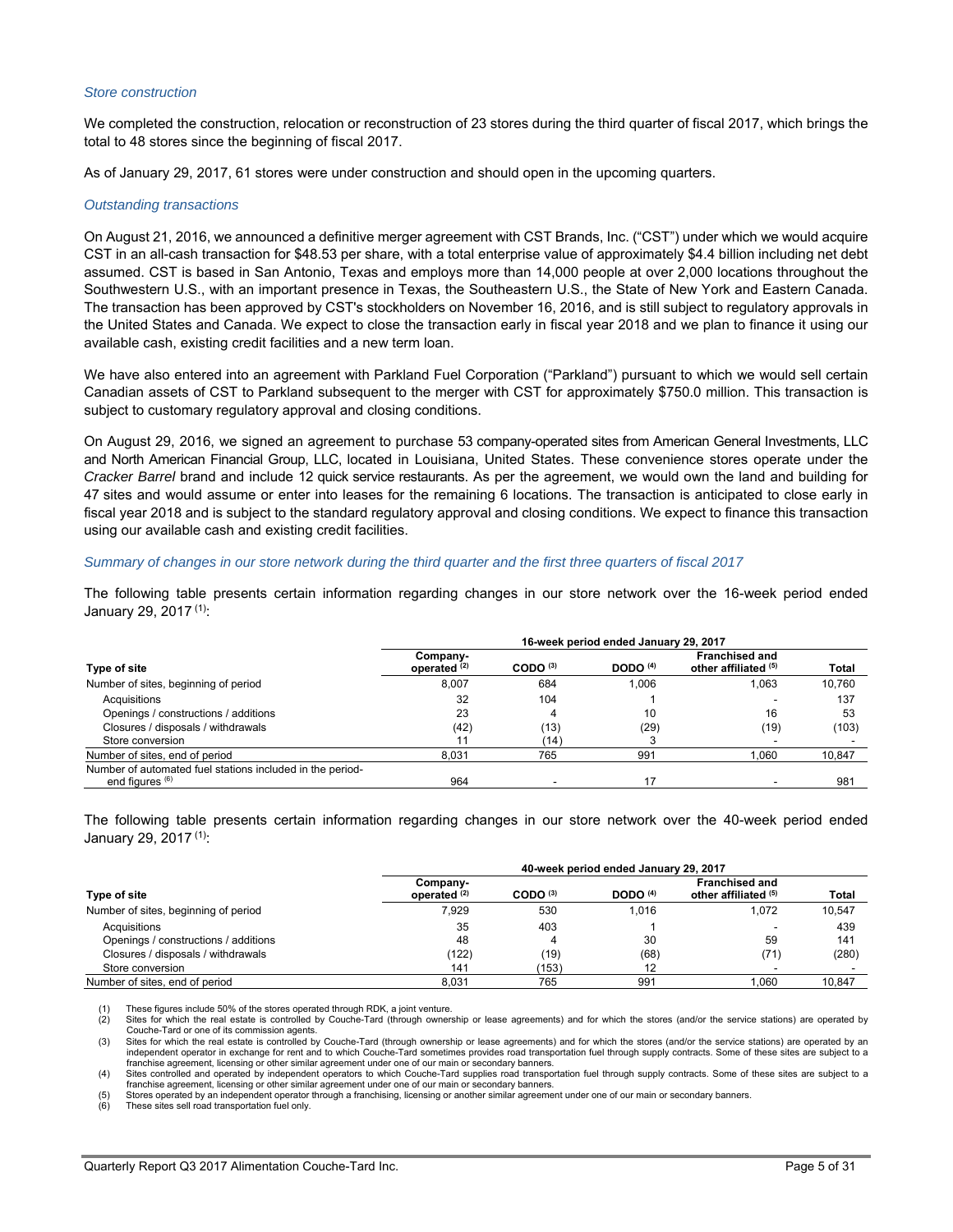#### *Store construction*

We completed the construction, relocation or reconstruction of 23 stores during the third quarter of fiscal 2017, which brings the total to 48 stores since the beginning of fiscal 2017.

As of January 29, 2017, 61 stores were under construction and should open in the upcoming quarters.

#### *Outstanding transactions*

On August 21, 2016, we announced a definitive merger agreement with CST Brands, Inc. ("CST") under which we would acquire CST in an all-cash transaction for \$48.53 per share, with a total enterprise value of approximately \$4.4 billion including net debt assumed. CST is based in San Antonio, Texas and employs more than 14,000 people at over 2,000 locations throughout the Southwestern U.S., with an important presence in Texas, the Southeastern U.S., the State of New York and Eastern Canada. The transaction has been approved by CST's stockholders on November 16, 2016, and is still subject to regulatory approvals in the United States and Canada. We expect to close the transaction early in fiscal year 2018 and we plan to finance it using our available cash, existing credit facilities and a new term loan.

We have also entered into an agreement with Parkland Fuel Corporation ("Parkland") pursuant to which we would sell certain Canadian assets of CST to Parkland subsequent to the merger with CST for approximately \$750.0 million. This transaction is subject to customary regulatory approval and closing conditions.

On August 29, 2016, we signed an agreement to purchase 53 company-operated sites from American General Investments, LLC and North American Financial Group, LLC, located in Louisiana, United States. These convenience stores operate under the *Cracker Barrel* brand and include 12 quick service restaurants. As per the agreement, we would own the land and building for 47 sites and would assume or enter into leases for the remaining 6 locations. The transaction is anticipated to close early in fiscal year 2018 and is subject to the standard regulatory approval and closing conditions. We expect to finance this transaction using our available cash and existing credit facilities.

#### *Summary of changes in our store network during the third quarter and the first three quarters of fiscal 2017*

The following table presents certain information regarding changes in our store network over the 16-week period ended January 29, 2017 (1):

|                                                           | 16-week period ended January 29, 2017 |                     |            |                                               |        |  |  |
|-----------------------------------------------------------|---------------------------------------|---------------------|------------|-----------------------------------------------|--------|--|--|
| <b>Type of site</b>                                       | Company-<br>operated <sup>(2)</sup>   | CODO <sup>(3)</sup> | DODO $(4)$ | <b>Franchised and</b><br>other affiliated (5) | Total  |  |  |
| Number of sites, beginning of period                      | 8.007                                 | 684                 | 1.006      | 1.063                                         | 10.760 |  |  |
| Acquisitions                                              | 32                                    | 104                 |            |                                               | 137    |  |  |
| Openings / constructions / additions                      | 23                                    | 4                   | 10         | 16                                            | 53     |  |  |
| Closures / disposals / withdrawals                        | (42)                                  | (13)                | (29)       | (19)                                          | (103)  |  |  |
| Store conversion                                          |                                       | (14)                |            |                                               |        |  |  |
| Number of sites, end of period                            | 8.031                                 | 765                 | 991        | 1.060                                         | 10.847 |  |  |
| Number of automated fuel stations included in the period- |                                       |                     |            |                                               |        |  |  |
| end figures $(6)$                                         | 964                                   |                     |            |                                               | 981    |  |  |

The following table presents certain information regarding changes in our store network over the 40-week period ended January 29, 2017 (1):

|                                      |                                     | 40-week period ended January 29, 2017 |            |                                               |              |  |  |  |
|--------------------------------------|-------------------------------------|---------------------------------------|------------|-----------------------------------------------|--------------|--|--|--|
| Type of site                         | Company-<br>operated <sup>(2)</sup> | CODO <sup>(3)</sup>                   | DODO $(4)$ | <b>Franchised and</b><br>other affiliated (5) | <b>Total</b> |  |  |  |
| Number of sites, beginning of period | 7.929                               | 530                                   | 1.016      | 1.072                                         | 10,547       |  |  |  |
| Acquisitions                         | 35                                  | 403                                   |            |                                               | 439          |  |  |  |
| Openings / constructions / additions | 48                                  |                                       | 30         | 59                                            | 141          |  |  |  |
| Closures / disposals / withdrawals   | (122)                               | (19)                                  | (68)       | (71)                                          | (280)        |  |  |  |
| Store conversion                     | 141                                 | (153)                                 | 12         |                                               |              |  |  |  |
| Number of sites, end of period       | 8.031                               | 765                                   | 991        | 1.060                                         | 10.847       |  |  |  |

These figures include 50% of the stores operated through RDK, a joint venture.

(2) Sites for which the real estate is controlled by Couche-Tard (through ownership or lease agreements) and for which the stores (and/or the service stations) are operated by Couche-Tard or one of its commission agents.

(3) Sites for which the real estate is controlled by Couche-Tard (through ownership or lease agreements) and for which the stores (and/or the service stations) are operated by an independent operator in exchange for rent and to which Couche-Tard sometimes provides road transportation fuel through supply contracts. Some of these sites are subject to a franchise agreement, licensing or other similar agreement under one of our main or secondary banners.

(4) Sites controlled and operated by independent operators to which Couche-Tard supplies road transportation fuel through supply contracts. Some of these sites are subject to a franchise agreement, licensing or other similar agreement under one of our main or secondary banners.

Stores operated by an independent operator through a franchising, licensing or another similar agreement under one of our main or secondary banners.

(6) These sites sell road transportation fuel only.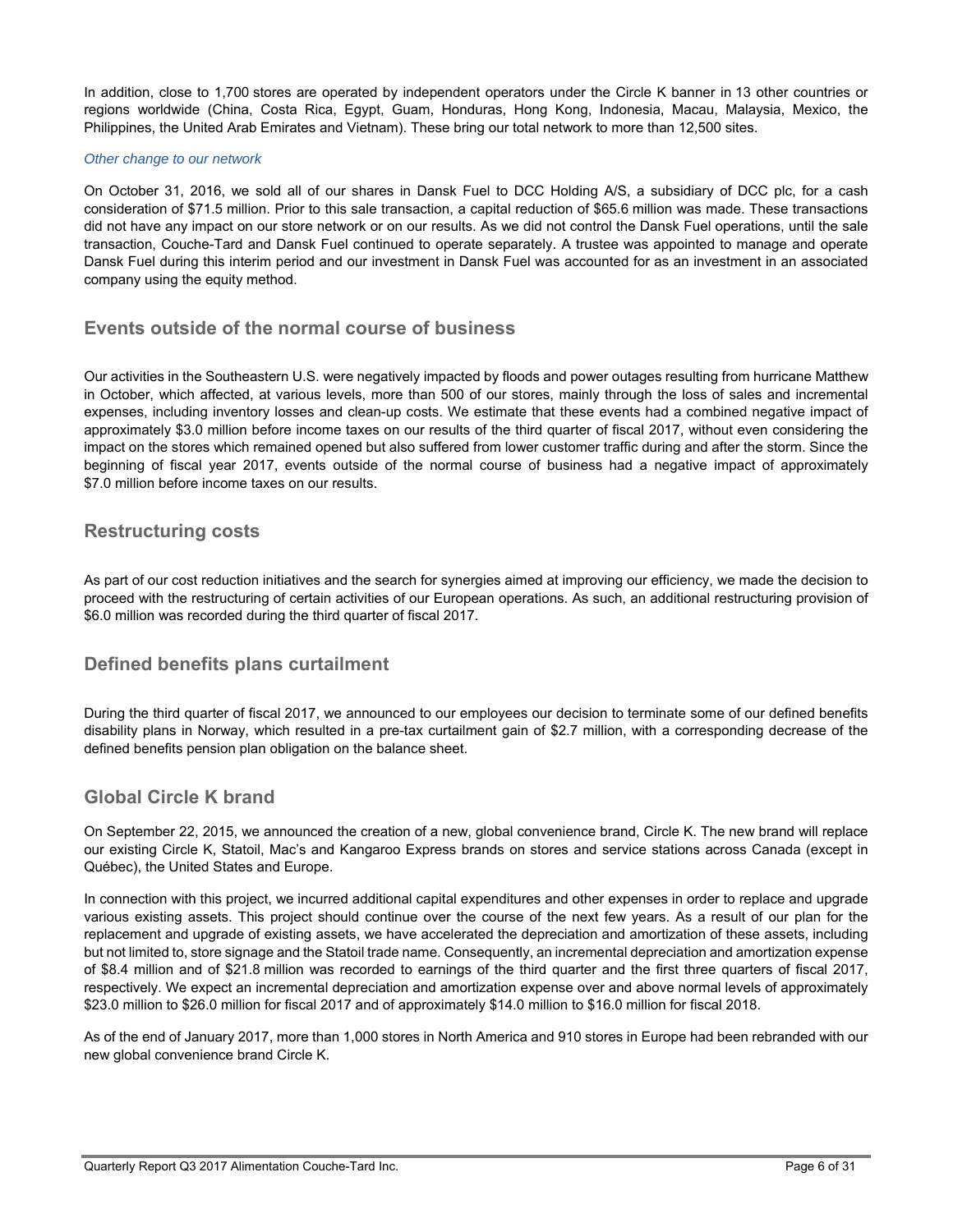In addition, close to 1,700 stores are operated by independent operators under the Circle K banner in 13 other countries or regions worldwide (China, Costa Rica, Egypt, Guam, Honduras, Hong Kong, Indonesia, Macau, Malaysia, Mexico, the Philippines, the United Arab Emirates and Vietnam). These bring our total network to more than 12,500 sites.

#### *Other change to our network*

On October 31, 2016, we sold all of our shares in Dansk Fuel to DCC Holding A/S, a subsidiary of DCC plc, for a cash consideration of \$71.5 million. Prior to this sale transaction, a capital reduction of \$65.6 million was made. These transactions did not have any impact on our store network or on our results. As we did not control the Dansk Fuel operations, until the sale transaction, Couche-Tard and Dansk Fuel continued to operate separately. A trustee was appointed to manage and operate Dansk Fuel during this interim period and our investment in Dansk Fuel was accounted for as an investment in an associated company using the equity method.

# **Events outside of the normal course of business**

Our activities in the Southeastern U.S. were negatively impacted by floods and power outages resulting from hurricane Matthew in October, which affected, at various levels, more than 500 of our stores, mainly through the loss of sales and incremental expenses, including inventory losses and clean-up costs. We estimate that these events had a combined negative impact of approximately \$3.0 million before income taxes on our results of the third quarter of fiscal 2017, without even considering the impact on the stores which remained opened but also suffered from lower customer traffic during and after the storm. Since the beginning of fiscal year 2017, events outside of the normal course of business had a negative impact of approximately \$7.0 million before income taxes on our results.

# **Restructuring costs**

As part of our cost reduction initiatives and the search for synergies aimed at improving our efficiency, we made the decision to proceed with the restructuring of certain activities of our European operations. As such, an additional restructuring provision of \$6.0 million was recorded during the third quarter of fiscal 2017.

## **Defined benefits plans curtailment**

During the third quarter of fiscal 2017, we announced to our employees our decision to terminate some of our defined benefits disability plans in Norway, which resulted in a pre-tax curtailment gain of \$2.7 million, with a corresponding decrease of the defined benefits pension plan obligation on the balance sheet.

# **Global Circle K brand**

On September 22, 2015, we announced the creation of a new, global convenience brand, Circle K. The new brand will replace our existing Circle K, Statoil, Mac's and Kangaroo Express brands on stores and service stations across Canada (except in Québec), the United States and Europe.

In connection with this project, we incurred additional capital expenditures and other expenses in order to replace and upgrade various existing assets. This project should continue over the course of the next few years. As a result of our plan for the replacement and upgrade of existing assets, we have accelerated the depreciation and amortization of these assets, including but not limited to, store signage and the Statoil trade name. Consequently, an incremental depreciation and amortization expense of \$8.4 million and of \$21.8 million was recorded to earnings of the third quarter and the first three quarters of fiscal 2017, respectively. We expect an incremental depreciation and amortization expense over and above normal levels of approximately \$23.0 million to \$26.0 million for fiscal 2017 and of approximately \$14.0 million to \$16.0 million for fiscal 2018.

As of the end of January 2017, more than 1,000 stores in North America and 910 stores in Europe had been rebranded with our new global convenience brand Circle K.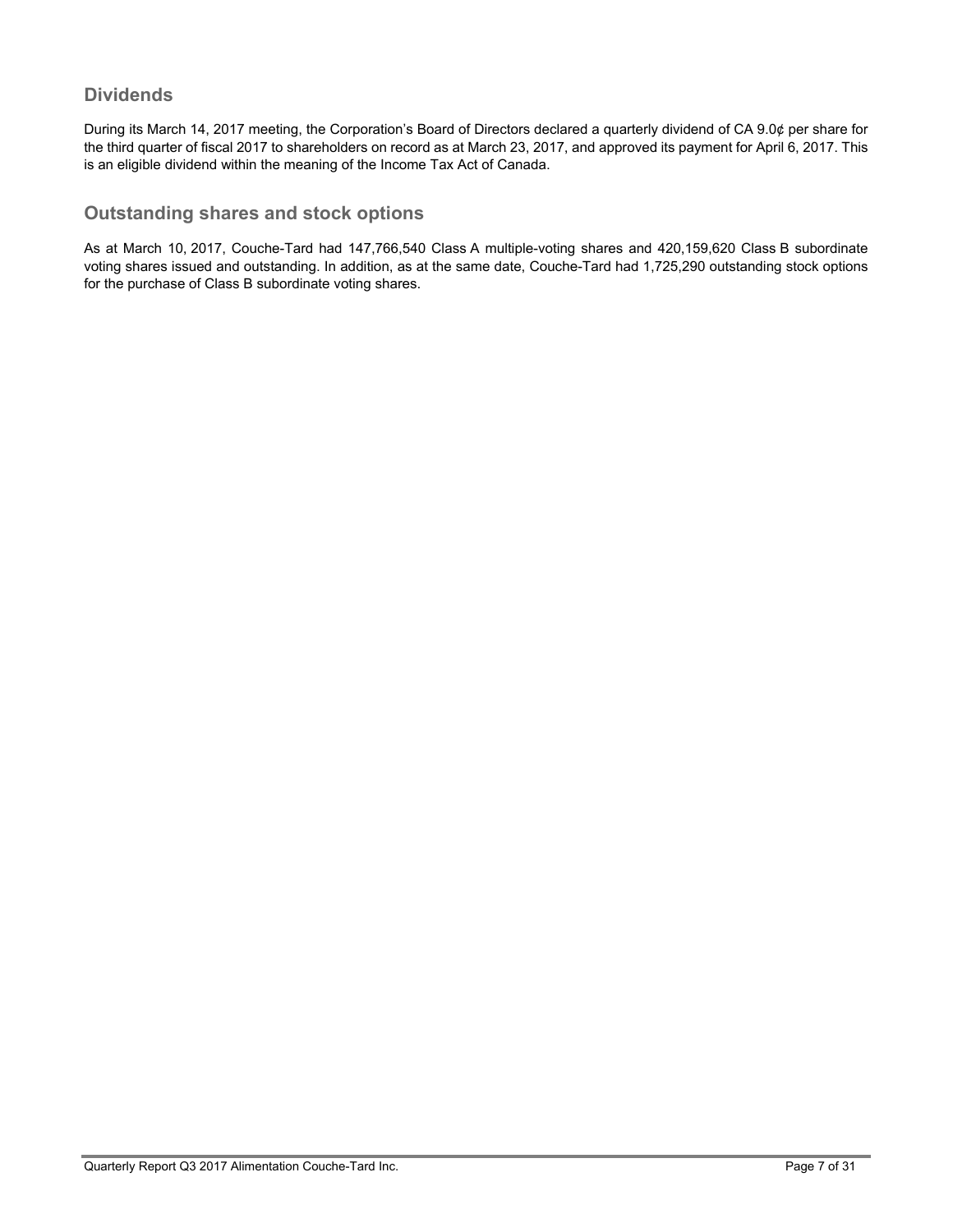# **Dividends**

During its March 14, 2017 meeting, the Corporation's Board of Directors declared a quarterly dividend of CA 9.0¢ per share for the third quarter of fiscal 2017 to shareholders on record as at March 23, 2017, and approved its payment for April 6, 2017. This is an eligible dividend within the meaning of the Income Tax Act of Canada.

# **Outstanding shares and stock options**

As at March 10, 2017, Couche-Tard had 147,766,540 Class A multiple-voting shares and 420,159,620 Class B subordinate voting shares issued and outstanding. In addition, as at the same date, Couche-Tard had 1,725,290 outstanding stock options for the purchase of Class B subordinate voting shares.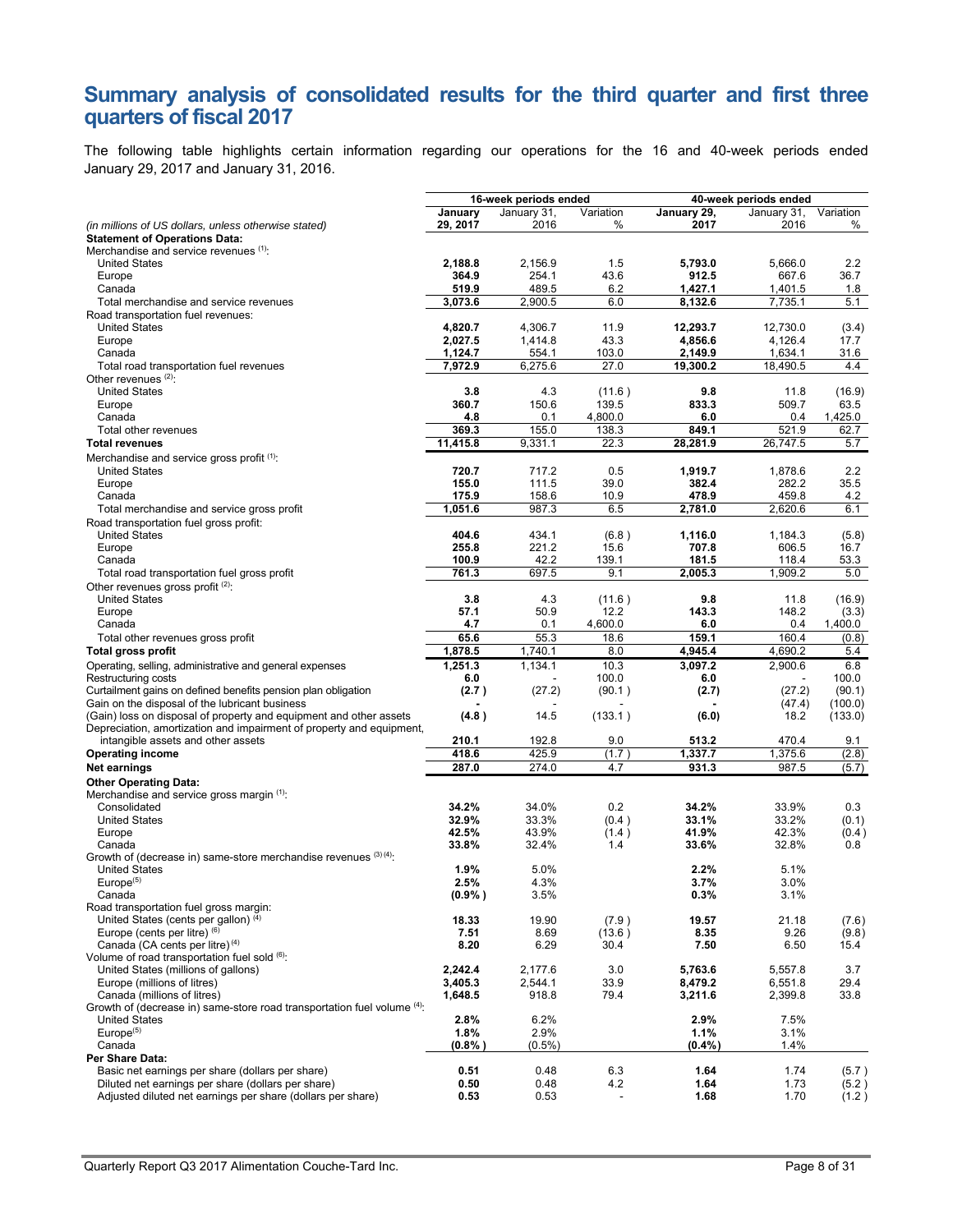# **Summary analysis of consolidated results for the third quarter and first three quarters of fiscal 2017**

The following table highlights certain information regarding our operations for the 16 and 40-week periods ended January 29, 2017 and January 31, 2016.

|                                                                                                                                            |                | 16-week periods ended |                 |                  | 40-week periods ended |                |
|--------------------------------------------------------------------------------------------------------------------------------------------|----------------|-----------------------|-----------------|------------------|-----------------------|----------------|
|                                                                                                                                            | January        | January 31,           | Variation       | January 29,      | January 31,           | Variation      |
| (in millions of US dollars, unless otherwise stated)                                                                                       | 29, 2017       | 2016                  | %               | 2017             | 2016                  | %              |
| <b>Statement of Operations Data:</b>                                                                                                       |                |                       |                 |                  |                       |                |
| Merchandise and service revenues (1):<br><b>United States</b>                                                                              | 2,188.8        | 2,156.9               | 1.5             | 5,793.0          | 5.666.0               | 2.2            |
| Europe                                                                                                                                     | 364.9          | 254.1                 | 43.6            | 912.5            | 667.6                 | 36.7           |
| Canada                                                                                                                                     | 519.9          | 489.5                 | 6.2             | 1,427.1          | 1,401.5               | 1.8            |
| Total merchandise and service revenues                                                                                                     | 3,073.6        | 2,900.5               | 6.0             | 8,132.6          | 7,735.1               | 5.1            |
| Road transportation fuel revenues:                                                                                                         |                |                       |                 |                  |                       |                |
| <b>United States</b>                                                                                                                       | 4,820.7        | 4,306.7               | 11.9            | 12,293.7         | 12,730.0              | (3.4)          |
| Europe                                                                                                                                     | 2,027.5        | 1,414.8               | 43.3            | 4,856.6          | 4,126.4               | 17.7           |
| Canada                                                                                                                                     | 1.124.7        | 554.1                 | 103.0           | 2,149.9          | 1,634.1               | 31.6           |
| Total road transportation fuel revenues                                                                                                    | 7,972.9        | 6,275.6               | 27.0            | 19,300.2         | 18,490.5              | 4.4            |
| Other revenues (2):<br><b>United States</b>                                                                                                |                |                       |                 |                  |                       |                |
| Europe                                                                                                                                     | 3.8<br>360.7   | 4.3<br>150.6          | (11.6)<br>139.5 | 9.8<br>833.3     | 11.8<br>509.7         | (16.9)<br>63.5 |
| Canada                                                                                                                                     | 4.8            | 0.1                   | 4,800.0         | 6.0              | 0.4                   | 1,425.0        |
| Total other revenues                                                                                                                       | 369.3          | 155.0                 | 138.3           | 849.1            | 521.9                 | 62.7           |
| <b>Total revenues</b>                                                                                                                      | 11,415.8       | 9,331.1               | 22.3            | 28,281.9         | 26,747.5              | 5.7            |
| Merchandise and service gross profit (1):                                                                                                  |                |                       |                 |                  |                       |                |
| <b>United States</b>                                                                                                                       | 720.7          | 717.2                 | 0.5             | 1,919.7          | 1,878.6               | 2.2            |
| Europe                                                                                                                                     | 155.0          | 111.5                 | 39.0            | 382.4            | 282.2                 | 35.5           |
| Canada                                                                                                                                     | 175.9          | 158.6                 | 10.9            | 478.9            | 459.8                 | 4.2            |
| Total merchandise and service gross profit                                                                                                 | 1,051.6        | 987.3                 | 6.5             | 2,781.0          | 2,620.6               | 6.1            |
| Road transportation fuel gross profit:                                                                                                     |                |                       |                 |                  |                       |                |
| <b>United States</b>                                                                                                                       | 404.6          | 434.1                 | (6.8)           | 1,116.0          | 1,184.3               | (5.8)          |
| Europe                                                                                                                                     | 255.8          | 221.2                 | 15.6            | 707.8            | 606.5                 | 16.7           |
| Canada                                                                                                                                     | 100.9<br>761.3 | 42.2<br>697.5         | 139.1<br>9.1    | 181.5<br>2.005.3 | 118.4<br>1,909.2      | 53.3<br>5.0    |
| Total road transportation fuel gross profit<br>Other revenues gross profit (2):                                                            |                |                       |                 |                  |                       |                |
| <b>United States</b>                                                                                                                       | 3.8            | 4.3                   | (11.6)          | 9.8              | 11.8                  | (16.9)         |
| Europe                                                                                                                                     | 57.1           | 50.9                  | 12.2            | 143.3            | 148.2                 | (3.3)          |
| Canada                                                                                                                                     | 4.7            | 0.1                   | 4,600.0         | 6.0              | 0.4                   | 1,400.0        |
| Total other revenues gross profit                                                                                                          | 65.6           | 55.3                  | 18.6            | 159.1            | 160.4                 | (0.8)          |
| <b>Total gross profit</b>                                                                                                                  | 1,878.5        | 1,740.1               | 8.0             | 4,945.4          | 4,690.2               | 5.4            |
| Operating, selling, administrative and general expenses                                                                                    | 1,251.3        | 1,134.1               | 10.3            | 3,097.2          | 2,900.6               | 6.8            |
| Restructuring costs                                                                                                                        | 6.0            |                       | 100.0           | 6.0              |                       | 100.0          |
| Curtailment gains on defined benefits pension plan obligation                                                                              | (2.7)          | (27.2)                | (90.1)          | (2.7)            | (27.2)                | (90.1)         |
| Gain on the disposal of the lubricant business                                                                                             |                |                       |                 |                  | (47.4)                | (100.0)        |
| (Gain) loss on disposal of property and equipment and other assets<br>Depreciation, amortization and impairment of property and equipment, | (4.8)          | 14.5                  | (133.1)         | (6.0)            | 18.2                  | (133.0)        |
| intangible assets and other assets                                                                                                         | 210.1          | 192.8                 | 9.0             | 513.2            | 470.4                 | 9.1            |
| <b>Operating income</b>                                                                                                                    | 418.6          | 425.9                 | (1.7)           | 1,337.7          | 1,375.6               | (2.8)          |
| <b>Net earnings</b>                                                                                                                        | 287.0          | 274.0                 | 4.7             | 931.3            | 987.5                 | (5.7)          |
| <b>Other Operating Data:</b>                                                                                                               |                |                       |                 |                  |                       |                |
| Merchandise and service gross margin (1):                                                                                                  |                |                       |                 |                  |                       |                |
| Consolidated                                                                                                                               | 34.2%          | 34.0%                 | 0.2             | 34.2%            | 33.9%                 | 0.3            |
| <b>United States</b>                                                                                                                       | 32.9%          | 33.3%                 | (0.4)           | 33.1%            | 33.2%                 | (0.1)          |
| Europe                                                                                                                                     | 42.5%          | 43.9%                 | (1.4)           | 41.9%            | 42.3%                 | (0.4)          |
| Canada                                                                                                                                     | 33.8%          | 32.4%                 | 1.4             | 33.6%            | 32.8%                 | 0.8            |
| Growth of (decrease in) same-store merchandise revenues $(3)(4)$ .<br><b>United States</b>                                                 | 1.9%           | 5.0%                  |                 | 2.2%             | 5.1%                  |                |
| Europe <sup>(5)</sup>                                                                                                                      | 2.5%           | 4.3%                  |                 | 3.7%             | 3.0%                  |                |
| Canada                                                                                                                                     | $(0.9\% )$     | 3.5%                  |                 | 0.3%             | 3.1%                  |                |
| Road transportation fuel gross margin:                                                                                                     |                |                       |                 |                  |                       |                |
| United States (cents per gallon) (4)                                                                                                       | 18.33          | 19.90                 | (7.9)           | 19.57            | 21.18                 | (7.6)          |
| Europe (cents per litre) (6)                                                                                                               | 7.51           | 8.69                  | (13.6)          | 8.35             | 9.26                  | (9.8)          |
| Canada (CA cents per litre) <sup>(4)</sup><br>Volume of road transportation fuel sold (6):                                                 | 8.20           | 6.29                  | 30.4            | 7.50             | 6.50                  | 15.4           |
| United States (millions of gallons)                                                                                                        | 2.242.4        | 2,177.6               | 3.0             | 5,763.6          | 5,557.8               | 3.7            |
| Europe (millions of litres)                                                                                                                | 3,405.3        | 2,544.1               | 33.9            | 8,479.2          | 6,551.8               | 29.4           |
| Canada (millions of litres)                                                                                                                | 1,648.5        | 918.8                 | 79.4            | 3,211.6          | 2,399.8               | 33.8           |
| Growth of (decrease in) same-store road transportation fuel volume (4):                                                                    |                |                       |                 |                  |                       |                |
| <b>United States</b>                                                                                                                       | 2.8%           | 6.2%                  |                 | 2.9%             | 7.5%                  |                |
| Europe <sup>(5)</sup>                                                                                                                      | 1.8%           | 2.9%                  |                 | 1.1%             | 3.1%                  |                |
| Canada                                                                                                                                     | $(0.8\% )$     | $(0.5\%)$             |                 | $(0.4\%)$        | 1.4%                  |                |
| Per Share Data:                                                                                                                            |                |                       |                 |                  |                       |                |
| Basic net earnings per share (dollars per share)<br>Diluted net earnings per share (dollars per share)                                     | 0.51<br>0.50   | 0.48<br>0.48          | 6.3<br>4.2      | 1.64<br>1.64     | 1.74<br>1.73          | (5.7)<br>(5.2) |
| Adjusted diluted net earnings per share (dollars per share)                                                                                | 0.53           | 0.53                  | $\sim$          | 1.68             | 1.70                  | (1.2)          |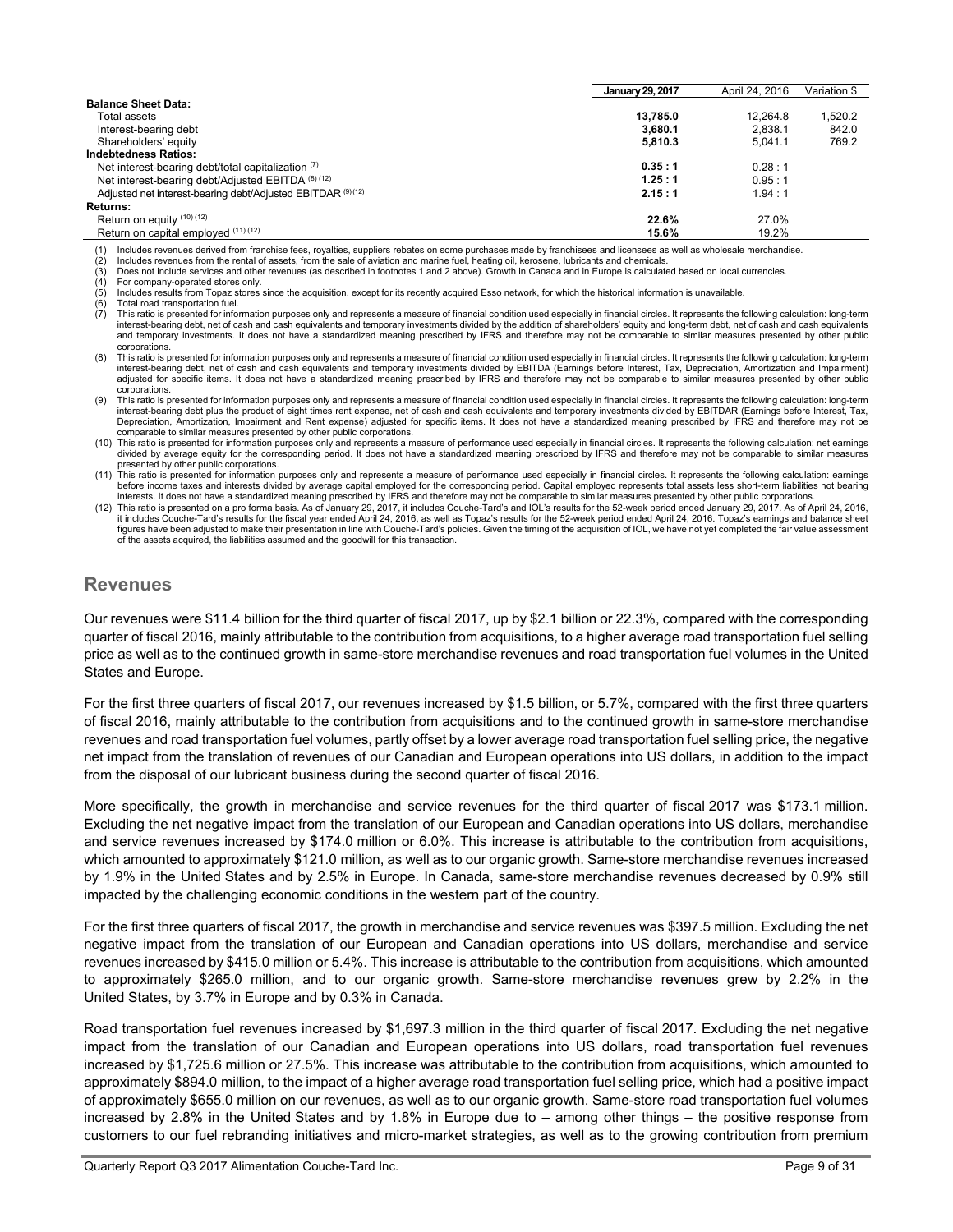|                                                             | January 29, 2017 | April 24, 2016 | Variation \$ |
|-------------------------------------------------------------|------------------|----------------|--------------|
| <b>Balance Sheet Data:</b>                                  |                  |                |              |
| Total assets                                                | 13.785.0         | 12.264.8       | 1.520.2      |
| Interest-bearing debt                                       | 3.680.1          | 2.838.1        | 842.0        |
| Shareholders' equity                                        | 5,810.3          | 5.041.1        | 769.2        |
| <b>Indebtedness Ratios:</b>                                 |                  |                |              |
| Net interest-bearing debt/total capitalization (7)          | 0.35:1           | 0.28:1         |              |
| Net interest-bearing debt/Adjusted EBITDA (8) (12)          | 1.25:1           | 0.95:1         |              |
| Adjusted net interest-bearing debt/Adjusted EBITDAR (9)(12) | 2.15:1           | 1.94:1         |              |
| <b>Returns:</b>                                             |                  |                |              |
| Return on equity $(10)(12)$                                 | 22.6%            | 27.0%          |              |
| Return on capital employed (11) (12)                        | 15.6%            | 19.2%          |              |

(1) Includes revenues derived from franchise fees, royalties, suppliers rebates on some purchases made by franchisees and licensees as well as wholesale merchandise.<br>(2) Includes revenues from the rental of assets, from th

Includes revenues from the rental of assets, from the sale of aviation and marine fuel, heating oil, kerosene, lubricants and chemicals

(3) Does not include services and other revenues (as described in footnotes 1 and 2 above). Growth in Canada and in Europe is calculated based on local currencies.<br>
(4) For company-operated stores only.<br>
(5) Includes resul

For company-operated stores only.

Includes results from Topaz stores since the acquisition, except for its recently acquired Esso network, for which the historical information is unavailable.

Total road transportation fuel.

- (7) This ratio is presented for information purposes only and represents a measure of financial condition used especially in financial circles. It represents the following calculation: long-term interest-bearing debt, net of cash and cash equivalents and temporary investments divided by the addition of shareholders' equity and long-term debt, net of cash and cash equivalents and temporary investments. It does not have a standardized meaning prescribed by IFRS and therefore may not be comparable to similar measures presented by other public corporations.
- This ratio is presented for information purposes only and represents a measure of financial condition used especially in financial circles. It represents the following calculation: long-term interest-bearing debt, net of cash and cash equivalents and temporary investments divided by EBITDA (Earnings before Interest, Tax, Depreciation, Amortization and Impairment) adjusted for specific items. It does not have a standardized meaning prescribed by IFRS and therefore may not be comparable to similar measures presented by other public corporations.
- (9) This ratio is presented for information purposes only and represents a measure of financial condition used especially in financial circles. It represents the following calculation: long-term interest-bearing debt plus the product of eight times rent expense, net of cash and cash equivalents and temporary investments divided by EBITDAR (Earnings before Interest, Tax, Depreciation, Amortization, Impairment and Rent expense) adjusted for specific items. It does not have a standardized meaning prescribed by IFRS and therefore may not be comparable to similar measures presented by other public corporations.
- (10) This ratio is presented for information purposes only and represents a measure of performance used especially in financial circles. It represents the following calculation: net earnings divided by average equity for the corresponding period. It does not have a standardized meaning prescribed by IFRS and therefore may not be comparable to similar measures<br>presented by other public corporations.<br>(11) This r
- before income taxes and interests divided by average capital employed for the corresponding period. Capital employed represents total assets less short-term liabilities not bearing<br>interests. It does not have a standardize

(12) This ratio is presented on a pro forma basis. As of January 29, 2017, it includes Couche-Tard's and IOL's results for the 52-week period ended January 29, 2017. As of April 24, 2016, it includes Couche-Tard's results for the fiscal year ended April 24, 2016, as well as Topaz's results for the 52-week period ended April 24, 2016. Topaz's earnings and balance sheet figures have been adjusted to make their presentation in line with Couche-Tard's policies. Given the timing of the acquisition of IOL, we have not yet completed the fair value assessment of the assets acquired, the liabilities assumed and the goodwill for this transaction.

# **Revenues**

Our revenues were \$11.4 billion for the third quarter of fiscal 2017, up by \$2.1 billion or 22.3%, compared with the corresponding quarter of fiscal 2016, mainly attributable to the contribution from acquisitions, to a higher average road transportation fuel selling price as well as to the continued growth in same-store merchandise revenues and road transportation fuel volumes in the United States and Europe.

For the first three quarters of fiscal 2017, our revenues increased by \$1.5 billion, or 5.7%, compared with the first three quarters of fiscal 2016, mainly attributable to the contribution from acquisitions and to the continued growth in same-store merchandise revenues and road transportation fuel volumes, partly offset by a lower average road transportation fuel selling price, the negative net impact from the translation of revenues of our Canadian and European operations into US dollars, in addition to the impact from the disposal of our lubricant business during the second quarter of fiscal 2016.

More specifically, the growth in merchandise and service revenues for the third quarter of fiscal 2017 was \$173.1 million. Excluding the net negative impact from the translation of our European and Canadian operations into US dollars, merchandise and service revenues increased by \$174.0 million or 6.0%. This increase is attributable to the contribution from acquisitions, which amounted to approximately \$121.0 million, as well as to our organic growth. Same-store merchandise revenues increased by 1.9% in the United States and by 2.5% in Europe. In Canada, same-store merchandise revenues decreased by 0.9% still impacted by the challenging economic conditions in the western part of the country.

For the first three quarters of fiscal 2017, the growth in merchandise and service revenues was \$397.5 million. Excluding the net negative impact from the translation of our European and Canadian operations into US dollars, merchandise and service revenues increased by \$415.0 million or 5.4%. This increase is attributable to the contribution from acquisitions, which amounted to approximately \$265.0 million, and to our organic growth. Same-store merchandise revenues grew by 2.2% in the United States, by 3.7% in Europe and by 0.3% in Canada.

Road transportation fuel revenues increased by \$1,697.3 million in the third quarter of fiscal 2017. Excluding the net negative impact from the translation of our Canadian and European operations into US dollars, road transportation fuel revenues increased by \$1,725.6 million or 27.5%. This increase was attributable to the contribution from acquisitions, which amounted to approximately \$894.0 million, to the impact of a higher average road transportation fuel selling price, which had a positive impact of approximately \$655.0 million on our revenues, as well as to our organic growth. Same-store road transportation fuel volumes increased by 2.8% in the United States and by 1.8% in Europe due to – among other things – the positive response from customers to our fuel rebranding initiatives and micro-market strategies, as well as to the growing contribution from premium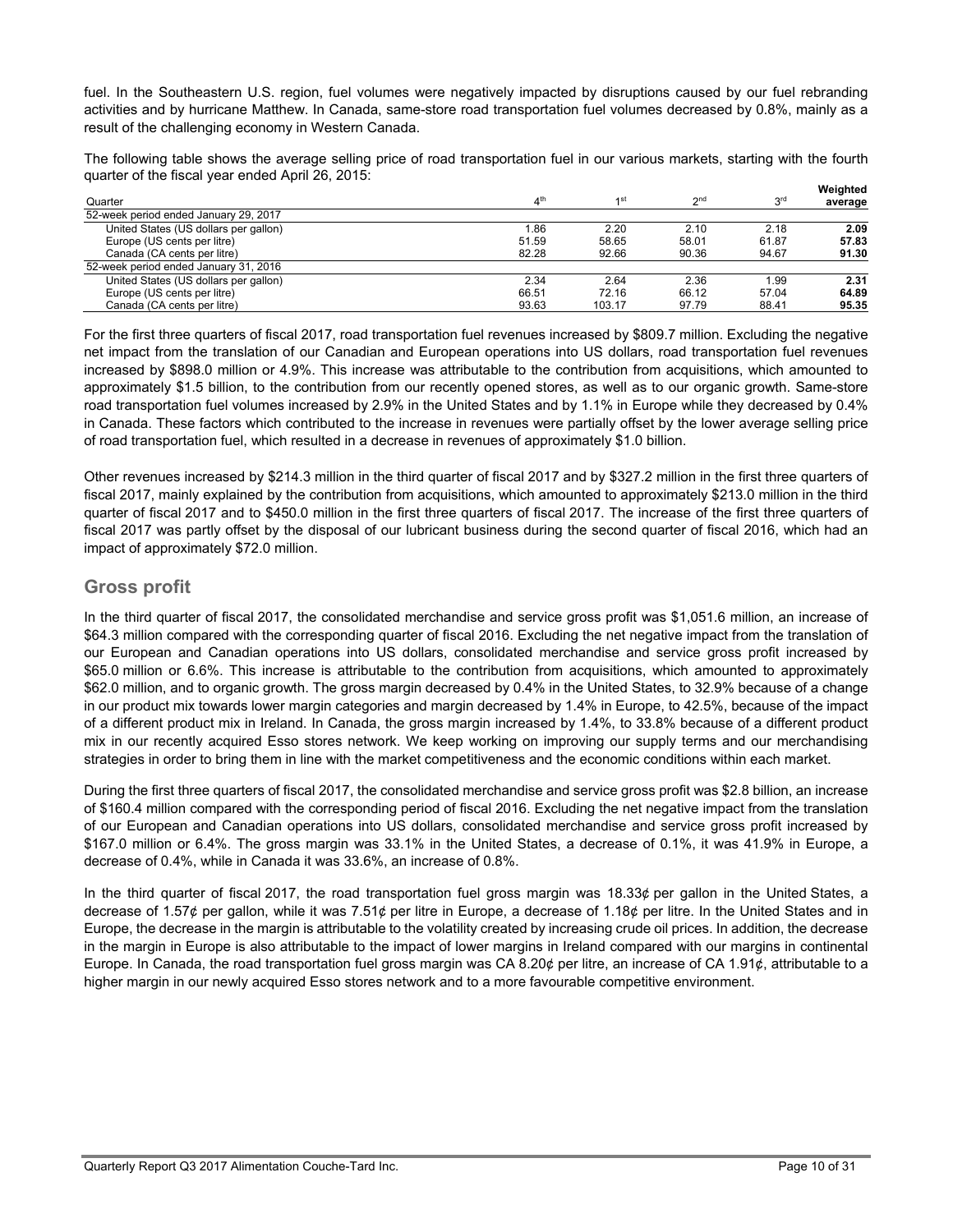fuel. In the Southeastern U.S. region, fuel volumes were negatively impacted by disruptions caused by our fuel rebranding activities and by hurricane Matthew. In Canada, same-store road transportation fuel volumes decreased by 0.8%, mainly as a result of the challenging economy in Western Canada.

The following table shows the average selling price of road transportation fuel in our various markets, starting with the fourth quarter of the fiscal year ended April 26, 2015:

|                                       |                          |                 |                 |                 | Weighted |
|---------------------------------------|--------------------------|-----------------|-----------------|-----------------|----------|
| Quarter                               | $\mathbf{A}^{\text{th}}$ | 1 <sub>st</sub> | 2 <sub>nd</sub> | 3 <sup>rd</sup> | average  |
| 52-week period ended January 29, 2017 |                          |                 |                 |                 |          |
| United States (US dollars per gallon) | 1.86                     | 2.20            | 2.10            | 2.18            | 2.09     |
| Europe (US cents per litre)           | 51.59                    | 58.65           | 58.01           | 61.87           | 57.83    |
| Canada (CA cents per litre)           | 82.28                    | 92.66           | 90.36           | 94.67           | 91.30    |
| 52-week period ended January 31, 2016 |                          |                 |                 |                 |          |
| United States (US dollars per gallon) | 2.34                     | 2.64            | 2.36            | 1.99            | 2.31     |
| Europe (US cents per litre)           | 66.51                    | 72.16           | 66.12           | 57.04           | 64.89    |
| Canada (CA cents per litre)           | 93.63                    | 103.17          | 97.79           | 88.41           | 95.35    |

For the first three quarters of fiscal 2017, road transportation fuel revenues increased by \$809.7 million. Excluding the negative net impact from the translation of our Canadian and European operations into US dollars, road transportation fuel revenues increased by \$898.0 million or 4.9%. This increase was attributable to the contribution from acquisitions, which amounted to approximately \$1.5 billion, to the contribution from our recently opened stores, as well as to our organic growth. Same-store road transportation fuel volumes increased by 2.9% in the United States and by 1.1% in Europe while they decreased by 0.4% in Canada. These factors which contributed to the increase in revenues were partially offset by the lower average selling price of road transportation fuel, which resulted in a decrease in revenues of approximately \$1.0 billion.

Other revenues increased by \$214.3 million in the third quarter of fiscal 2017 and by \$327.2 million in the first three quarters of fiscal 2017, mainly explained by the contribution from acquisitions, which amounted to approximately \$213.0 million in the third quarter of fiscal 2017 and to \$450.0 million in the first three quarters of fiscal 2017. The increase of the first three quarters of fiscal 2017 was partly offset by the disposal of our lubricant business during the second quarter of fiscal 2016, which had an impact of approximately \$72.0 million.

# **Gross profit**

In the third quarter of fiscal 2017, the consolidated merchandise and service gross profit was \$1,051.6 million, an increase of \$64.3 million compared with the corresponding quarter of fiscal 2016. Excluding the net negative impact from the translation of our European and Canadian operations into US dollars, consolidated merchandise and service gross profit increased by \$65.0 million or 6.6%. This increase is attributable to the contribution from acquisitions, which amounted to approximately \$62.0 million, and to organic growth. The gross margin decreased by 0.4% in the United States, to 32.9% because of a change in our product mix towards lower margin categories and margin decreased by 1.4% in Europe, to 42.5%, because of the impact of a different product mix in Ireland. In Canada, the gross margin increased by 1.4%, to 33.8% because of a different product mix in our recently acquired Esso stores network. We keep working on improving our supply terms and our merchandising strategies in order to bring them in line with the market competitiveness and the economic conditions within each market.

During the first three quarters of fiscal 2017, the consolidated merchandise and service gross profit was \$2.8 billion, an increase of \$160.4 million compared with the corresponding period of fiscal 2016. Excluding the net negative impact from the translation of our European and Canadian operations into US dollars, consolidated merchandise and service gross profit increased by \$167.0 million or 6.4%. The gross margin was 33.1% in the United States, a decrease of 0.1%, it was 41.9% in Europe, a decrease of 0.4%, while in Canada it was 33.6%, an increase of 0.8%.

In the third quarter of fiscal 2017, the road transportation fuel gross margin was 18.33¢ per gallon in the United States, a decrease of 1.57¢ per gallon, while it was 7.51¢ per litre in Europe, a decrease of 1.18¢ per litre. In the United States and in Europe, the decrease in the margin is attributable to the volatility created by increasing crude oil prices. In addition, the decrease in the margin in Europe is also attributable to the impact of lower margins in Ireland compared with our margins in continental Europe. In Canada, the road transportation fuel gross margin was CA 8.20¢ per litre, an increase of CA 1.91¢, attributable to a higher margin in our newly acquired Esso stores network and to a more favourable competitive environment.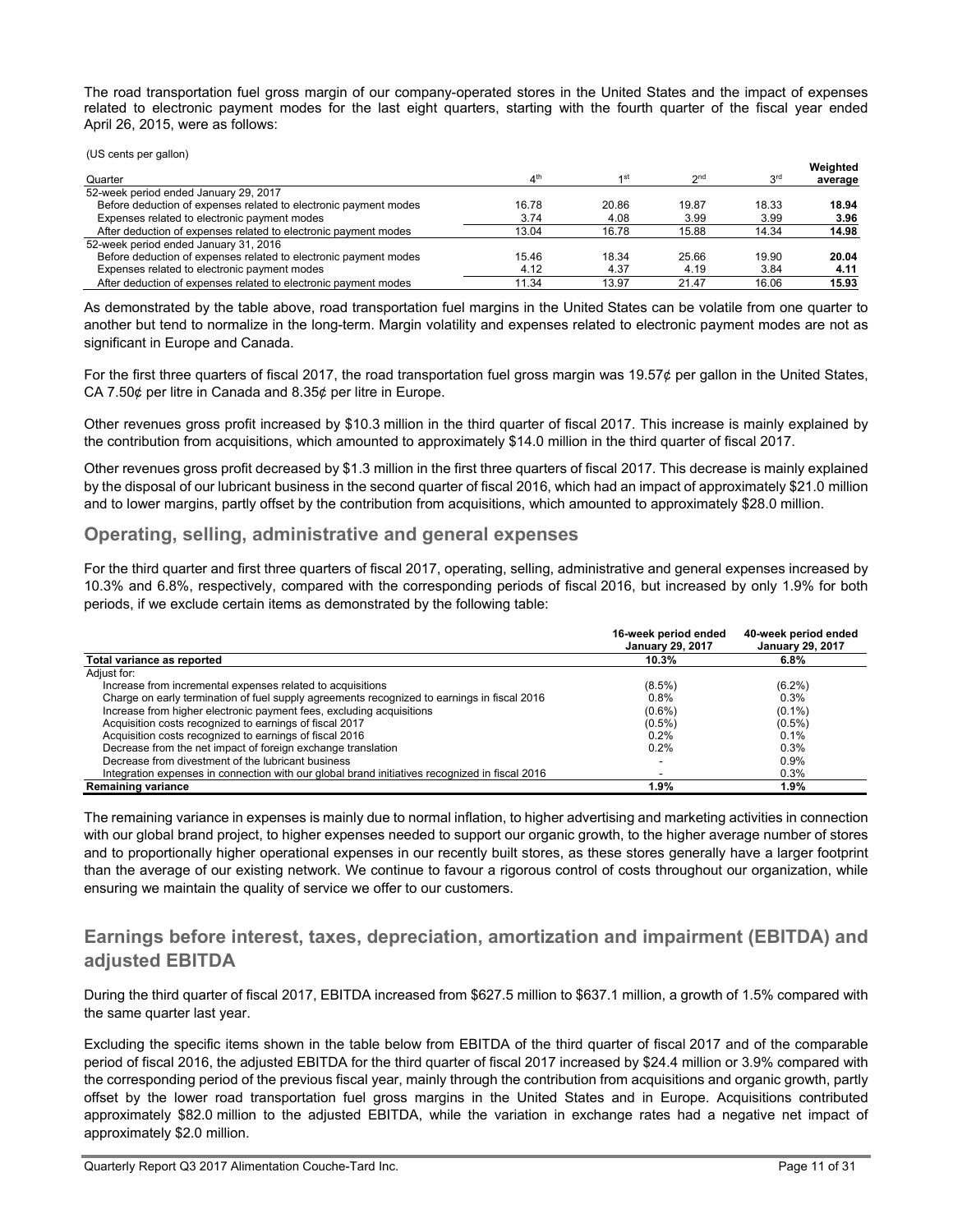The road transportation fuel gross margin of our company-operated stores in the United States and the impact of expenses related to electronic payment modes for the last eight quarters, starting with the fourth quarter of the fiscal year ended April 26, 2015, were as follows:

(US cents per gallon)

|                                                                  |                          |                 |                 |                 | Weighted |
|------------------------------------------------------------------|--------------------------|-----------------|-----------------|-----------------|----------|
| Quarter                                                          | $\mathbf{A}^{\text{th}}$ | 1 <sub>st</sub> | 2 <sub>nd</sub> | 3 <sup>rd</sup> | average  |
| 52-week period ended January 29, 2017                            |                          |                 |                 |                 |          |
| Before deduction of expenses related to electronic payment modes | 16.78                    | 20.86           | 19.87           | 18.33           | 18.94    |
| Expenses related to electronic payment modes                     | 3.74                     | 4.08            | 3.99            | 3.99            | 3.96     |
| After deduction of expenses related to electronic payment modes  | 13.04                    | 16.78           | 15.88           | 14.34           | 14.98    |
| 52-week period ended January 31, 2016                            |                          |                 |                 |                 |          |
| Before deduction of expenses related to electronic payment modes | 15.46                    | 18.34           | 25.66           | 19.90           | 20.04    |
| Expenses related to electronic payment modes                     | 4.12                     | 4.37            | 4.19            | 3.84            | 4.11     |
| After deduction of expenses related to electronic payment modes  | 11.34                    | 13.97           | 21.47           | 16.06           | 15.93    |

As demonstrated by the table above, road transportation fuel margins in the United States can be volatile from one quarter to another but tend to normalize in the long-term. Margin volatility and expenses related to electronic payment modes are not as significant in Europe and Canada.

For the first three quarters of fiscal 2017, the road transportation fuel gross margin was 19.57¢ per gallon in the United States, CA 7.50¢ per litre in Canada and 8.35¢ per litre in Europe.

Other revenues gross profit increased by \$10.3 million in the third quarter of fiscal 2017. This increase is mainly explained by the contribution from acquisitions, which amounted to approximately \$14.0 million in the third quarter of fiscal 2017.

Other revenues gross profit decreased by \$1.3 million in the first three quarters of fiscal 2017. This decrease is mainly explained by the disposal of our lubricant business in the second quarter of fiscal 2016, which had an impact of approximately \$21.0 million and to lower margins, partly offset by the contribution from acquisitions, which amounted to approximately \$28.0 million.

# **Operating, selling, administrative and general expenses**

For the third quarter and first three quarters of fiscal 2017, operating, selling, administrative and general expenses increased by 10.3% and 6.8%, respectively, compared with the corresponding periods of fiscal 2016, but increased by only 1.9% for both periods, if we exclude certain items as demonstrated by the following table:

|                                                                                                | 16-week period ended<br><b>January 29, 2017</b> | 40-week period ended<br><b>January 29, 2017</b> |
|------------------------------------------------------------------------------------------------|-------------------------------------------------|-------------------------------------------------|
| Total variance as reported                                                                     | 10.3%                                           | 6.8%                                            |
| Adjust for:                                                                                    |                                                 |                                                 |
| Increase from incremental expenses related to acquisitions                                     | $(8.5\%)$                                       | $(6.2\%)$                                       |
| Charge on early termination of fuel supply agreements recognized to earnings in fiscal 2016    | 0.8%                                            | 0.3%                                            |
| Increase from higher electronic payment fees, excluding acquisitions                           | $(0.6\%)$                                       | $(0.1\%)$                                       |
| Acquisition costs recognized to earnings of fiscal 2017                                        | $(0.5\%)$                                       | $(0.5\%)$                                       |
| Acquisition costs recognized to earnings of fiscal 2016                                        | 0.2%                                            | 0.1%                                            |
| Decrease from the net impact of foreign exchange translation                                   | 0.2%                                            | 0.3%                                            |
| Decrease from divestment of the lubricant business                                             |                                                 | 0.9%                                            |
| Integration expenses in connection with our global brand initiatives recognized in fiscal 2016 |                                                 | 0.3%                                            |
| <b>Remaining variance</b>                                                                      | 1.9%                                            | 1.9%                                            |

The remaining variance in expenses is mainly due to normal inflation, to higher advertising and marketing activities in connection with our global brand project, to higher expenses needed to support our organic growth, to the higher average number of stores and to proportionally higher operational expenses in our recently built stores, as these stores generally have a larger footprint than the average of our existing network. We continue to favour a rigorous control of costs throughout our organization, while ensuring we maintain the quality of service we offer to our customers.

# **Earnings before interest, taxes, depreciation, amortization and impairment (EBITDA) and adjusted EBITDA**

During the third quarter of fiscal 2017, EBITDA increased from \$627.5 million to \$637.1 million, a growth of 1.5% compared with the same quarter last year.

Excluding the specific items shown in the table below from EBITDA of the third quarter of fiscal 2017 and of the comparable period of fiscal 2016, the adjusted EBITDA for the third quarter of fiscal 2017 increased by \$24.4 million or 3.9% compared with the corresponding period of the previous fiscal year, mainly through the contribution from acquisitions and organic growth, partly offset by the lower road transportation fuel gross margins in the United States and in Europe. Acquisitions contributed approximately \$82.0 million to the adjusted EBITDA, while the variation in exchange rates had a negative net impact of approximately \$2.0 million.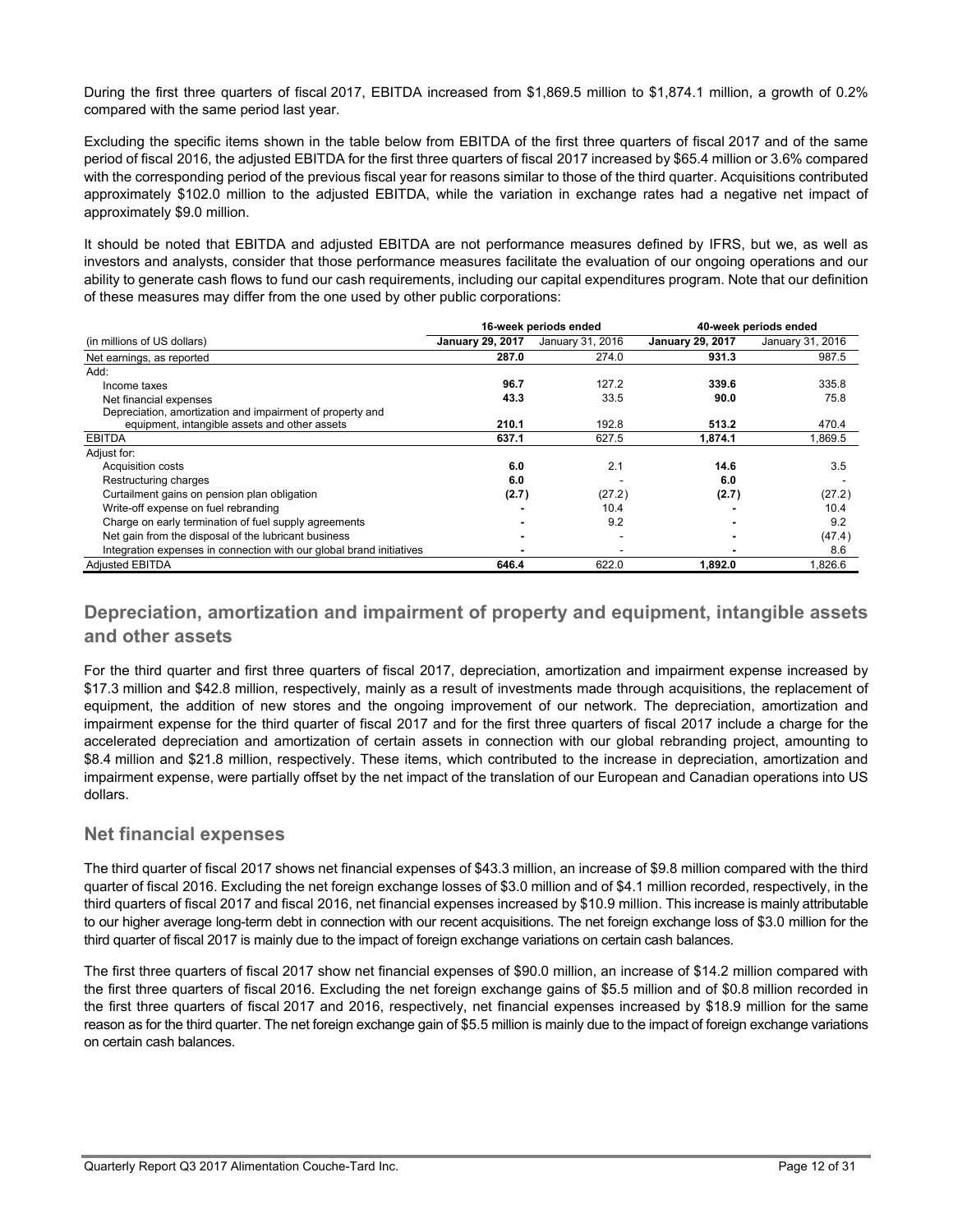During the first three quarters of fiscal 2017, EBITDA increased from \$1,869.5 million to \$1,874.1 million, a growth of 0.2% compared with the same period last year.

Excluding the specific items shown in the table below from EBITDA of the first three quarters of fiscal 2017 and of the same period of fiscal 2016, the adjusted EBITDA for the first three quarters of fiscal 2017 increased by \$65.4 million or 3.6% compared with the corresponding period of the previous fiscal year for reasons similar to those of the third quarter. Acquisitions contributed approximately \$102.0 million to the adjusted EBITDA, while the variation in exchange rates had a negative net impact of approximately \$9.0 million.

It should be noted that EBITDA and adjusted EBITDA are not performance measures defined by IFRS, but we, as well as investors and analysts, consider that those performance measures facilitate the evaluation of our ongoing operations and our ability to generate cash flows to fund our cash requirements, including our capital expenditures program. Note that our definition of these measures may differ from the one used by other public corporations:

|                                                                      |                         | 16-week periods ended | 40-week periods ended   |                  |  |
|----------------------------------------------------------------------|-------------------------|-----------------------|-------------------------|------------------|--|
| (in millions of US dollars)                                          | <b>January 29, 2017</b> | January 31, 2016      | <b>January 29, 2017</b> | January 31, 2016 |  |
| Net earnings, as reported                                            | 287.0                   | 274.0                 | 931.3                   | 987.5            |  |
| Add:                                                                 |                         |                       |                         |                  |  |
| Income taxes                                                         | 96.7                    | 127.2                 | 339.6                   | 335.8            |  |
| Net financial expenses                                               | 43.3                    | 33.5                  | 90.0                    | 75.8             |  |
| Depreciation, amortization and impairment of property and            |                         |                       |                         |                  |  |
| equipment, intangible assets and other assets                        | 210.1                   | 192.8                 | 513.2                   | 470.4            |  |
| <b>EBITDA</b>                                                        | 637.1                   | 627.5                 | 1,874.1                 | 1,869.5          |  |
| Adjust for:                                                          |                         |                       |                         |                  |  |
| <b>Acquisition costs</b>                                             | 6.0                     | 2.1                   | 14.6                    | 3.5              |  |
| Restructuring charges                                                | 6.0                     |                       | 6.0                     |                  |  |
| Curtailment gains on pension plan obligation                         | (2.7)                   | (27.2)                | (2.7)                   | (27.2)           |  |
| Write-off expense on fuel rebranding                                 |                         | 10.4                  |                         | 10.4             |  |
| Charge on early termination of fuel supply agreements                |                         | 9.2                   |                         | 9.2              |  |
| Net gain from the disposal of the lubricant business                 |                         |                       | $\blacksquare$          | (47.4)           |  |
| Integration expenses in connection with our global brand initiatives |                         |                       |                         | 8.6              |  |
| <b>Adjusted EBITDA</b>                                               | 646.4                   | 622.0                 | 1.892.0                 | 1,826.6          |  |

# **Depreciation, amortization and impairment of property and equipment, intangible assets and other assets**

For the third quarter and first three quarters of fiscal 2017, depreciation, amortization and impairment expense increased by \$17.3 million and \$42.8 million, respectively, mainly as a result of investments made through acquisitions, the replacement of equipment, the addition of new stores and the ongoing improvement of our network. The depreciation, amortization and impairment expense for the third quarter of fiscal 2017 and for the first three quarters of fiscal 2017 include a charge for the accelerated depreciation and amortization of certain assets in connection with our global rebranding project, amounting to \$8.4 million and \$21.8 million, respectively. These items, which contributed to the increase in depreciation, amortization and impairment expense, were partially offset by the net impact of the translation of our European and Canadian operations into US dollars.

## **Net financial expenses**

The third quarter of fiscal 2017 shows net financial expenses of \$43.3 million, an increase of \$9.8 million compared with the third quarter of fiscal 2016. Excluding the net foreign exchange losses of \$3.0 million and of \$4.1 million recorded, respectively, in the third quarters of fiscal 2017 and fiscal 2016, net financial expenses increased by \$10.9 million. This increase is mainly attributable to our higher average long-term debt in connection with our recent acquisitions. The net foreign exchange loss of \$3.0 million for the third quarter of fiscal 2017 is mainly due to the impact of foreign exchange variations on certain cash balances.

The first three quarters of fiscal 2017 show net financial expenses of \$90.0 million, an increase of \$14.2 million compared with the first three quarters of fiscal 2016. Excluding the net foreign exchange gains of \$5.5 million and of \$0.8 million recorded in the first three quarters of fiscal 2017 and 2016, respectively, net financial expenses increased by \$18.9 million for the same reason as for the third quarter. The net foreign exchange gain of \$5.5 million is mainly due to the impact of foreign exchange variations on certain cash balances.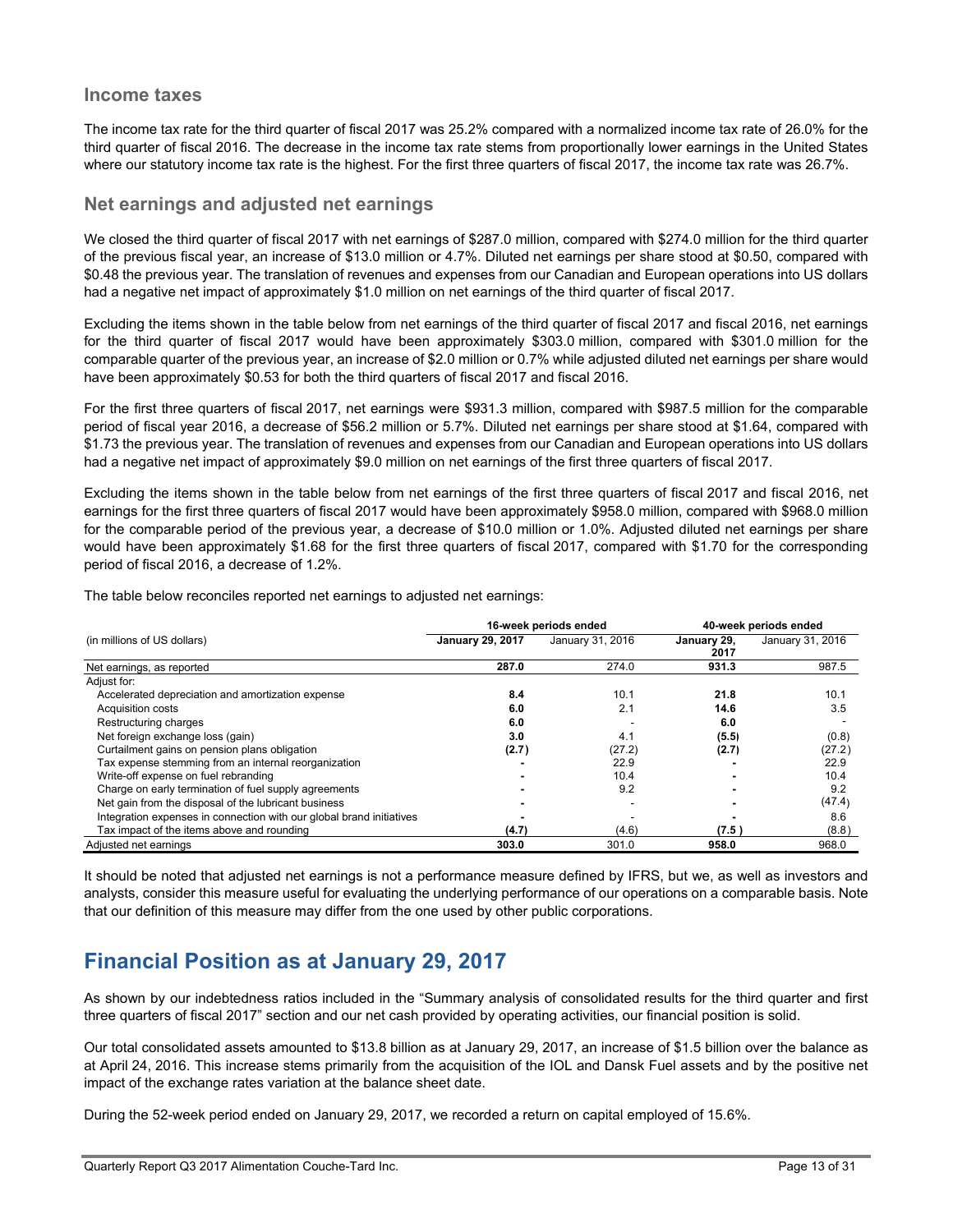## **Income taxes**

The income tax rate for the third quarter of fiscal 2017 was 25.2% compared with a normalized income tax rate of 26.0% for the third quarter of fiscal 2016. The decrease in the income tax rate stems from proportionally lower earnings in the United States where our statutory income tax rate is the highest. For the first three quarters of fiscal 2017, the income tax rate was 26.7%.

# **Net earnings and adjusted net earnings**

We closed the third quarter of fiscal 2017 with net earnings of \$287.0 million, compared with \$274.0 million for the third quarter of the previous fiscal year, an increase of \$13.0 million or 4.7%. Diluted net earnings per share stood at \$0.50, compared with \$0.48 the previous year. The translation of revenues and expenses from our Canadian and European operations into US dollars had a negative net impact of approximately \$1.0 million on net earnings of the third quarter of fiscal 2017.

Excluding the items shown in the table below from net earnings of the third quarter of fiscal 2017 and fiscal 2016, net earnings for the third quarter of fiscal 2017 would have been approximately \$303.0 million, compared with \$301.0 million for the comparable quarter of the previous year, an increase of \$2.0 million or 0.7% while adjusted diluted net earnings per share would have been approximately \$0.53 for both the third quarters of fiscal 2017 and fiscal 2016.

For the first three quarters of fiscal 2017, net earnings were \$931.3 million, compared with \$987.5 million for the comparable period of fiscal year 2016, a decrease of \$56.2 million or 5.7%. Diluted net earnings per share stood at \$1.64, compared with \$1.73 the previous year. The translation of revenues and expenses from our Canadian and European operations into US dollars had a negative net impact of approximately \$9.0 million on net earnings of the first three quarters of fiscal 2017.

Excluding the items shown in the table below from net earnings of the first three quarters of fiscal 2017 and fiscal 2016, net earnings for the first three quarters of fiscal 2017 would have been approximately \$958.0 million, compared with \$968.0 million for the comparable period of the previous year, a decrease of \$10.0 million or 1.0%. Adjusted diluted net earnings per share would have been approximately \$1.68 for the first three quarters of fiscal 2017, compared with \$1.70 for the corresponding period of fiscal 2016, a decrease of 1.2%.

The table below reconciles reported net earnings to adjusted net earnings:

|                                                                      |                         | 16-week periods ended | 40-week periods ended |                  |  |  |
|----------------------------------------------------------------------|-------------------------|-----------------------|-----------------------|------------------|--|--|
| (in millions of US dollars)                                          | <b>January 29, 2017</b> | January 31, 2016      | January 29,<br>2017   | January 31, 2016 |  |  |
| Net earnings, as reported                                            | 287.0                   | 274.0                 | 931.3                 | 987.5            |  |  |
| Adjust for:                                                          |                         |                       |                       |                  |  |  |
| Accelerated depreciation and amortization expense                    | 8.4                     | 10.1                  | 21.8                  | 10.1             |  |  |
| <b>Acquisition costs</b>                                             | 6.0                     | 2.1                   | 14.6                  | 3.5              |  |  |
| Restructuring charges                                                | 6.0                     |                       | 6.0                   |                  |  |  |
| Net foreign exchange loss (gain)                                     | 3.0                     | 4.1                   | (5.5)                 | (0.8)            |  |  |
| Curtailment gains on pension plans obligation                        | (2.7)                   | (27.2)                | (2.7)                 | (27.2)           |  |  |
| Tax expense stemming from an internal reorganization                 |                         | 22.9                  |                       | 22.9             |  |  |
| Write-off expense on fuel rebranding                                 |                         | 10.4                  |                       | 10.4             |  |  |
| Charge on early termination of fuel supply agreements                |                         | 9.2                   |                       | 9.2              |  |  |
| Net gain from the disposal of the lubricant business                 |                         |                       |                       | (47.4)           |  |  |
| Integration expenses in connection with our global brand initiatives |                         |                       |                       | 8.6              |  |  |
| Tax impact of the items above and rounding                           | (4.7)                   | (4.6)                 | (7.5)                 | (8.8)            |  |  |
| Adjusted net earnings                                                | 303.0                   | 301.0                 | 958.0                 | 968.0            |  |  |

It should be noted that adjusted net earnings is not a performance measure defined by IFRS, but we, as well as investors and analysts, consider this measure useful for evaluating the underlying performance of our operations on a comparable basis. Note that our definition of this measure may differ from the one used by other public corporations.

# **Financial Position as at January 29, 2017**

As shown by our indebtedness ratios included in the "Summary analysis of consolidated results for the third quarter and first three quarters of fiscal 2017" section and our net cash provided by operating activities, our financial position is solid.

Our total consolidated assets amounted to \$13.8 billion as at January 29, 2017, an increase of \$1.5 billion over the balance as at April 24, 2016. This increase stems primarily from the acquisition of the IOL and Dansk Fuel assets and by the positive net impact of the exchange rates variation at the balance sheet date.

During the 52-week period ended on January 29, 2017, we recorded a return on capital employed of 15.6%.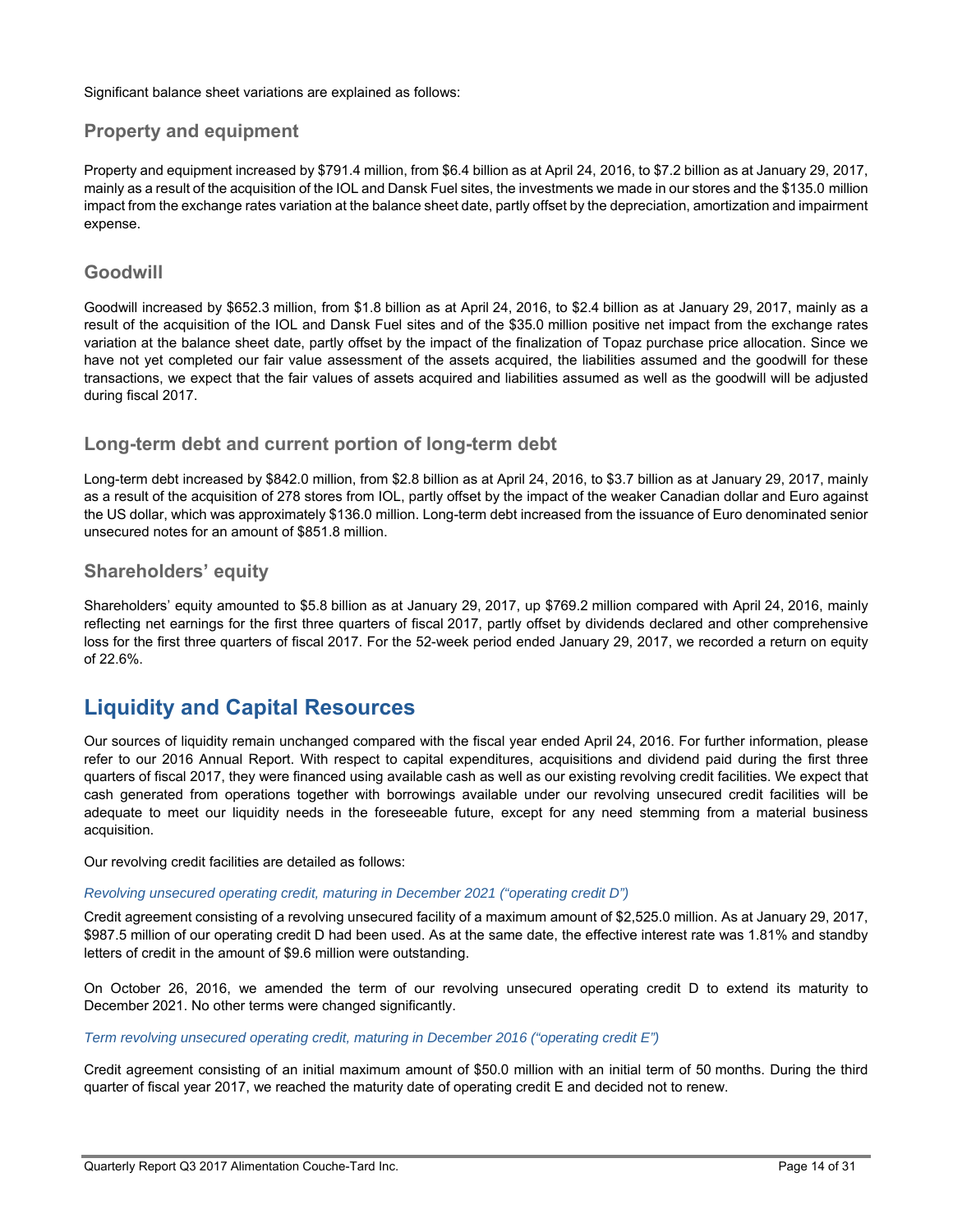Significant balance sheet variations are explained as follows:

# **Property and equipment**

Property and equipment increased by \$791.4 million, from \$6.4 billion as at April 24, 2016, to \$7.2 billion as at January 29, 2017, mainly as a result of the acquisition of the IOL and Dansk Fuel sites, the investments we made in our stores and the \$135.0 million impact from the exchange rates variation at the balance sheet date, partly offset by the depreciation, amortization and impairment expense.

# **Goodwill**

Goodwill increased by \$652.3 million, from \$1.8 billion as at April 24, 2016, to \$2.4 billion as at January 29, 2017, mainly as a result of the acquisition of the IOL and Dansk Fuel sites and of the \$35.0 million positive net impact from the exchange rates variation at the balance sheet date, partly offset by the impact of the finalization of Topaz purchase price allocation. Since we have not yet completed our fair value assessment of the assets acquired, the liabilities assumed and the goodwill for these transactions, we expect that the fair values of assets acquired and liabilities assumed as well as the goodwill will be adjusted during fiscal 2017.

# **Long-term debt and current portion of long-term debt**

Long-term debt increased by \$842.0 million, from \$2.8 billion as at April 24, 2016, to \$3.7 billion as at January 29, 2017, mainly as a result of the acquisition of 278 stores from IOL, partly offset by the impact of the weaker Canadian dollar and Euro against the US dollar, which was approximately \$136.0 million. Long-term debt increased from the issuance of Euro denominated senior unsecured notes for an amount of \$851.8 million.

# **Shareholders' equity**

Shareholders' equity amounted to \$5.8 billion as at January 29, 2017, up \$769.2 million compared with April 24, 2016, mainly reflecting net earnings for the first three quarters of fiscal 2017, partly offset by dividends declared and other comprehensive loss for the first three quarters of fiscal 2017. For the 52-week period ended January 29, 2017, we recorded a return on equity of 22.6%.

# **Liquidity and Capital Resources**

Our sources of liquidity remain unchanged compared with the fiscal year ended April 24, 2016. For further information, please refer to our 2016 Annual Report. With respect to capital expenditures, acquisitions and dividend paid during the first three quarters of fiscal 2017, they were financed using available cash as well as our existing revolving credit facilities. We expect that cash generated from operations together with borrowings available under our revolving unsecured credit facilities will be adequate to meet our liquidity needs in the foreseeable future, except for any need stemming from a material business acquisition.

Our revolving credit facilities are detailed as follows:

#### *Revolving unsecured operating credit, maturing in December 2021 ("operating credit D")*

Credit agreement consisting of a revolving unsecured facility of a maximum amount of \$2,525.0 million. As at January 29, 2017, \$987.5 million of our operating credit D had been used. As at the same date, the effective interest rate was 1.81% and standby letters of credit in the amount of \$9.6 million were outstanding.

On October 26, 2016, we amended the term of our revolving unsecured operating credit D to extend its maturity to December 2021. No other terms were changed significantly.

#### *Term revolving unsecured operating credit, maturing in December 2016 ("operating credit E")*

Credit agreement consisting of an initial maximum amount of \$50.0 million with an initial term of 50 months. During the third quarter of fiscal year 2017, we reached the maturity date of operating credit E and decided not to renew.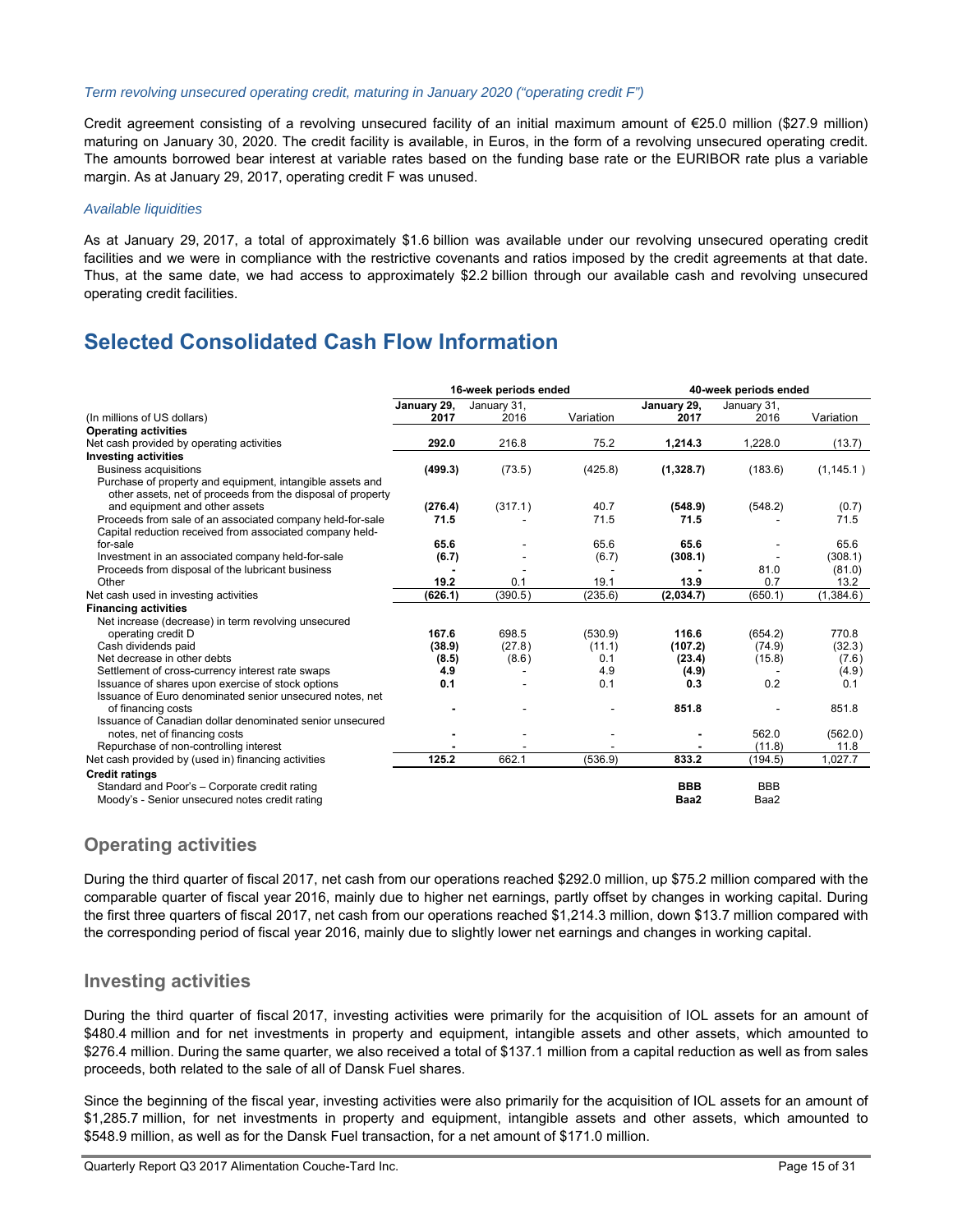#### *Term revolving unsecured operating credit, maturing in January 2020 ("operating credit F")*

Credit agreement consisting of a revolving unsecured facility of an initial maximum amount of €25.0 million (\$27.9 million) maturing on January 30, 2020. The credit facility is available, in Euros, in the form of a revolving unsecured operating credit. The amounts borrowed bear interest at variable rates based on the funding base rate or the EURIBOR rate plus a variable margin. As at January 29, 2017, operating credit F was unused.

#### *Available liquidities*

As at January 29, 2017, a total of approximately \$1.6 billion was available under our revolving unsecured operating credit facilities and we were in compliance with the restrictive covenants and ratios imposed by the credit agreements at that date. Thus, at the same date, we had access to approximately \$2.2 billion through our available cash and revolving unsecured operating credit facilities.

# **Selected Consolidated Cash Flow Information**

|                                                             | 16-week periods ended |             |           | 40-week periods ended |             |            |
|-------------------------------------------------------------|-----------------------|-------------|-----------|-----------------------|-------------|------------|
|                                                             | January 29,           | January 31, |           | January 29,           | January 31, |            |
| (In millions of US dollars)                                 | 2017                  | 2016        | Variation | 2017                  | 2016        | Variation  |
| <b>Operating activities</b>                                 |                       |             |           |                       |             |            |
| Net cash provided by operating activities                   | 292.0                 | 216.8       | 75.2      | 1,214.3               | 1,228.0     | (13.7)     |
| <b>Investing activities</b>                                 |                       |             |           |                       |             |            |
| <b>Business acquisitions</b>                                | (499.3)               | (73.5)      | (425.8)   | (1,328.7)             | (183.6)     | (1, 145.1) |
| Purchase of property and equipment, intangible assets and   |                       |             |           |                       |             |            |
| other assets, net of proceeds from the disposal of property |                       |             |           |                       |             |            |
| and equipment and other assets                              | (276.4)               | (317.1)     | 40.7      | (548.9)               | (548.2)     | (0.7)      |
| Proceeds from sale of an associated company held-for-sale   | 71.5                  |             | 71.5      | 71.5                  |             | 71.5       |
| Capital reduction received from associated company held-    |                       |             |           |                       |             |            |
| for-sale                                                    | 65.6                  |             | 65.6      | 65.6                  |             | 65.6       |
| Investment in an associated company held-for-sale           | (6.7)                 |             | (6.7)     | (308.1)               |             | (308.1)    |
| Proceeds from disposal of the lubricant business            |                       |             |           |                       | 81.0        | (81.0)     |
| Other                                                       | 19.2                  | 0.1         | 19.1      | 13.9                  | 0.7         | 13.2       |
| Net cash used in investing activities                       | (626.1)               | (390.5)     | (235.6)   | (2,034.7)             | (650.1)     | (1,384.6)  |
| <b>Financing activities</b>                                 |                       |             |           |                       |             |            |
| Net increase (decrease) in term revolving unsecured         |                       |             |           |                       |             |            |
| operating credit D                                          | 167.6                 | 698.5       | (530.9)   | 116.6                 | (654.2)     | 770.8      |
| Cash dividends paid                                         | (38.9)                | (27.8)      | (11.1)    | (107.2)               | (74.9)      | (32.3)     |
| Net decrease in other debts                                 | (8.5)                 | (8.6)       | 0.1       | (23.4)                | (15.8)      | (7.6)      |
| Settlement of cross-currency interest rate swaps            | 4.9                   |             | 4.9       | (4.9)                 |             | (4.9)      |
| Issuance of shares upon exercise of stock options           | 0.1                   |             | 0.1       | 0.3                   | 0.2         | 0.1        |
| Issuance of Euro denominated senior unsecured notes, net    |                       |             |           |                       |             |            |
| of financing costs                                          |                       |             |           | 851.8                 |             | 851.8      |
| Issuance of Canadian dollar denominated senior unsecured    |                       |             |           |                       |             |            |
| notes, net of financing costs                               |                       |             |           |                       | 562.0       | (562.0)    |
| Repurchase of non-controlling interest                      |                       |             |           |                       | (11.8)      | 11.8       |
| Net cash provided by (used in) financing activities         | 125.2                 | 662.1       | (536.9)   | 833.2                 | (194.5)     | 1.027.7    |
| <b>Credit ratings</b>                                       |                       |             |           |                       |             |            |
| Standard and Poor's - Corporate credit rating               |                       |             |           | <b>BBB</b>            | <b>BBB</b>  |            |
| Moody's - Senior unsecured notes credit rating              |                       |             |           | Baa2                  | Baa2        |            |

# **Operating activities**

During the third quarter of fiscal 2017, net cash from our operations reached \$292.0 million, up \$75.2 million compared with the comparable quarter of fiscal year 2016, mainly due to higher net earnings, partly offset by changes in working capital. During the first three quarters of fiscal 2017, net cash from our operations reached \$1,214.3 million, down \$13.7 million compared with the corresponding period of fiscal year 2016, mainly due to slightly lower net earnings and changes in working capital.

# **Investing activities**

During the third quarter of fiscal 2017, investing activities were primarily for the acquisition of IOL assets for an amount of \$480.4 million and for net investments in property and equipment, intangible assets and other assets, which amounted to \$276.4 million. During the same quarter, we also received a total of \$137.1 million from a capital reduction as well as from sales proceeds, both related to the sale of all of Dansk Fuel shares.

Since the beginning of the fiscal year, investing activities were also primarily for the acquisition of IOL assets for an amount of \$1,285.7 million, for net investments in property and equipment, intangible assets and other assets, which amounted to \$548.9 million, as well as for the Dansk Fuel transaction, for a net amount of \$171.0 million.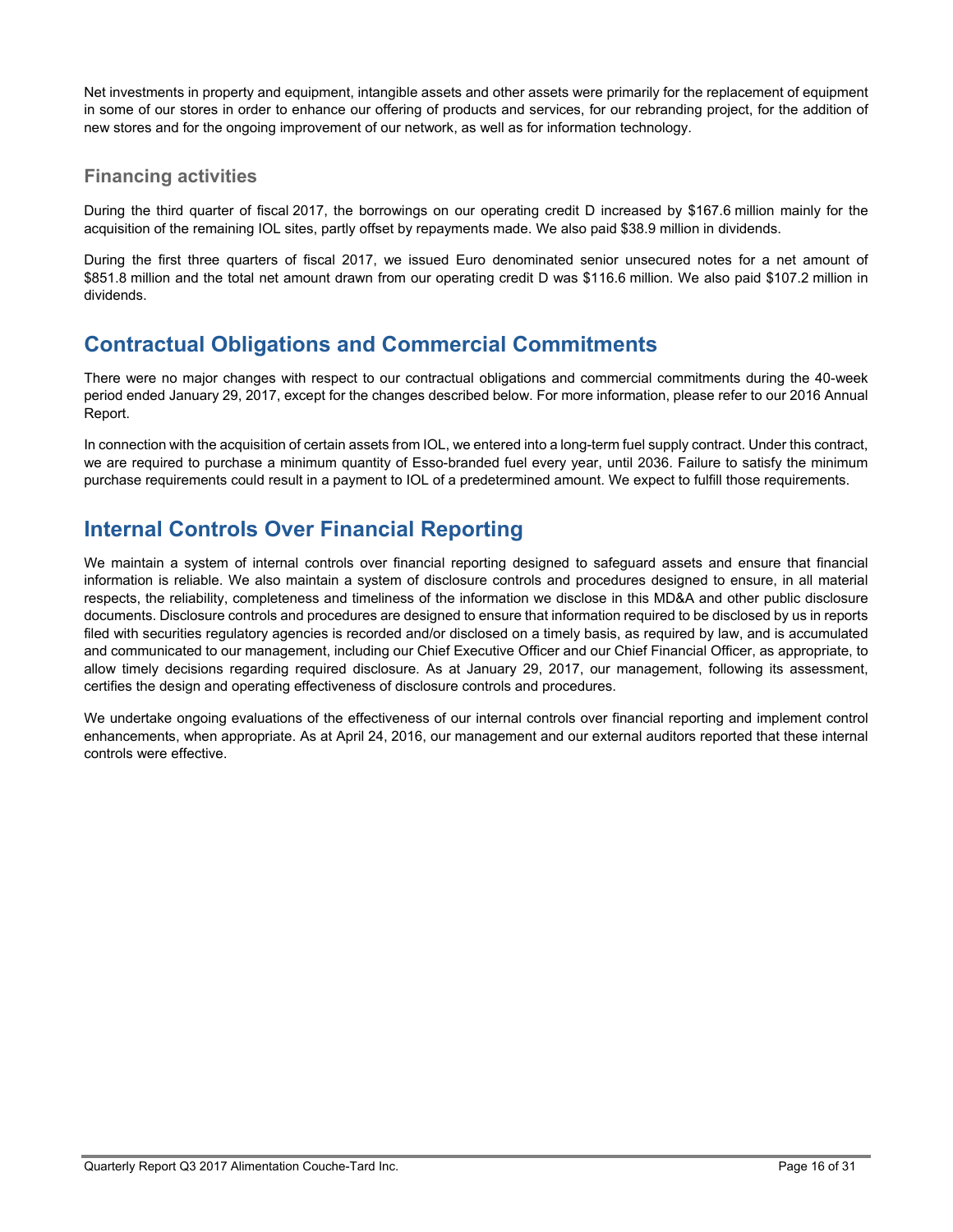Net investments in property and equipment, intangible assets and other assets were primarily for the replacement of equipment in some of our stores in order to enhance our offering of products and services, for our rebranding project, for the addition of new stores and for the ongoing improvement of our network, as well as for information technology.

# **Financing activities**

During the third quarter of fiscal 2017, the borrowings on our operating credit D increased by \$167.6 million mainly for the acquisition of the remaining IOL sites, partly offset by repayments made. We also paid \$38.9 million in dividends.

During the first three quarters of fiscal 2017, we issued Euro denominated senior unsecured notes for a net amount of \$851.8 million and the total net amount drawn from our operating credit D was \$116.6 million. We also paid \$107.2 million in dividends.

# **Contractual Obligations and Commercial Commitments**

There were no major changes with respect to our contractual obligations and commercial commitments during the 40-week period ended January 29, 2017, except for the changes described below. For more information, please refer to our 2016 Annual Report.

In connection with the acquisition of certain assets from IOL, we entered into a long-term fuel supply contract. Under this contract, we are required to purchase a minimum quantity of Esso-branded fuel every year, until 2036. Failure to satisfy the minimum purchase requirements could result in a payment to IOL of a predetermined amount. We expect to fulfill those requirements.

# **Internal Controls Over Financial Reporting**

We maintain a system of internal controls over financial reporting designed to safeguard assets and ensure that financial information is reliable. We also maintain a system of disclosure controls and procedures designed to ensure, in all material respects, the reliability, completeness and timeliness of the information we disclose in this MD&A and other public disclosure documents. Disclosure controls and procedures are designed to ensure that information required to be disclosed by us in reports filed with securities regulatory agencies is recorded and/or disclosed on a timely basis, as required by law, and is accumulated and communicated to our management, including our Chief Executive Officer and our Chief Financial Officer, as appropriate, to allow timely decisions regarding required disclosure. As at January 29, 2017, our management, following its assessment, certifies the design and operating effectiveness of disclosure controls and procedures.

We undertake ongoing evaluations of the effectiveness of our internal controls over financial reporting and implement control enhancements, when appropriate. As at April 24, 2016, our management and our external auditors reported that these internal controls were effective.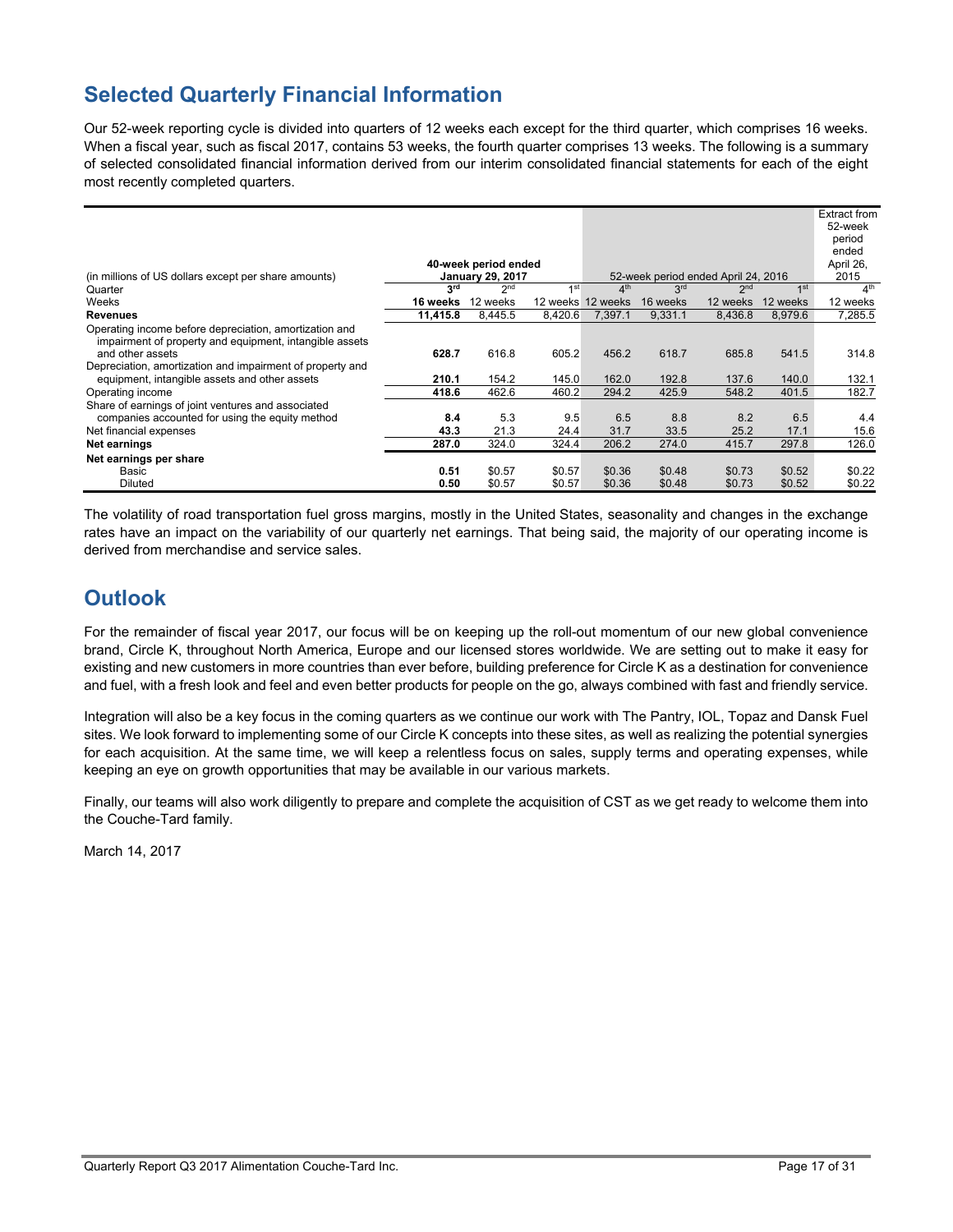# **Selected Quarterly Financial Information**

Our 52-week reporting cycle is divided into quarters of 12 weeks each except for the third quarter, which comprises 16 weeks. When a fiscal year, such as fiscal 2017, contains 53 weeks, the fourth quarter comprises 13 weeks. The following is a summary of selected consolidated financial information derived from our interim consolidated financial statements for each of the eight most recently completed quarters.

|                                                                                                                   |                 |                         |                 |                 |          |                                     |                 | <b>Extract from</b> |
|-------------------------------------------------------------------------------------------------------------------|-----------------|-------------------------|-----------------|-----------------|----------|-------------------------------------|-----------------|---------------------|
|                                                                                                                   |                 |                         |                 |                 |          |                                     |                 | 52-week             |
|                                                                                                                   |                 |                         |                 |                 |          |                                     |                 | period<br>ended     |
|                                                                                                                   |                 | 40-week period ended    |                 |                 |          |                                     |                 | April 26,           |
| (in millions of US dollars except per share amounts)                                                              |                 | <b>January 29, 2017</b> |                 |                 |          | 52-week period ended April 24, 2016 |                 | 2015                |
| Quarter                                                                                                           | 3 <sup>rd</sup> | 2 <sub>nd</sub>         | 1 <sup>st</sup> | 4 <sup>th</sup> | 3rd      | 2 <sub>nd</sub>                     | 1 <sup>st</sup> | 4 <sup>th</sup>     |
| Weeks                                                                                                             | 16 weeks        | 12 weeks                | 12 weeks        | 12 weeks        | 16 weeks | 12 weeks                            | 12 weeks        | 12 weeks            |
| <b>Revenues</b>                                                                                                   | 11,415.8        | 8.445.5                 | 8.420.6         | 7,397.1         | 9,331.1  | 8,436.8                             | 8.979.6         | 7,285.5             |
| Operating income before depreciation, amortization and<br>impairment of property and equipment, intangible assets |                 |                         |                 |                 |          |                                     |                 |                     |
| and other assets                                                                                                  | 628.7           | 616.8                   | 605.2           | 456.2           | 618.7    | 685.8                               | 541.5           | 314.8               |
| Depreciation, amortization and impairment of property and<br>equipment, intangible assets and other assets        | 210.1           | 154.2                   | 145.0           | 162.0           | 192.8    | 137.6                               | 140.0           | 132.1               |
| Operating income                                                                                                  | 418.6           | 462.6                   | 460.2           | 294.2           | 425.9    | 548.2                               | 401.5           | 182.7               |
| Share of earnings of joint ventures and associated                                                                |                 |                         |                 |                 |          |                                     |                 |                     |
| companies accounted for using the equity method                                                                   | 8.4             | 5.3                     | 9.5             | 6.5             | 8.8      | 8.2                                 | 6.5             | 4.4                 |
| Net financial expenses                                                                                            | 43.3            | 21.3                    | 24.4            | 31.7            | 33.5     | 25.2                                | 17.1            | 15.6                |
| Net earnings                                                                                                      | 287.0           | 324.0                   | 324.4           | 206.2           | 274.0    | 415.7                               | 297.8           | 126.0               |
| Net earnings per share                                                                                            |                 |                         |                 |                 |          |                                     |                 |                     |
| Basic                                                                                                             | 0.51            | \$0.57                  | \$0.57          | \$0.36          | \$0.48   | \$0.73                              | \$0.52          | \$0.22              |
| Diluted                                                                                                           | 0.50            | \$0.57                  | \$0.57          | \$0.36          | \$0.48   | \$0.73                              | \$0.52          | \$0.22              |

The volatility of road transportation fuel gross margins, mostly in the United States, seasonality and changes in the exchange rates have an impact on the variability of our quarterly net earnings. That being said, the majority of our operating income is derived from merchandise and service sales.

# **Outlook**

For the remainder of fiscal year 2017, our focus will be on keeping up the roll-out momentum of our new global convenience brand, Circle K, throughout North America, Europe and our licensed stores worldwide. We are setting out to make it easy for existing and new customers in more countries than ever before, building preference for Circle K as a destination for convenience and fuel, with a fresh look and feel and even better products for people on the go, always combined with fast and friendly service.

Integration will also be a key focus in the coming quarters as we continue our work with The Pantry, IOL, Topaz and Dansk Fuel sites. We look forward to implementing some of our Circle K concepts into these sites, as well as realizing the potential synergies for each acquisition. At the same time, we will keep a relentless focus on sales, supply terms and operating expenses, while keeping an eye on growth opportunities that may be available in our various markets.

Finally, our teams will also work diligently to prepare and complete the acquisition of CST as we get ready to welcome them into the Couche-Tard family.

March 14, 2017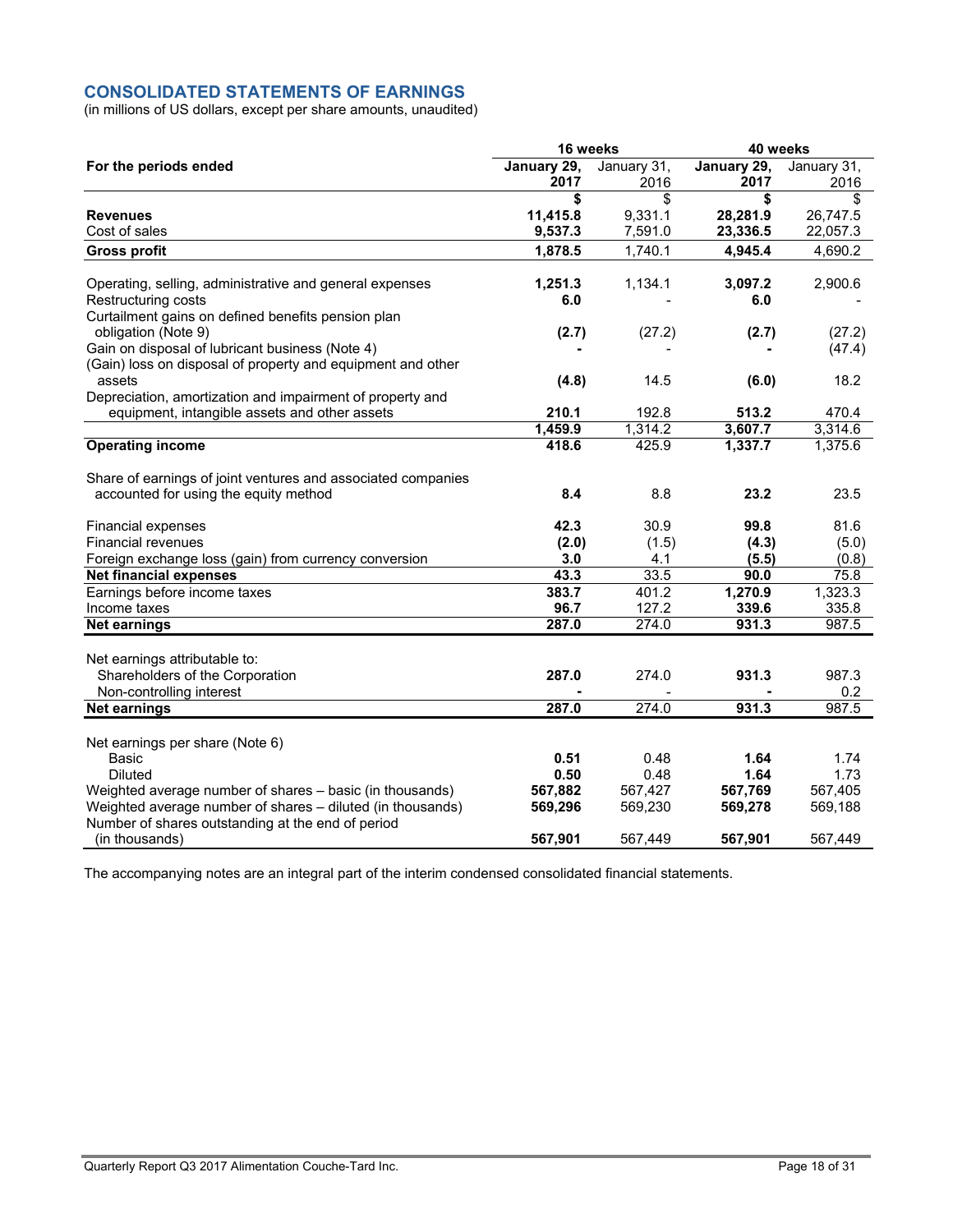# **CONSOLIDATED STATEMENTS OF EARNINGS**

(in millions of US dollars, except per share amounts, unaudited)

| January 29,<br>January 29,<br>January 31,<br>January 31,<br>2017<br>2016<br>2017<br>2016<br>\$<br>\$<br>\$<br>\$<br>11,415.8<br>9,331.1<br>28,281.9<br>26,747.5<br>9,537.3<br>7,591.0<br>23,336.5<br>22,057.3<br>1,878.5<br>1,740.1<br>4,945.4<br>4,690.2<br>1,251.3<br>1,134.1<br>3,097.2<br>2,900.6<br>Operating, selling, administrative and general expenses<br>Restructuring costs<br>6.0<br>6.0<br>Curtailment gains on defined benefits pension plan<br>obligation (Note 9)<br>(2.7)<br>(27.2)<br>(2.7)<br>(27.2)<br>Gain on disposal of lubricant business (Note 4)<br>(47.4)<br>(Gain) loss on disposal of property and equipment and other<br>(4.8)<br>14.5<br>(6.0)<br>18.2<br>assets<br>Depreciation, amortization and impairment of property and<br>equipment, intangible assets and other assets<br>210.1<br>192.8<br>513.2<br>470.4<br>3,314.6<br>1,459.9<br>1,314.2<br>3,607.7<br>1,375.6<br><b>Operating income</b><br>418.6<br>425.9<br>1,337.7<br>Share of earnings of joint ventures and associated companies<br>accounted for using the equity method<br>8.4<br>8.8<br>23.2<br>23.5<br>42.3<br>30.9<br>99.8<br>81.6<br>(2.0)<br>(4.3)<br>(5.0)<br>(1.5)<br>3.0<br>4.1<br>(5.5)<br>(0.8)<br>33.5<br>43.3<br>90.0<br>75.8<br>401.2<br>1,270.9<br>1,323.3<br>383.7<br>96.7<br>339.6<br>127.2<br>335.8<br>287.0<br>274.0<br>931.3<br>987.5 |                                                            | 16 weeks |       | 40 weeks |       |  |
|-------------------------------------------------------------------------------------------------------------------------------------------------------------------------------------------------------------------------------------------------------------------------------------------------------------------------------------------------------------------------------------------------------------------------------------------------------------------------------------------------------------------------------------------------------------------------------------------------------------------------------------------------------------------------------------------------------------------------------------------------------------------------------------------------------------------------------------------------------------------------------------------------------------------------------------------------------------------------------------------------------------------------------------------------------------------------------------------------------------------------------------------------------------------------------------------------------------------------------------------------------------------------------------------------------------------------------------------------------------|------------------------------------------------------------|----------|-------|----------|-------|--|
|                                                                                                                                                                                                                                                                                                                                                                                                                                                                                                                                                                                                                                                                                                                                                                                                                                                                                                                                                                                                                                                                                                                                                                                                                                                                                                                                                             | For the periods ended                                      |          |       |          |       |  |
|                                                                                                                                                                                                                                                                                                                                                                                                                                                                                                                                                                                                                                                                                                                                                                                                                                                                                                                                                                                                                                                                                                                                                                                                                                                                                                                                                             |                                                            |          |       |          |       |  |
|                                                                                                                                                                                                                                                                                                                                                                                                                                                                                                                                                                                                                                                                                                                                                                                                                                                                                                                                                                                                                                                                                                                                                                                                                                                                                                                                                             |                                                            |          |       |          |       |  |
|                                                                                                                                                                                                                                                                                                                                                                                                                                                                                                                                                                                                                                                                                                                                                                                                                                                                                                                                                                                                                                                                                                                                                                                                                                                                                                                                                             | <b>Revenues</b>                                            |          |       |          |       |  |
|                                                                                                                                                                                                                                                                                                                                                                                                                                                                                                                                                                                                                                                                                                                                                                                                                                                                                                                                                                                                                                                                                                                                                                                                                                                                                                                                                             | Cost of sales                                              |          |       |          |       |  |
|                                                                                                                                                                                                                                                                                                                                                                                                                                                                                                                                                                                                                                                                                                                                                                                                                                                                                                                                                                                                                                                                                                                                                                                                                                                                                                                                                             | <b>Gross profit</b>                                        |          |       |          |       |  |
|                                                                                                                                                                                                                                                                                                                                                                                                                                                                                                                                                                                                                                                                                                                                                                                                                                                                                                                                                                                                                                                                                                                                                                                                                                                                                                                                                             |                                                            |          |       |          |       |  |
|                                                                                                                                                                                                                                                                                                                                                                                                                                                                                                                                                                                                                                                                                                                                                                                                                                                                                                                                                                                                                                                                                                                                                                                                                                                                                                                                                             |                                                            |          |       |          |       |  |
|                                                                                                                                                                                                                                                                                                                                                                                                                                                                                                                                                                                                                                                                                                                                                                                                                                                                                                                                                                                                                                                                                                                                                                                                                                                                                                                                                             |                                                            |          |       |          |       |  |
|                                                                                                                                                                                                                                                                                                                                                                                                                                                                                                                                                                                                                                                                                                                                                                                                                                                                                                                                                                                                                                                                                                                                                                                                                                                                                                                                                             |                                                            |          |       |          |       |  |
|                                                                                                                                                                                                                                                                                                                                                                                                                                                                                                                                                                                                                                                                                                                                                                                                                                                                                                                                                                                                                                                                                                                                                                                                                                                                                                                                                             |                                                            |          |       |          |       |  |
|                                                                                                                                                                                                                                                                                                                                                                                                                                                                                                                                                                                                                                                                                                                                                                                                                                                                                                                                                                                                                                                                                                                                                                                                                                                                                                                                                             |                                                            |          |       |          |       |  |
|                                                                                                                                                                                                                                                                                                                                                                                                                                                                                                                                                                                                                                                                                                                                                                                                                                                                                                                                                                                                                                                                                                                                                                                                                                                                                                                                                             |                                                            |          |       |          |       |  |
|                                                                                                                                                                                                                                                                                                                                                                                                                                                                                                                                                                                                                                                                                                                                                                                                                                                                                                                                                                                                                                                                                                                                                                                                                                                                                                                                                             |                                                            |          |       |          |       |  |
|                                                                                                                                                                                                                                                                                                                                                                                                                                                                                                                                                                                                                                                                                                                                                                                                                                                                                                                                                                                                                                                                                                                                                                                                                                                                                                                                                             |                                                            |          |       |          |       |  |
|                                                                                                                                                                                                                                                                                                                                                                                                                                                                                                                                                                                                                                                                                                                                                                                                                                                                                                                                                                                                                                                                                                                                                                                                                                                                                                                                                             |                                                            |          |       |          |       |  |
|                                                                                                                                                                                                                                                                                                                                                                                                                                                                                                                                                                                                                                                                                                                                                                                                                                                                                                                                                                                                                                                                                                                                                                                                                                                                                                                                                             |                                                            |          |       |          |       |  |
|                                                                                                                                                                                                                                                                                                                                                                                                                                                                                                                                                                                                                                                                                                                                                                                                                                                                                                                                                                                                                                                                                                                                                                                                                                                                                                                                                             |                                                            |          |       |          |       |  |
|                                                                                                                                                                                                                                                                                                                                                                                                                                                                                                                                                                                                                                                                                                                                                                                                                                                                                                                                                                                                                                                                                                                                                                                                                                                                                                                                                             |                                                            |          |       |          |       |  |
|                                                                                                                                                                                                                                                                                                                                                                                                                                                                                                                                                                                                                                                                                                                                                                                                                                                                                                                                                                                                                                                                                                                                                                                                                                                                                                                                                             |                                                            |          |       |          |       |  |
|                                                                                                                                                                                                                                                                                                                                                                                                                                                                                                                                                                                                                                                                                                                                                                                                                                                                                                                                                                                                                                                                                                                                                                                                                                                                                                                                                             |                                                            |          |       |          |       |  |
|                                                                                                                                                                                                                                                                                                                                                                                                                                                                                                                                                                                                                                                                                                                                                                                                                                                                                                                                                                                                                                                                                                                                                                                                                                                                                                                                                             | Financial expenses                                         |          |       |          |       |  |
|                                                                                                                                                                                                                                                                                                                                                                                                                                                                                                                                                                                                                                                                                                                                                                                                                                                                                                                                                                                                                                                                                                                                                                                                                                                                                                                                                             | <b>Financial revenues</b>                                  |          |       |          |       |  |
|                                                                                                                                                                                                                                                                                                                                                                                                                                                                                                                                                                                                                                                                                                                                                                                                                                                                                                                                                                                                                                                                                                                                                                                                                                                                                                                                                             | Foreign exchange loss (gain) from currency conversion      |          |       |          |       |  |
|                                                                                                                                                                                                                                                                                                                                                                                                                                                                                                                                                                                                                                                                                                                                                                                                                                                                                                                                                                                                                                                                                                                                                                                                                                                                                                                                                             | <b>Net financial expenses</b>                              |          |       |          |       |  |
|                                                                                                                                                                                                                                                                                                                                                                                                                                                                                                                                                                                                                                                                                                                                                                                                                                                                                                                                                                                                                                                                                                                                                                                                                                                                                                                                                             | Earnings before income taxes                               |          |       |          |       |  |
|                                                                                                                                                                                                                                                                                                                                                                                                                                                                                                                                                                                                                                                                                                                                                                                                                                                                                                                                                                                                                                                                                                                                                                                                                                                                                                                                                             | Income taxes                                               |          |       |          |       |  |
|                                                                                                                                                                                                                                                                                                                                                                                                                                                                                                                                                                                                                                                                                                                                                                                                                                                                                                                                                                                                                                                                                                                                                                                                                                                                                                                                                             | <b>Net earnings</b>                                        |          |       |          |       |  |
|                                                                                                                                                                                                                                                                                                                                                                                                                                                                                                                                                                                                                                                                                                                                                                                                                                                                                                                                                                                                                                                                                                                                                                                                                                                                                                                                                             |                                                            |          |       |          |       |  |
|                                                                                                                                                                                                                                                                                                                                                                                                                                                                                                                                                                                                                                                                                                                                                                                                                                                                                                                                                                                                                                                                                                                                                                                                                                                                                                                                                             | Net earnings attributable to:                              |          |       |          |       |  |
|                                                                                                                                                                                                                                                                                                                                                                                                                                                                                                                                                                                                                                                                                                                                                                                                                                                                                                                                                                                                                                                                                                                                                                                                                                                                                                                                                             | Shareholders of the Corporation                            | 287.0    | 274.0 | 931.3    | 987.3 |  |
| Non-controlling interest<br>0.2                                                                                                                                                                                                                                                                                                                                                                                                                                                                                                                                                                                                                                                                                                                                                                                                                                                                                                                                                                                                                                                                                                                                                                                                                                                                                                                             |                                                            |          |       |          |       |  |
| 287.0<br>274.0<br>931.3<br>987.5                                                                                                                                                                                                                                                                                                                                                                                                                                                                                                                                                                                                                                                                                                                                                                                                                                                                                                                                                                                                                                                                                                                                                                                                                                                                                                                            | <b>Net earnings</b>                                        |          |       |          |       |  |
|                                                                                                                                                                                                                                                                                                                                                                                                                                                                                                                                                                                                                                                                                                                                                                                                                                                                                                                                                                                                                                                                                                                                                                                                                                                                                                                                                             |                                                            |          |       |          |       |  |
| 0.51<br>1.74<br>Basic<br>0.48<br>1.64                                                                                                                                                                                                                                                                                                                                                                                                                                                                                                                                                                                                                                                                                                                                                                                                                                                                                                                                                                                                                                                                                                                                                                                                                                                                                                                       | Net earnings per share (Note 6)                            |          |       |          |       |  |
| 0.50<br>0.48<br>1.64<br>1.73<br><b>Diluted</b>                                                                                                                                                                                                                                                                                                                                                                                                                                                                                                                                                                                                                                                                                                                                                                                                                                                                                                                                                                                                                                                                                                                                                                                                                                                                                                              |                                                            |          |       |          |       |  |
| 567,427<br>567,769<br>567,405<br>567,882                                                                                                                                                                                                                                                                                                                                                                                                                                                                                                                                                                                                                                                                                                                                                                                                                                                                                                                                                                                                                                                                                                                                                                                                                                                                                                                    | Weighted average number of shares – basic (in thousands)   |          |       |          |       |  |
| 569,296<br>569,230<br>569,278<br>569,188                                                                                                                                                                                                                                                                                                                                                                                                                                                                                                                                                                                                                                                                                                                                                                                                                                                                                                                                                                                                                                                                                                                                                                                                                                                                                                                    | Weighted average number of shares - diluted (in thousands) |          |       |          |       |  |
|                                                                                                                                                                                                                                                                                                                                                                                                                                                                                                                                                                                                                                                                                                                                                                                                                                                                                                                                                                                                                                                                                                                                                                                                                                                                                                                                                             | Number of shares outstanding at the end of period          |          |       |          |       |  |
| 567,901<br>567,449<br>567,901<br>567,449<br>(in thousands)                                                                                                                                                                                                                                                                                                                                                                                                                                                                                                                                                                                                                                                                                                                                                                                                                                                                                                                                                                                                                                                                                                                                                                                                                                                                                                  |                                                            |          |       |          |       |  |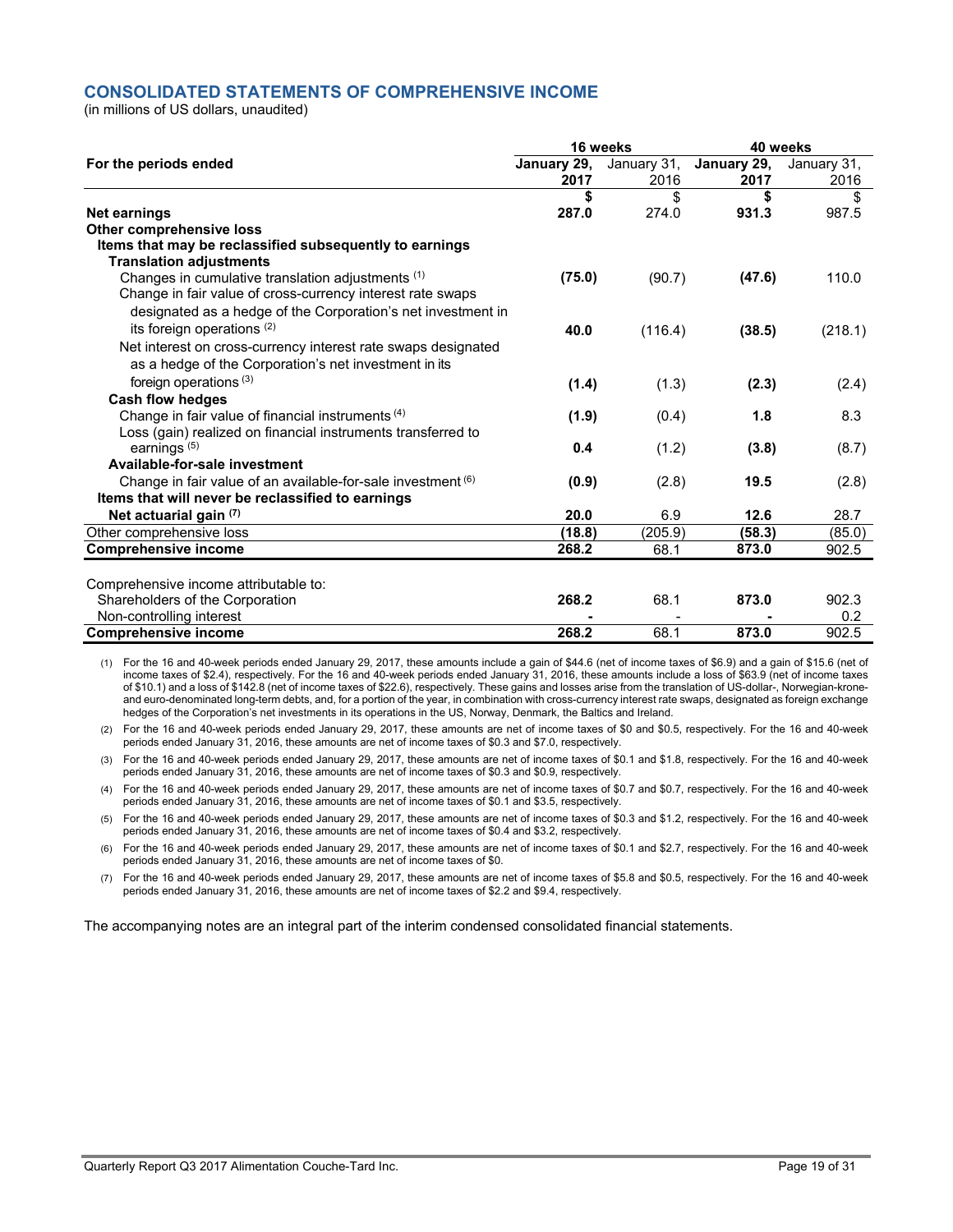## **CONSOLIDATED STATEMENTS OF COMPREHENSIVE INCOME**

(in millions of US dollars, unaudited)

|                                                               |                     | 16 weeks            | 40 weeks            |                     |
|---------------------------------------------------------------|---------------------|---------------------|---------------------|---------------------|
| For the periods ended                                         | January 29,<br>2017 | January 31,<br>2016 | January 29,<br>2017 | January 31,<br>2016 |
|                                                               | \$                  | \$                  | \$                  | \$                  |
| <b>Net earnings</b>                                           | 287.0               | 274.0               | 931.3               | 987.5               |
| Other comprehensive loss                                      |                     |                     |                     |                     |
| Items that may be reclassified subsequently to earnings       |                     |                     |                     |                     |
| <b>Translation adjustments</b>                                |                     |                     |                     |                     |
| Changes in cumulative translation adjustments (1)             | (75.0)              | (90.7)              | (47.6)              | 110.0               |
| Change in fair value of cross-currency interest rate swaps    |                     |                     |                     |                     |
| designated as a hedge of the Corporation's net investment in  |                     |                     |                     |                     |
| its foreign operations (2)                                    | 40.0                | (116.4)             | (38.5)              | (218.1)             |
| Net interest on cross-currency interest rate swaps designated |                     |                     |                     |                     |
| as a hedge of the Corporation's net investment in its         |                     |                     |                     |                     |
| foreign operations <sup>(3)</sup>                             | (1.4)               | (1.3)               | (2.3)               | (2.4)               |
| <b>Cash flow hedges</b>                                       |                     |                     |                     |                     |
| Change in fair value of financial instruments (4)             | (1.9)               | (0.4)               | 1.8                 | 8.3                 |
| Loss (gain) realized on financial instruments transferred to  |                     |                     |                     |                     |
| earnings $(5)$                                                | 0.4                 | (1.2)               | (3.8)               | (8.7)               |
| Available-for-sale investment                                 |                     |                     |                     |                     |
| Change in fair value of an available-for-sale investment (6)  | (0.9)               | (2.8)               | 19.5                | (2.8)               |
| Items that will never be reclassified to earnings             |                     |                     |                     |                     |
| Net actuarial gain (7)                                        | 20.0                | 6.9                 | 12.6                | 28.7                |
| Other comprehensive loss                                      | (18.8)              | (205.9)             | (58.3)              | (85.0)              |
| <b>Comprehensive income</b>                                   | 268.2               | 68.1                | 873.0               | 902.5               |
|                                                               |                     |                     |                     |                     |
| Comprehensive income attributable to:                         |                     |                     |                     |                     |
| Shareholders of the Corporation                               | 268.2               | 68.1                | 873.0               | 902.3               |
| Non-controlling interest                                      |                     |                     |                     | 0.2                 |
| <b>Comprehensive income</b>                                   | 268.2               | 68.1                | 873.0               | 902.5               |

(1) For the 16 and 40-week periods ended January 29, 2017, these amounts include a gain of \$44.6 (net of income taxes of \$6.9) and a gain of \$15.6 (net of income taxes of \$2.4), respectively. For the 16 and 40-week periods ended January 31, 2016, these amounts include a loss of \$63.9 (net of income taxes of \$10.1) and a loss of \$142.8 (net of income taxes of \$22.6), respectively. These gains and losses arise from the translation of US-dollar-, Norwegian-kroneand euro-denominated long-term debts, and, for a portion of the year, in combination with cross-currency interest rate swaps, designated as foreign exchange hedges of the Corporation's net investments in its operations in the US, Norway, Denmark, the Baltics and Ireland.

(2) For the 16 and 40-week periods ended January 29, 2017, these amounts are net of income taxes of \$0 and \$0.5, respectively. For the 16 and 40-week periods ended January 31, 2016, these amounts are net of income taxes of \$0.3 and \$7.0, respectively.

(3) For the 16 and 40-week periods ended January 29, 2017, these amounts are net of income taxes of \$0.1 and \$1.8, respectively. For the 16 and 40-week periods ended January 31, 2016, these amounts are net of income taxes of \$0.3 and \$0.9, respectively.

(4) For the 16 and 40-week periods ended January 29, 2017, these amounts are net of income taxes of \$0.7 and \$0.7, respectively. For the 16 and 40-week periods ended January 31, 2016, these amounts are net of income taxes of \$0.1 and \$3.5, respectively.

(5) For the 16 and 40-week periods ended January 29, 2017, these amounts are net of income taxes of \$0.3 and \$1.2, respectively. For the 16 and 40-week periods ended January 31, 2016, these amounts are net of income taxes of \$0.4 and \$3.2, respectively.

(6) For the 16 and 40-week periods ended January 29, 2017, these amounts are net of income taxes of \$0.1 and \$2.7, respectively. For the 16 and 40-week periods ended January 31, 2016, these amounts are net of income taxes of \$0.

(7) For the 16 and 40-week periods ended January 29, 2017, these amounts are net of income taxes of \$5.8 and \$0.5, respectively. For the 16 and 40-week periods ended January 31, 2016, these amounts are net of income taxes of \$2.2 and \$9.4, respectively.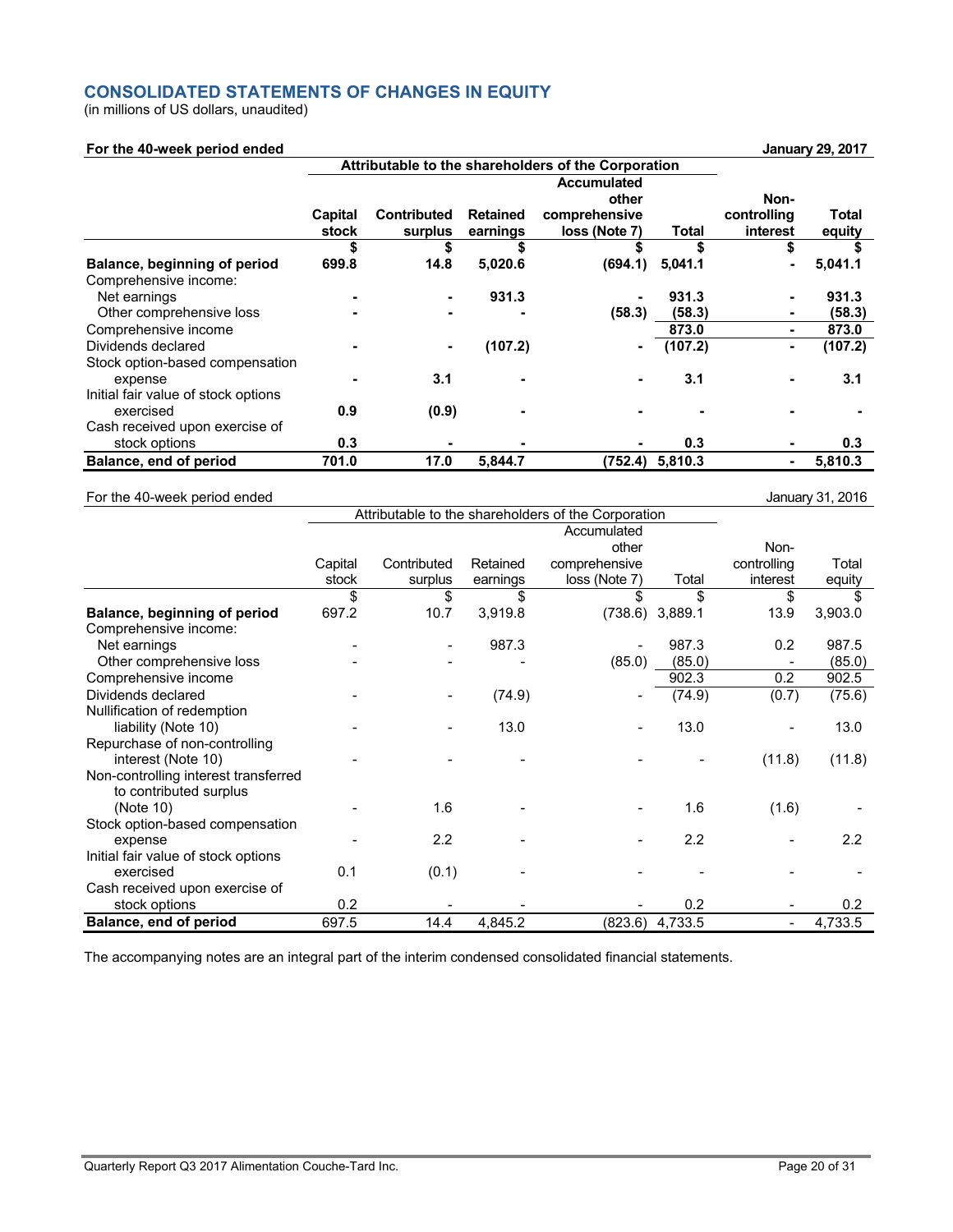## **CONSOLIDATED STATEMENTS OF CHANGES IN EQUITY**

(in millions of US dollars, unaudited)

#### **For the 40-week period ended January 29, 2017**

|                                     |         |                    |                 | Attributable to the shareholders of the Corporation |                 |             |         |
|-------------------------------------|---------|--------------------|-----------------|-----------------------------------------------------|-----------------|-------------|---------|
|                                     |         |                    |                 | <b>Accumulated</b>                                  |                 |             |         |
|                                     |         |                    |                 | other                                               |                 | Non-        |         |
|                                     | Capital | <b>Contributed</b> | <b>Retained</b> | comprehensive                                       |                 | controlling | Total   |
|                                     | stock   | surplus            | earnings        | loss (Note 7)                                       | Total           | interest    | equity  |
|                                     | S       | \$                 |                 | \$                                                  | S               | S           |         |
| Balance, beginning of period        | 699.8   | 14.8               | 5,020.6         | (694.1)                                             | 5,041.1         | ٠           | 5,041.1 |
| Comprehensive income:               |         |                    |                 |                                                     |                 |             |         |
| Net earnings                        |         |                    | 931.3           |                                                     | 931.3           |             | 931.3   |
| Other comprehensive loss            |         |                    |                 | (58.3)                                              | (58.3)          |             | (58.3)  |
| Comprehensive income                |         |                    |                 |                                                     | 873.0           |             | 873.0   |
| Dividends declared                  |         | $\blacksquare$     | (107.2)         |                                                     | (107.2)         |             | (107.2) |
| Stock option-based compensation     |         |                    |                 |                                                     |                 |             |         |
| expense                             |         | 3.1                |                 |                                                     | 3.1             |             | 3.1     |
| Initial fair value of stock options |         |                    |                 |                                                     |                 |             |         |
| exercised                           | 0.9     | (0.9)              |                 |                                                     |                 |             |         |
| Cash received upon exercise of      |         |                    |                 |                                                     |                 |             |         |
| stock options                       | 0.3     |                    |                 |                                                     | 0.3             |             | 0.3     |
| Balance, end of period              | 701.0   | 17.0               | 5,844.7         |                                                     | (752.4) 5,810.3 |             | 5,810.3 |

#### For the 40-week period ended and the state of the 40-week period ended January 31, 2016

|                                      |         | Attributable to the shareholders of the Corporation |          |                          |                   |             |         |
|--------------------------------------|---------|-----------------------------------------------------|----------|--------------------------|-------------------|-------------|---------|
|                                      |         |                                                     |          | Accumulated              |                   |             |         |
|                                      |         |                                                     |          | other                    |                   | Non-        |         |
|                                      | Capital | Contributed                                         | Retained | comprehensive            |                   | controlling | Total   |
|                                      | stock   | surplus                                             | earnings | loss (Note 7)            | Total             | interest    | equity  |
|                                      | \$      | \$                                                  |          | \$                       | \$                | \$          | \$      |
| Balance, beginning of period         | 697.2   | 10.7                                                | 3,919.8  | (738.6)                  | 3,889.1           | 13.9        | 3,903.0 |
| Comprehensive income:                |         |                                                     |          |                          |                   |             |         |
| Net earnings                         |         |                                                     | 987.3    |                          | 987.3             | 0.2         | 987.5   |
| Other comprehensive loss             |         |                                                     |          | (85.0)                   | (85.0)            |             | (85.0)  |
| Comprehensive income                 |         |                                                     |          |                          | 902.3             | 0.2         | 902.5   |
| Dividends declared                   |         |                                                     | (74.9)   | $\overline{\phantom{a}}$ | (74.9)            | (0.7)       | (75.6)  |
| Nullification of redemption          |         |                                                     |          |                          |                   |             |         |
| liability (Note 10)                  |         |                                                     | 13.0     |                          | 13.0              |             | 13.0    |
| Repurchase of non-controlling        |         |                                                     |          |                          |                   |             |         |
| interest (Note 10)                   |         |                                                     |          |                          |                   | (11.8)      | (11.8)  |
| Non-controlling interest transferred |         |                                                     |          |                          |                   |             |         |
| to contributed surplus               |         |                                                     |          |                          |                   |             |         |
| (Note 10)                            |         | 1.6                                                 |          |                          | 1.6               | (1.6)       |         |
| Stock option-based compensation      |         |                                                     |          |                          |                   |             |         |
| expense                              |         | 2.2                                                 |          |                          | 2.2               |             | 2.2     |
| Initial fair value of stock options  |         |                                                     |          |                          |                   |             |         |
| exercised                            | 0.1     | (0.1)                                               |          |                          |                   |             |         |
| Cash received upon exercise of       |         |                                                     |          |                          |                   |             |         |
| stock options                        | 0.2     |                                                     |          |                          | 0.2               |             | 0.2     |
| Balance, end of period               | 697.5   | 14.4                                                | 4,845.2  |                          | $(823.6)$ 4,733.5 |             | 4,733.5 |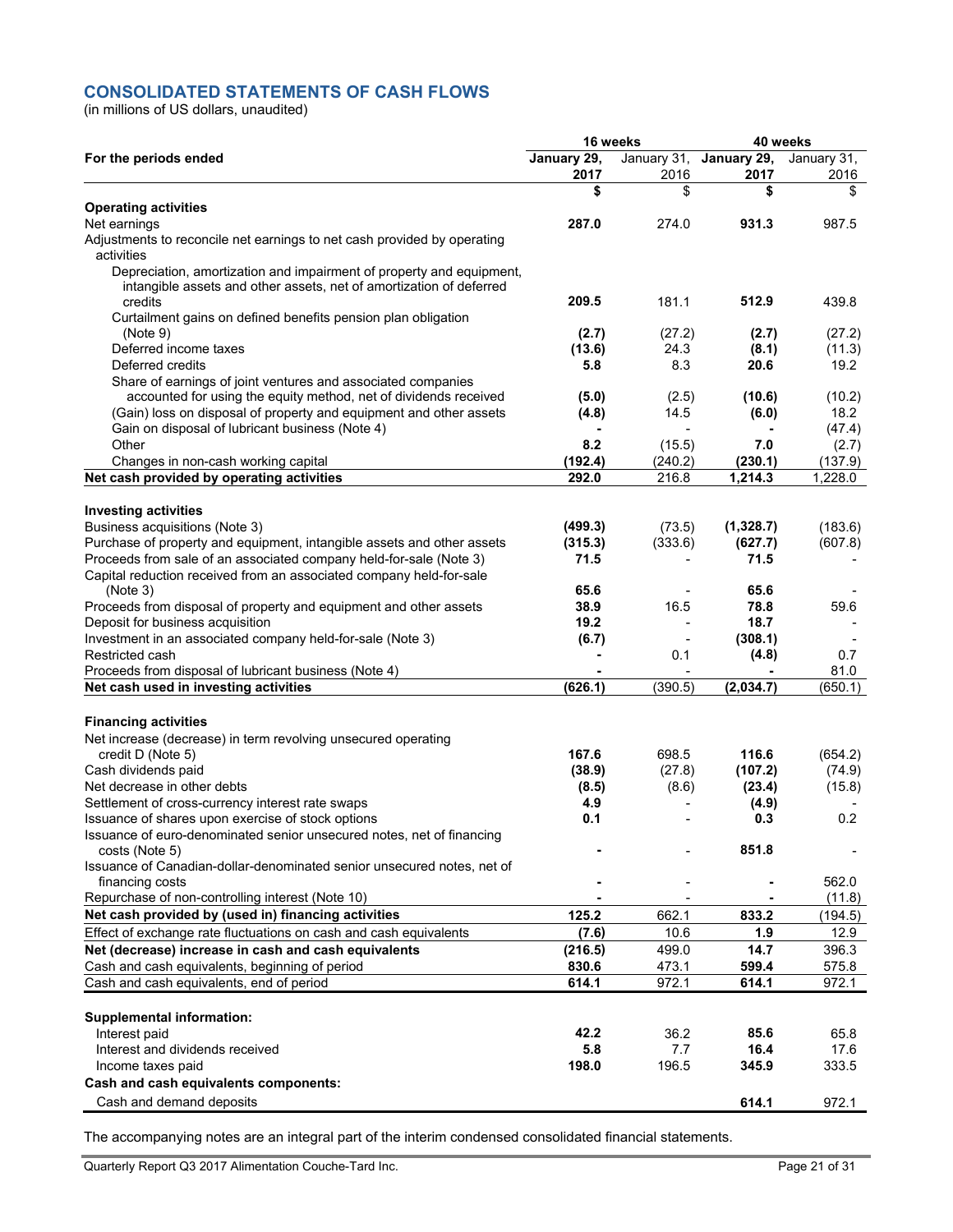# **CONSOLIDATED STATEMENTS OF CASH FLOWS**

(in millions of US dollars, unaudited)

|                                                                                                                                                        |                     | 16 weeks            | 40 weeks            |                     |  |
|--------------------------------------------------------------------------------------------------------------------------------------------------------|---------------------|---------------------|---------------------|---------------------|--|
| For the periods ended                                                                                                                                  | January 29,<br>2017 | January 31,<br>2016 | January 29,<br>2017 | January 31,<br>2016 |  |
|                                                                                                                                                        | \$                  | \$                  | \$                  | \$                  |  |
| <b>Operating activities</b>                                                                                                                            |                     |                     |                     |                     |  |
| Net earnings                                                                                                                                           | 287.0               | 274.0               | 931.3               | 987.5               |  |
| Adjustments to reconcile net earnings to net cash provided by operating<br>activities                                                                  |                     |                     |                     |                     |  |
| Depreciation, amortization and impairment of property and equipment,<br>intangible assets and other assets, net of amortization of deferred<br>credits | 209.5               | 181.1               | 512.9               | 439.8               |  |
| Curtailment gains on defined benefits pension plan obligation                                                                                          |                     |                     |                     |                     |  |
| (Note 9)                                                                                                                                               | (2.7)               | (27.2)              | (2.7)               | (27.2)              |  |
| Deferred income taxes                                                                                                                                  | (13.6)              | 24.3                | (8.1)               | (11.3)              |  |
| Deferred credits                                                                                                                                       | 5.8                 | 8.3                 | 20.6                | 19.2                |  |
| Share of earnings of joint ventures and associated companies                                                                                           |                     |                     |                     |                     |  |
| accounted for using the equity method, net of dividends received                                                                                       | (5.0)               | (2.5)               | (10.6)              | (10.2)              |  |
| (Gain) loss on disposal of property and equipment and other assets                                                                                     | (4.8)               | 14.5                | (6.0)               | 18.2                |  |
| Gain on disposal of lubricant business (Note 4)                                                                                                        |                     |                     |                     | (47.4)              |  |
| Other                                                                                                                                                  | 8.2                 | (15.5)              | 7.0                 | (2.7)               |  |
| Changes in non-cash working capital                                                                                                                    | (192.4)             | (240.2)             | (230.1)             | (137.9)             |  |
| Net cash provided by operating activities                                                                                                              | 292.0               | 216.8               | 1,214.3             | 1,228.0             |  |
| <b>Investing activities</b>                                                                                                                            |                     |                     |                     |                     |  |
| Business acquisitions (Note 3)                                                                                                                         | (499.3)             | (73.5)              | (1,328.7)           | (183.6)             |  |
| Purchase of property and equipment, intangible assets and other assets                                                                                 | (315.3)             | (333.6)             | (627.7)             | (607.8)             |  |
| Proceeds from sale of an associated company held-for-sale (Note 3)                                                                                     | 71.5                |                     | 71.5                |                     |  |
| Capital reduction received from an associated company held-for-sale                                                                                    |                     |                     |                     |                     |  |
| (Note 3)                                                                                                                                               | 65.6                |                     | 65.6                |                     |  |
| Proceeds from disposal of property and equipment and other assets                                                                                      | 38.9                | 16.5                | 78.8                | 59.6                |  |
| Deposit for business acquisition                                                                                                                       | 19.2                |                     | 18.7                |                     |  |
| Investment in an associated company held-for-sale (Note 3)                                                                                             | (6.7)               |                     | (308.1)             |                     |  |
| Restricted cash                                                                                                                                        |                     | 0.1                 | (4.8)               | 0.7                 |  |
| Proceeds from disposal of lubricant business (Note 4)                                                                                                  | $\blacksquare$      |                     |                     | 81.0                |  |
| Net cash used in investing activities                                                                                                                  | (626.1)             | (390.5)             | (2,034.7)           | (650.1)             |  |
| <b>Financing activities</b>                                                                                                                            |                     |                     |                     |                     |  |
| Net increase (decrease) in term revolving unsecured operating                                                                                          |                     |                     |                     |                     |  |
| credit D (Note 5)                                                                                                                                      | 167.6               | 698.5               | 116.6               | (654.2)             |  |
| Cash dividends paid                                                                                                                                    | (38.9)              | (27.8)              | (107.2)             | (74.9)              |  |
| Net decrease in other debts                                                                                                                            | (8.5)               | (8.6)               | (23.4)              | (15.8)              |  |
| Settlement of cross-currency interest rate swaps                                                                                                       | 4.9                 |                     | (4.9)               |                     |  |
| Issuance of shares upon exercise of stock options                                                                                                      | 0.1                 |                     | 0.3                 | 0.2                 |  |
| Issuance of euro-denominated senior unsecured notes, net of financing<br>costs (Note 5)                                                                |                     |                     | 851.8               |                     |  |
| Issuance of Canadian-dollar-denominated senior unsecured notes, net of                                                                                 |                     |                     |                     |                     |  |
| financing costs                                                                                                                                        |                     |                     |                     | 562.0               |  |
| Repurchase of non-controlling interest (Note 10)                                                                                                       |                     |                     |                     | (11.8)              |  |
| Net cash provided by (used in) financing activities                                                                                                    | 125.2               | 662.1               | 833.2               | (194.5)             |  |
| Effect of exchange rate fluctuations on cash and cash equivalents                                                                                      | (7.6)               | 10.6                | 1.9                 | 12.9                |  |
| Net (decrease) increase in cash and cash equivalents                                                                                                   | (216.5)             | 499.0               | 14.7                | 396.3               |  |
| Cash and cash equivalents, beginning of period                                                                                                         | 830.6               | 473.1               | 599.4               | 575.8               |  |
| Cash and cash equivalents, end of period                                                                                                               | 614.1               | 972.1               | 614.1               | 972.1               |  |
|                                                                                                                                                        |                     |                     |                     |                     |  |
| <b>Supplemental information:</b>                                                                                                                       |                     |                     |                     |                     |  |
| Interest paid                                                                                                                                          | 42.2                | 36.2                | 85.6                | 65.8                |  |
| Interest and dividends received                                                                                                                        | 5.8                 | 7.7                 | 16.4                | 17.6                |  |
| Income taxes paid                                                                                                                                      | 198.0               | 196.5               | 345.9               | 333.5               |  |
| Cash and cash equivalents components:                                                                                                                  |                     |                     |                     |                     |  |
| Cash and demand deposits                                                                                                                               |                     |                     | 614.1               | 972.1               |  |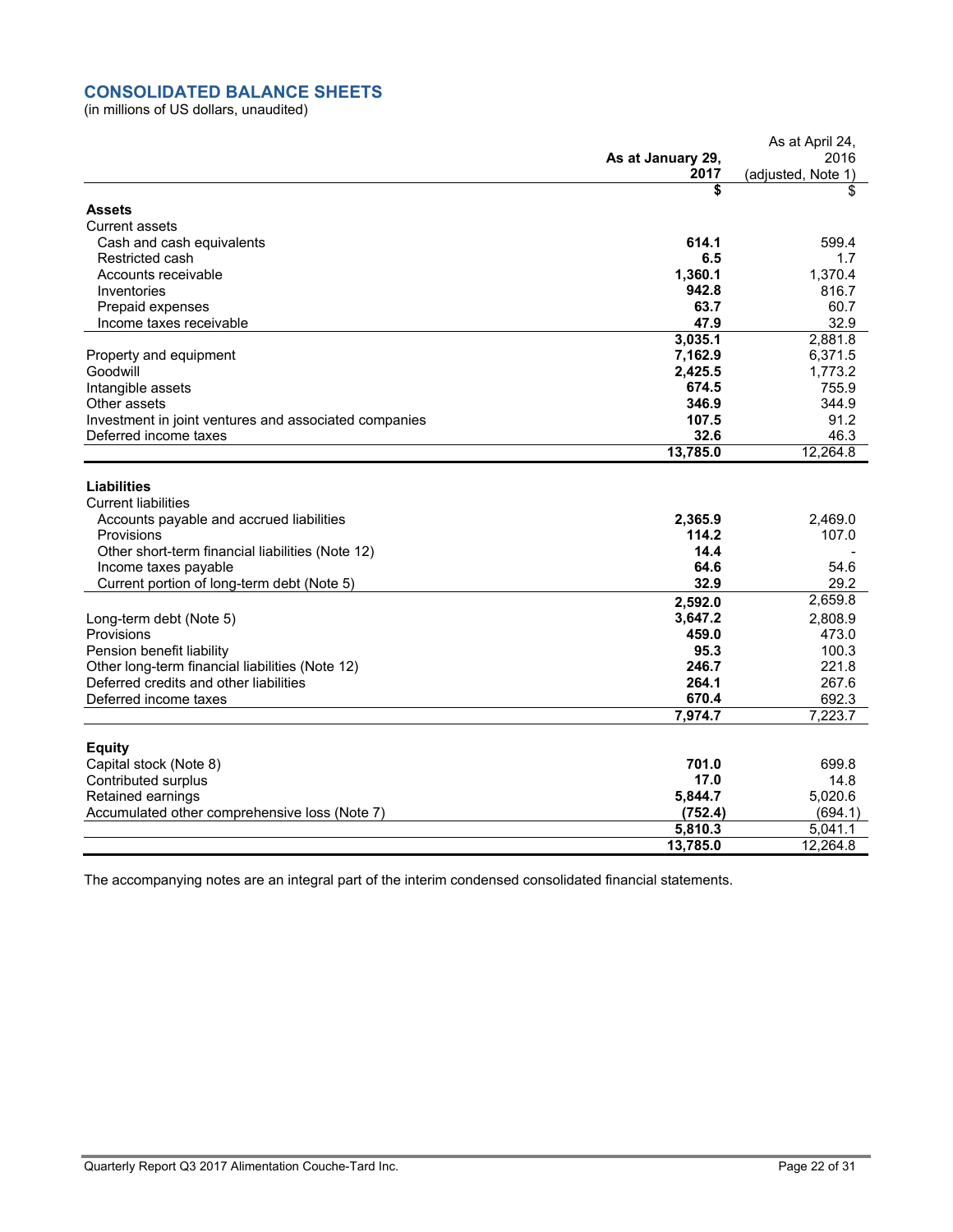# **CONSOLIDATED BALANCE SHEETS**

(in millions of US dollars, unaudited)

|                                                        |                   | As at April 24,      |
|--------------------------------------------------------|-------------------|----------------------|
|                                                        | As at January 29, | 2016                 |
|                                                        | 2017              | (adjusted, Note 1)   |
|                                                        | \$                | \$                   |
| <b>Assets</b>                                          |                   |                      |
| <b>Current assets</b>                                  |                   |                      |
| Cash and cash equivalents                              | 614.1             | 599.4                |
| Restricted cash                                        | 6.5               | 1.7                  |
| Accounts receivable                                    | 1,360.1           | 1,370.4              |
| Inventories                                            | 942.8             | 816.7                |
| Prepaid expenses                                       | 63.7              | 60.7                 |
| Income taxes receivable                                | 47.9              | 32.9                 |
|                                                        | 3,035.1           | 2,881.8              |
| Property and equipment                                 | 7,162.9           | 6,371.5              |
| Goodwill                                               | 2,425.5           | 1,773.2              |
| Intangible assets                                      | 674.5             | 755.9                |
| Other assets                                           | 346.9             | 344.9                |
| Investment in joint ventures and associated companies  | 107.5             | 91.2                 |
| Deferred income taxes                                  | 32.6              | 46.3                 |
|                                                        | 13,785.0          | 12,264.8             |
|                                                        |                   |                      |
| Liabilities                                            |                   |                      |
| <b>Current liabilities</b>                             |                   |                      |
|                                                        | 2,365.9           |                      |
| Accounts payable and accrued liabilities<br>Provisions | 114.2             | 2,469.0<br>107.0     |
|                                                        |                   |                      |
| Other short-term financial liabilities (Note 12)       | 14.4              |                      |
| Income taxes payable                                   | 64.6              | 54.6                 |
| Current portion of long-term debt (Note 5)             | 32.9              | 29.2                 |
|                                                        | 2,592.0           | 2,659.8              |
| Long-term debt (Note 5)                                | 3,647.2           | 2,808.9              |
| Provisions                                             | 459.0             | 473.0                |
| Pension benefit liability                              | 95.3              | 100.3                |
| Other long-term financial liabilities (Note 12)        | 246.7             | 221.8                |
| Deferred credits and other liabilities                 | 264.1             | 267.6                |
| Deferred income taxes                                  | 670.4             | 692.3                |
|                                                        | 7,974.7           | $7,223.\overline{7}$ |
|                                                        |                   |                      |
| <b>Equity</b>                                          |                   |                      |
| Capital stock (Note 8)                                 | 701.0             | 699.8                |
| Contributed surplus                                    | 17.0              | 14.8                 |
| Retained earnings                                      | 5,844.7           | 5,020.6              |
| Accumulated other comprehensive loss (Note 7)          | (752.4)           | (694.1)              |
|                                                        | 5,810.3           | 5.041.1              |
|                                                        | 13,785.0          | 12,264.8             |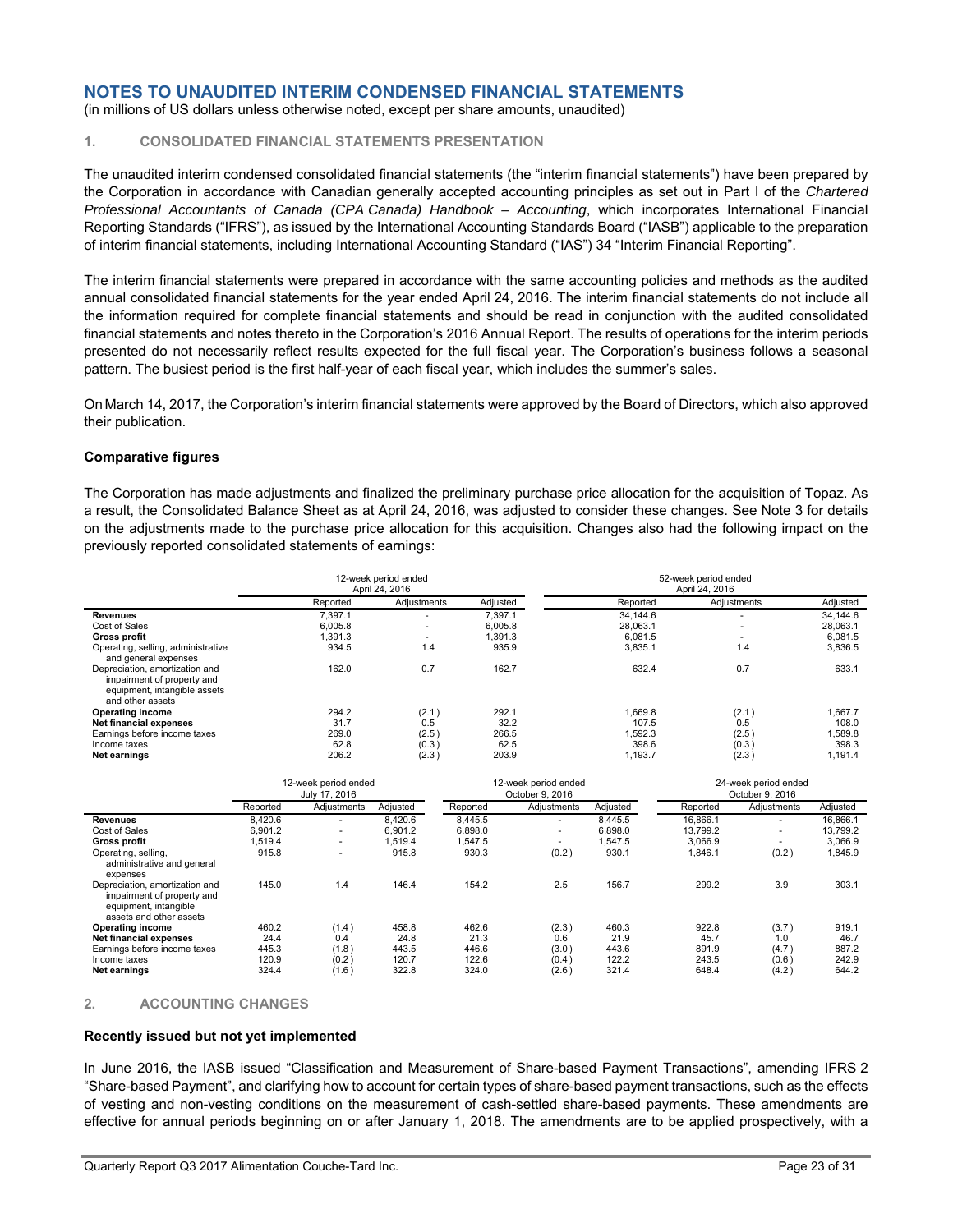(in millions of US dollars unless otherwise noted, except per share amounts, unaudited)

#### **1. CONSOLIDATED FINANCIAL STATEMENTS PRESENTATION**

The unaudited interim condensed consolidated financial statements (the "interim financial statements") have been prepared by the Corporation in accordance with Canadian generally accepted accounting principles as set out in Part I of the *Chartered Professional Accountants of Canada (CPA Canada) Handbook – Accounting*, which incorporates International Financial Reporting Standards ("IFRS"), as issued by the International Accounting Standards Board ("IASB") applicable to the preparation of interim financial statements, including International Accounting Standard ("IAS") 34 "Interim Financial Reporting".

The interim financial statements were prepared in accordance with the same accounting policies and methods as the audited annual consolidated financial statements for the year ended April 24, 2016. The interim financial statements do not include all the information required for complete financial statements and should be read in conjunction with the audited consolidated financial statements and notes thereto in the Corporation's 2016 Annual Report. The results of operations for the interim periods presented do not necessarily reflect results expected for the full fiscal year. The Corporation's business follows a seasonal pattern. The busiest period is the first half-year of each fiscal year, which includes the summer's sales.

On March 14, 2017, the Corporation's interim financial statements were approved by the Board of Directors, which also approved their publication.

#### **Comparative figures**

The Corporation has made adjustments and finalized the preliminary purchase price allocation for the acquisition of Topaz. As a result, the Consolidated Balance Sheet as at April 24, 2016, was adjusted to consider these changes. See Note 3 for details on the adjustments made to the purchase price allocation for this acquisition. Changes also had the following impact on the previously reported consolidated statements of earnings:

|                                                                                                                  | 12-week period ended<br>April 24, 2016 |                          |          |          | 52-week period ended<br>April 24, 2016 |          |
|------------------------------------------------------------------------------------------------------------------|----------------------------------------|--------------------------|----------|----------|----------------------------------------|----------|
|                                                                                                                  | Reported                               | Adjustments              | Adjusted | Reported | Adjustments                            | Adjusted |
| <b>Revenues</b>                                                                                                  | 7.397.1                                | $\overline{a}$           | 7.397.1  | 34.144.6 | $\overline{a}$                         | 34.144.6 |
| Cost of Sales                                                                                                    | 6,005.8                                | $\overline{a}$           | 6.005.8  | 28.063.1 | $\overline{\phantom{a}}$               | 28.063.1 |
| Gross profit                                                                                                     | 1.391.3                                | $\overline{\phantom{a}}$ | .391.3   | 6.081.5  | $\overline{\phantom{a}}$               | 6.081.5  |
| Operating, selling, administrative<br>and general expenses                                                       | 934.5                                  | 1.4                      | 935.9    | 3,835.1  | 1.4                                    | 3.836.5  |
| Depreciation, amortization and<br>impairment of property and<br>equipment, intangible assets<br>and other assets | 162.0                                  | 0.7                      | 162.7    | 632.4    | 0.7                                    | 633.1    |
| <b>Operating income</b>                                                                                          | 294.2                                  | (2.1)                    | 292.1    | 1,669.8  | (2.1)                                  | 1.667.7  |
| Net financial expenses                                                                                           | 31.7                                   | 0.5                      | 32.2     | 107.5    | 0.5                                    | 108.0    |
| Earnings before income taxes                                                                                     | 269.0                                  | (2.5)                    | 266.5    | 1,592.3  | (2.5)                                  | 1.589.8  |
| Income taxes                                                                                                     | 62.8                                   | (0.3)                    | 62.5     | 398.6    | (0.3)                                  | 398.3    |
| Net earnings                                                                                                     | 206.2                                  | (2.3)                    | 203.9    | 1.193.7  | (2.3)                                  | 1.191.4  |

|                                                                                                                  |          | 12-week period ended<br>July 17, 2016 |          |          | 12-week period ended<br>October 9, 2016 |          |          | 24-week period ended<br>October 9, 2016 |          |
|------------------------------------------------------------------------------------------------------------------|----------|---------------------------------------|----------|----------|-----------------------------------------|----------|----------|-----------------------------------------|----------|
|                                                                                                                  | Reported | Adjustments                           | Adjusted | Reported | Adjustments                             | Adjusted | Reported | Adjustments                             | Adjusted |
| Revenues                                                                                                         | 8,420.6  | $\overline{\phantom{a}}$              | 8.420.6  | 8,445.5  | $\sim$                                  | 8.445.5  | 16.866.1 | $\overline{\phantom{a}}$                | 16.866.1 |
| Cost of Sales                                                                                                    | 6,901.2  | ۰                                     | 6.901.2  | 6,898.0  | ٠                                       | 6.898.0  | 13.799.2 | ۰                                       | 13.799.2 |
| <b>Gross profit</b>                                                                                              | 1,519.4  | $\sim$                                | 1.519.4  | 1.547.5  | $\sim$                                  | 1.547.5  | 3,066.9  | $\overline{\phantom{a}}$                | 3.066.9  |
| Operating, selling,<br>administrative and general<br>expenses                                                    | 915.8    | $\overline{\phantom{a}}$              | 915.8    | 930.3    | (0.2)                                   | 930.1    | 1.846.1  | (0.2)                                   | 1,845.9  |
| Depreciation, amortization and<br>impairment of property and<br>equipment, intangible<br>assets and other assets | 145.0    | 1.4                                   | 146.4    | 154.2    | 2.5                                     | 156.7    | 299.2    | 3.9                                     | 303.1    |
| <b>Operating income</b>                                                                                          | 460.2    | (1.4)                                 | 458.8    | 462.6    | (2.3)                                   | 460.3    | 922.8    | (3.7)                                   | 919.1    |
| Net financial expenses                                                                                           | 24.4     | 0.4                                   | 24.8     | 21.3     | 0.6                                     | 21.9     | 45.7     | 1.0                                     | 46.7     |
| Earnings before income taxes                                                                                     | 445.3    | (1.8)                                 | 443.5    | 446.6    | (3.0)                                   | 443.6    | 891.9    | (4.7)                                   | 887.2    |
| Income taxes                                                                                                     | 120.9    | (0.2)                                 | 120.7    | 122.6    | (0.4)                                   | 122.2    | 243.5    | (0.6)                                   | 242.9    |
| Net earnings                                                                                                     | 324.4    | (1.6)                                 | 322.8    | 324.0    | (2.6)                                   | 321.4    | 648.4    | (4.2)                                   | 644.2    |

#### **2. ACCOUNTING CHANGES**

#### **Recently issued but not yet implemented**

In June 2016, the IASB issued "Classification and Measurement of Share-based Payment Transactions", amending IFRS 2 "Share-based Payment", and clarifying how to account for certain types of share-based payment transactions, such as the effects of vesting and non-vesting conditions on the measurement of cash-settled share-based payments. These amendments are effective for annual periods beginning on or after January 1, 2018. The amendments are to be applied prospectively, with a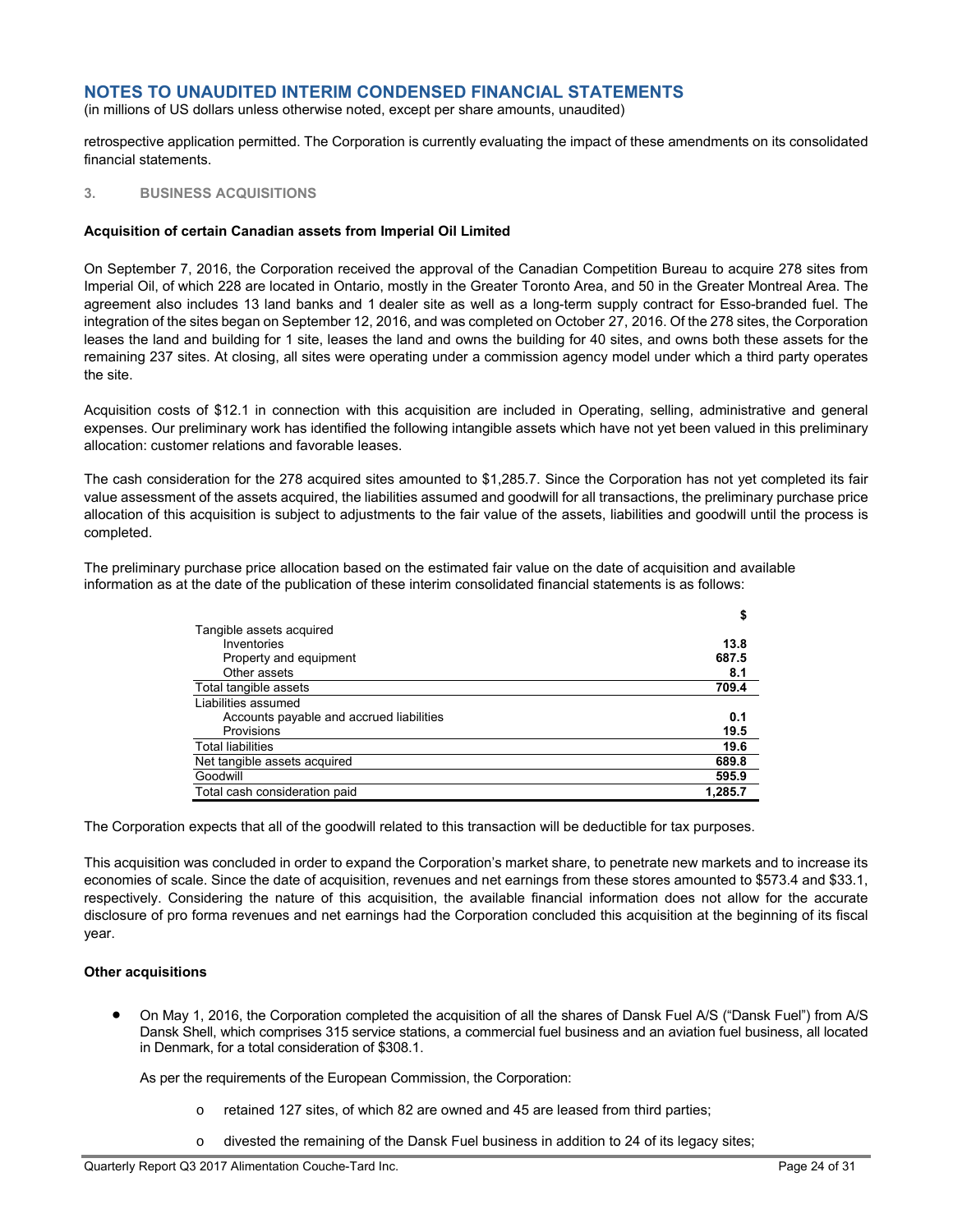(in millions of US dollars unless otherwise noted, except per share amounts, unaudited)

retrospective application permitted. The Corporation is currently evaluating the impact of these amendments on its consolidated financial statements.

#### **3. BUSINESS ACQUISITIONS**

#### **Acquisition of certain Canadian assets from Imperial Oil Limited**

On September 7, 2016, the Corporation received the approval of the Canadian Competition Bureau to acquire 278 sites from Imperial Oil, of which 228 are located in Ontario, mostly in the Greater Toronto Area, and 50 in the Greater Montreal Area. The agreement also includes 13 land banks and 1 dealer site as well as a long-term supply contract for Esso-branded fuel. The integration of the sites began on September 12, 2016, and was completed on October 27, 2016. Of the 278 sites, the Corporation leases the land and building for 1 site, leases the land and owns the building for 40 sites, and owns both these assets for the remaining 237 sites. At closing, all sites were operating under a commission agency model under which a third party operates the site.

Acquisition costs of \$12.1 in connection with this acquisition are included in Operating, selling, administrative and general expenses. Our preliminary work has identified the following intangible assets which have not yet been valued in this preliminary allocation: customer relations and favorable leases.

The cash consideration for the 278 acquired sites amounted to \$1,285.7. Since the Corporation has not yet completed its fair value assessment of the assets acquired, the liabilities assumed and goodwill for all transactions, the preliminary purchase price allocation of this acquisition is subject to adjustments to the fair value of the assets, liabilities and goodwill until the process is completed.

The preliminary purchase price allocation based on the estimated fair value on the date of acquisition and available information as at the date of the publication of these interim consolidated financial statements is as follows:

|                                          | \$      |
|------------------------------------------|---------|
| Tangible assets acquired                 |         |
| Inventories                              | 13.8    |
| Property and equipment                   | 687.5   |
| Other assets                             | 8.1     |
| Total tangible assets                    | 709.4   |
| Liabilities assumed                      |         |
| Accounts payable and accrued liabilities | 0.1     |
| <b>Provisions</b>                        | 19.5    |
| <b>Total liabilities</b>                 | 19.6    |
| Net tangible assets acquired             | 689.8   |
| Goodwill                                 | 595.9   |
| Total cash consideration paid            | 1.285.7 |

The Corporation expects that all of the goodwill related to this transaction will be deductible for tax purposes.

This acquisition was concluded in order to expand the Corporation's market share, to penetrate new markets and to increase its economies of scale. Since the date of acquisition, revenues and net earnings from these stores amounted to \$573.4 and \$33.1, respectively. Considering the nature of this acquisition, the available financial information does not allow for the accurate disclosure of pro forma revenues and net earnings had the Corporation concluded this acquisition at the beginning of its fiscal year.

#### **Other acquisitions**

 On May 1, 2016, the Corporation completed the acquisition of all the shares of Dansk Fuel A/S ("Dansk Fuel") from A/S Dansk Shell, which comprises 315 service stations, a commercial fuel business and an aviation fuel business, all located in Denmark, for a total consideration of \$308.1.

As per the requirements of the European Commission, the Corporation:

- $\circ$  retained 127 sites, of which 82 are owned and 45 are leased from third parties;
- o divested the remaining of the Dansk Fuel business in addition to 24 of its legacy sites;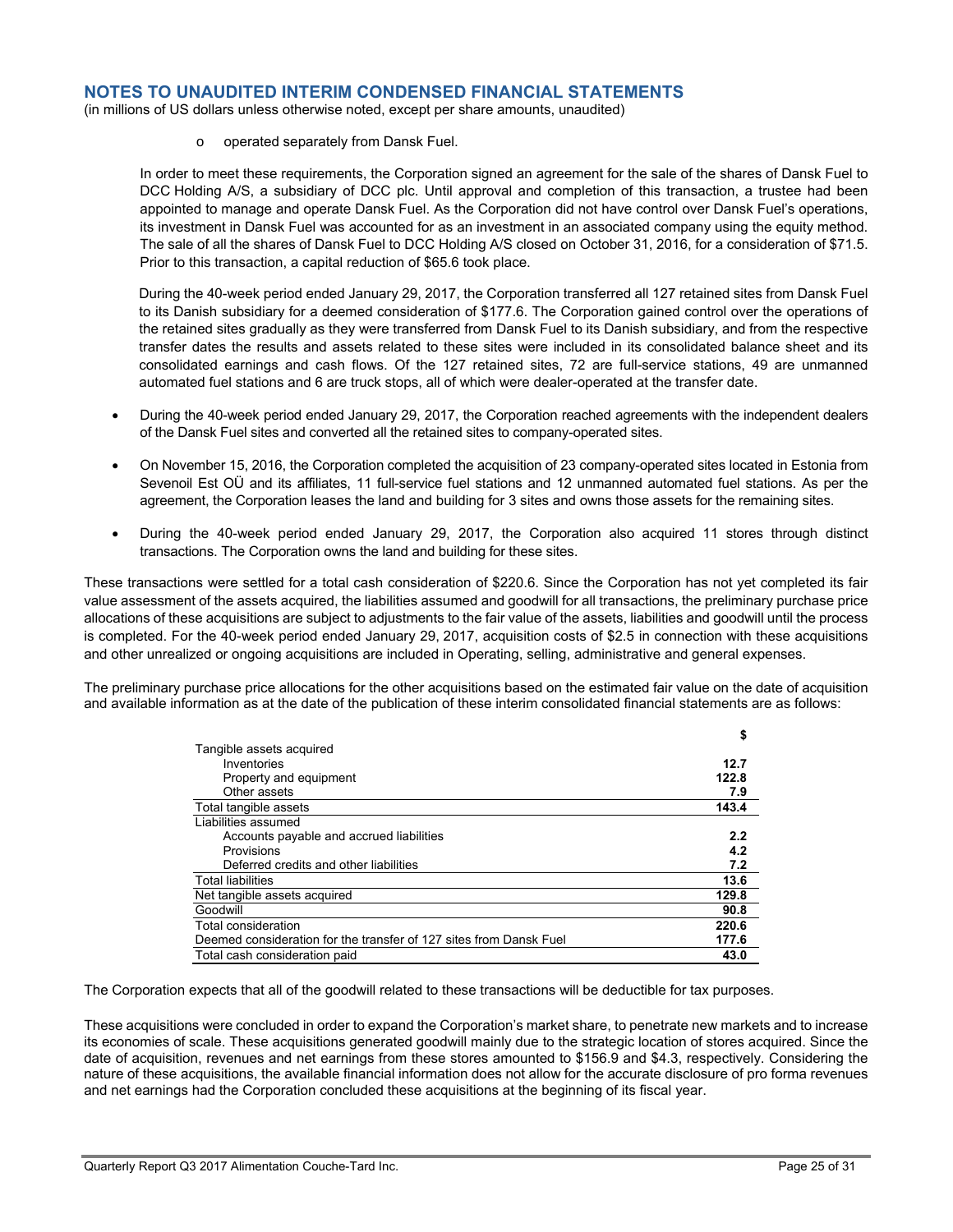(in millions of US dollars unless otherwise noted, except per share amounts, unaudited)

o operated separately from Dansk Fuel.

In order to meet these requirements, the Corporation signed an agreement for the sale of the shares of Dansk Fuel to DCC Holding A/S, a subsidiary of DCC plc. Until approval and completion of this transaction, a trustee had been appointed to manage and operate Dansk Fuel. As the Corporation did not have control over Dansk Fuel's operations, its investment in Dansk Fuel was accounted for as an investment in an associated company using the equity method. The sale of all the shares of Dansk Fuel to DCC Holding A/S closed on October 31, 2016, for a consideration of \$71.5. Prior to this transaction, a capital reduction of \$65.6 took place.

During the 40-week period ended January 29, 2017, the Corporation transferred all 127 retained sites from Dansk Fuel to its Danish subsidiary for a deemed consideration of \$177.6. The Corporation gained control over the operations of the retained sites gradually as they were transferred from Dansk Fuel to its Danish subsidiary, and from the respective transfer dates the results and assets related to these sites were included in its consolidated balance sheet and its consolidated earnings and cash flows. Of the 127 retained sites, 72 are full-service stations, 49 are unmanned automated fuel stations and 6 are truck stops, all of which were dealer-operated at the transfer date.

- During the 40-week period ended January 29, 2017, the Corporation reached agreements with the independent dealers of the Dansk Fuel sites and converted all the retained sites to company-operated sites.
- On November 15, 2016, the Corporation completed the acquisition of 23 company-operated sites located in Estonia from Sevenoil Est OÜ and its affiliates, 11 full-service fuel stations and 12 unmanned automated fuel stations. As per the agreement, the Corporation leases the land and building for 3 sites and owns those assets for the remaining sites.
- During the 40-week period ended January 29, 2017, the Corporation also acquired 11 stores through distinct transactions. The Corporation owns the land and building for these sites.

These transactions were settled for a total cash consideration of \$220.6. Since the Corporation has not yet completed its fair value assessment of the assets acquired, the liabilities assumed and goodwill for all transactions, the preliminary purchase price allocations of these acquisitions are subject to adjustments to the fair value of the assets, liabilities and goodwill until the process is completed. For the 40-week period ended January 29, 2017, acquisition costs of \$2.5 in connection with these acquisitions and other unrealized or ongoing acquisitions are included in Operating, selling, administrative and general expenses.

The preliminary purchase price allocations for the other acquisitions based on the estimated fair value on the date of acquisition and available information as at the date of the publication of these interim consolidated financial statements are as follows:

|                                                                    | \$    |
|--------------------------------------------------------------------|-------|
| Tangible assets acquired                                           |       |
| Inventories                                                        | 12.7  |
| Property and equipment                                             | 122.8 |
| Other assets                                                       | 7.9   |
| Total tangible assets                                              | 143.4 |
| Liabilities assumed                                                |       |
| Accounts payable and accrued liabilities                           | 2.2   |
| Provisions                                                         | 4.2   |
| Deferred credits and other liabilities                             | 7.2   |
| <b>Total liabilities</b>                                           | 13.6  |
| Net tangible assets acquired                                       | 129.8 |
| Goodwill                                                           | 90.8  |
| Total consideration                                                | 220.6 |
| Deemed consideration for the transfer of 127 sites from Dansk Fuel | 177.6 |
| Total cash consideration paid                                      | 43.0  |

The Corporation expects that all of the goodwill related to these transactions will be deductible for tax purposes.

These acquisitions were concluded in order to expand the Corporation's market share, to penetrate new markets and to increase its economies of scale. These acquisitions generated goodwill mainly due to the strategic location of stores acquired. Since the date of acquisition, revenues and net earnings from these stores amounted to \$156.9 and \$4.3, respectively. Considering the nature of these acquisitions, the available financial information does not allow for the accurate disclosure of pro forma revenues and net earnings had the Corporation concluded these acquisitions at the beginning of its fiscal year.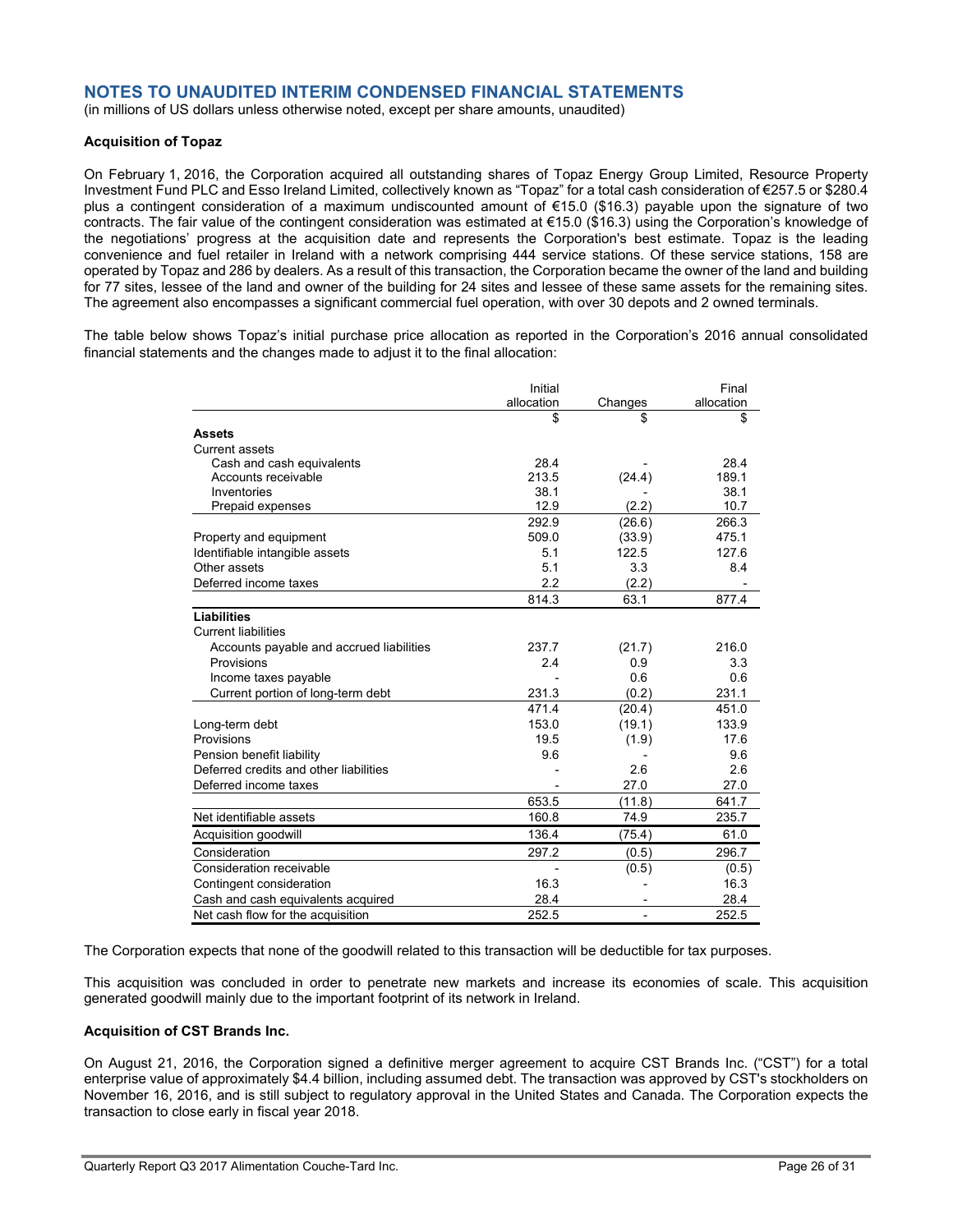(in millions of US dollars unless otherwise noted, except per share amounts, unaudited)

#### **Acquisition of Topaz**

On February 1, 2016, the Corporation acquired all outstanding shares of Topaz Energy Group Limited, Resource Property Investment Fund PLC and Esso Ireland Limited, collectively known as "Topaz" for a total cash consideration of €257.5 or \$280.4 plus a contingent consideration of a maximum undiscounted amount of €15.0 (\$16.3) payable upon the signature of two contracts. The fair value of the contingent consideration was estimated at €15.0 (\$16.3) using the Corporation's knowledge of the negotiations' progress at the acquisition date and represents the Corporation's best estimate. Topaz is the leading convenience and fuel retailer in Ireland with a network comprising 444 service stations. Of these service stations, 158 are operated by Topaz and 286 by dealers. As a result of this transaction, the Corporation became the owner of the land and building for 77 sites, lessee of the land and owner of the building for 24 sites and lessee of these same assets for the remaining sites. The agreement also encompasses a significant commercial fuel operation, with over 30 depots and 2 owned terminals.

The table below shows Topaz's initial purchase price allocation as reported in the Corporation's 2016 annual consolidated financial statements and the changes made to adjust it to the final allocation:

|                                          | Initial    |         | Final      |
|------------------------------------------|------------|---------|------------|
|                                          | allocation | Changes | allocation |
|                                          | \$         | \$.     | \$         |
| <b>Assets</b>                            |            |         |            |
| Current assets                           |            |         |            |
| Cash and cash equivalents                | 28.4       |         | 28.4       |
| Accounts receivable                      | 213.5      | (24.4)  | 189.1      |
| Inventories                              | 38.1       |         | 38.1       |
| Prepaid expenses                         | 12.9       | (2.2)   | 10.7       |
|                                          | 292.9      | (26.6)  | 266.3      |
| Property and equipment                   | 509.0      | (33.9)  | 475.1      |
| Identifiable intangible assets           | 5.1        | 122.5   | 127.6      |
| Other assets                             | 5.1        | 3.3     | 8.4        |
| Deferred income taxes                    | 2.2        | (2.2)   |            |
|                                          | 814.3      | 63.1    | 877.4      |
| <b>Liabilities</b>                       |            |         |            |
| <b>Current liabilities</b>               |            |         |            |
| Accounts payable and accrued liabilities | 237.7      | (21.7)  | 216.0      |
| Provisions                               | 2.4        | 0.9     | 3.3        |
| Income taxes payable                     |            | 0.6     | 0.6        |
| Current portion of long-term debt        | 231.3      | (0.2)   | 231.1      |
|                                          | 471.4      | (20.4)  | 451.0      |
| Long-term debt                           | 153.0      | (19.1)  | 133.9      |
| Provisions                               | 19.5       | (1.9)   | 17.6       |
| Pension benefit liability                | 9.6        |         | 9.6        |
| Deferred credits and other liabilities   |            | 2.6     | 2.6        |
| Deferred income taxes                    |            | 27.0    | 27.0       |
|                                          | 653.5      | (11.8)  | 641.7      |
| Net identifiable assets                  | 160.8      | 74.9    | 235.7      |
| Acquisition goodwill                     | 136.4      | (75.4)  | 61.0       |
| Consideration                            | 297.2      | (0.5)   | 296.7      |
| Consideration receivable                 |            | (0.5)   | (0.5)      |
| Contingent consideration                 | 16.3       |         | 16.3       |
| Cash and cash equivalents acquired       | 28.4       |         | 28.4       |
| Net cash flow for the acquisition        | 252.5      |         | 252.5      |

The Corporation expects that none of the goodwill related to this transaction will be deductible for tax purposes.

This acquisition was concluded in order to penetrate new markets and increase its economies of scale. This acquisition generated goodwill mainly due to the important footprint of its network in Ireland.

#### **Acquisition of CST Brands Inc.**

On August 21, 2016, the Corporation signed a definitive merger agreement to acquire CST Brands Inc. ("CST") for a total enterprise value of approximately \$4.4 billion, including assumed debt. The transaction was approved by CST's stockholders on November 16, 2016, and is still subject to regulatory approval in the United States and Canada. The Corporation expects the transaction to close early in fiscal year 2018.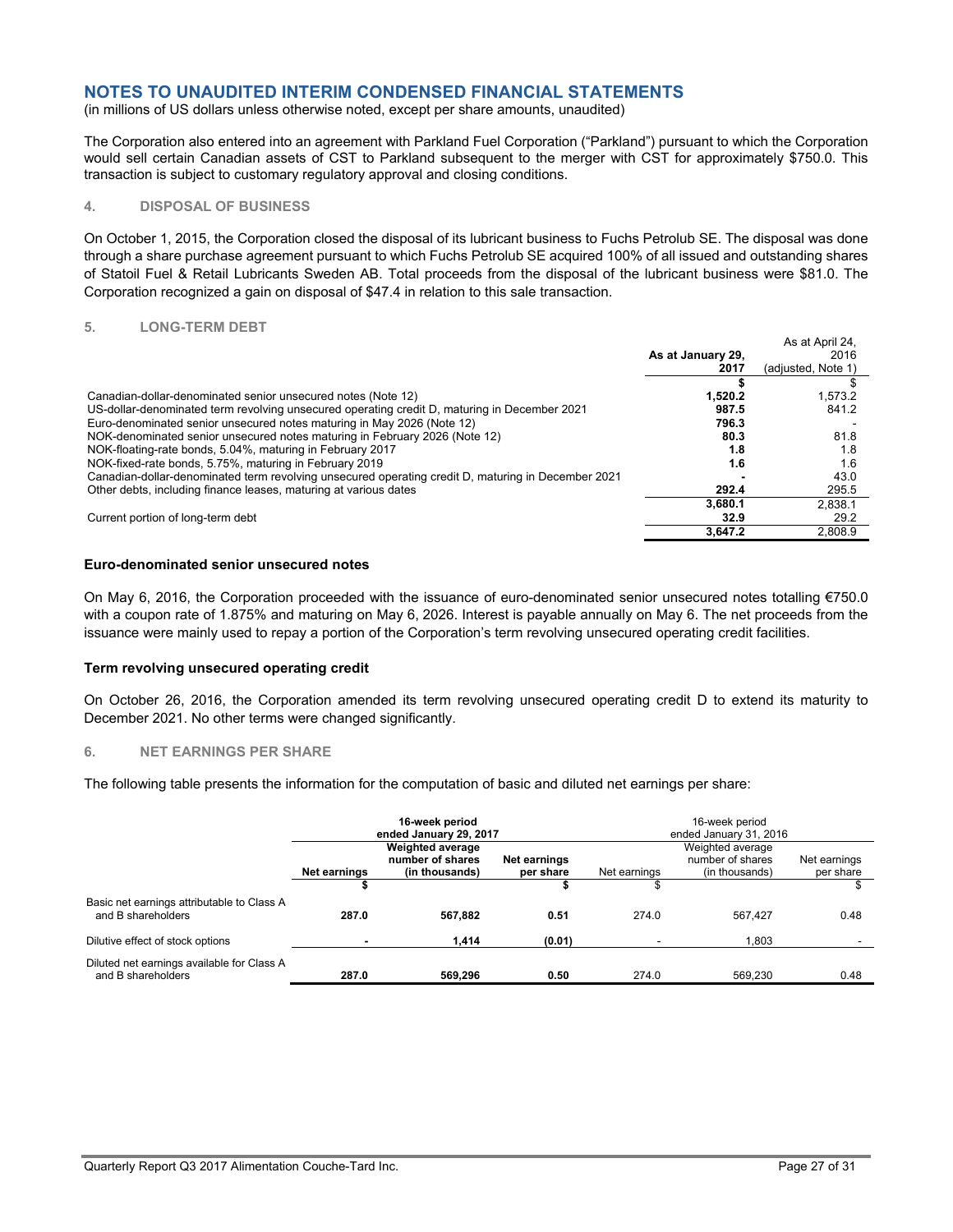(in millions of US dollars unless otherwise noted, except per share amounts, unaudited)

The Corporation also entered into an agreement with Parkland Fuel Corporation ("Parkland") pursuant to which the Corporation would sell certain Canadian assets of CST to Parkland subsequent to the merger with CST for approximately \$750.0. This transaction is subject to customary regulatory approval and closing conditions.

#### **4. DISPOSAL OF BUSINESS**

On October 1, 2015, the Corporation closed the disposal of its lubricant business to Fuchs Petrolub SE. The disposal was done through a share purchase agreement pursuant to which Fuchs Petrolub SE acquired 100% of all issued and outstanding shares of Statoil Fuel & Retail Lubricants Sweden AB. Total proceeds from the disposal of the lubricant business were \$81.0. The Corporation recognized a gain on disposal of \$47.4 in relation to this sale transaction.

#### **5. LONG-TERM DEBT**

|                                                                                                    |                   | As at April 24,    |
|----------------------------------------------------------------------------------------------------|-------------------|--------------------|
|                                                                                                    | As at January 29. | 2016               |
|                                                                                                    | 2017              | (adjusted, Note 1) |
|                                                                                                    |                   |                    |
| Canadian-dollar-denominated senior unsecured notes (Note 12)                                       | 1.520.2           | 1.573.2            |
| US-dollar-denominated term revolving unsecured operating credit D, maturing in December 2021       | 987.5             | 841.2              |
| Euro-denominated senior unsecured notes maturing in May 2026 (Note 12)                             | 796.3             |                    |
| NOK-denominated senior unsecured notes maturing in February 2026 (Note 12)                         | 80.3              | 81.8               |
| NOK-floating-rate bonds, 5.04%, maturing in February 2017                                          | 1.8               | 1.8                |
| NOK-fixed-rate bonds, 5.75%, maturing in February 2019                                             | 1.6               | 1.6                |
| Canadian-dollar-denominated term revolving unsecured operating credit D, maturing in December 2021 |                   | 43.0               |
| Other debts, including finance leases, maturing at various dates                                   | 292.4             | 295.5              |
|                                                                                                    | 3.680.1           | 2,838.1            |
| Current portion of long-term debt                                                                  | 32.9              | 29.2               |
|                                                                                                    | 3.647.2           | 2,808.9            |

### **Euro-denominated senior unsecured notes**

On May 6, 2016, the Corporation proceeded with the issuance of euro-denominated senior unsecured notes totalling €750.0 with a coupon rate of 1.875% and maturing on May 6, 2026. Interest is payable annually on May 6. The net proceeds from the issuance were mainly used to repay a portion of the Corporation's term revolving unsecured operating credit facilities.

#### **Term revolving unsecured operating credit**

On October 26, 2016, the Corporation amended its term revolving unsecured operating credit D to extend its maturity to December 2021. No other terms were changed significantly.

#### **6. NET EARNINGS PER SHARE**

The following table presents the information for the computation of basic and diluted net earnings per share:

|                                                                  |              | 16-week period<br>ended January 29, 2017               |                           | 16-week period<br>ended January 31, 2016                                                            |         |      |  |
|------------------------------------------------------------------|--------------|--------------------------------------------------------|---------------------------|-----------------------------------------------------------------------------------------------------|---------|------|--|
|                                                                  | Net earnings | Weighted average<br>number of shares<br>(in thousands) | Net earnings<br>per share | Weighted average<br>number of shares<br>Net earnings<br>Net earnings<br>(in thousands)<br>per share |         |      |  |
|                                                                  |              |                                                        |                           |                                                                                                     |         |      |  |
| Basic net earnings attributable to Class A<br>and B shareholders | 287.0        | 567.882                                                | 0.51                      | 274.0                                                                                               | 567.427 | 0.48 |  |
| Dilutive effect of stock options                                 |              | 1.414                                                  | (0.01)                    |                                                                                                     | 1.803   |      |  |
| Diluted net earnings available for Class A<br>and B shareholders | 287.0        | 569.296                                                | 0.50                      | 274.0                                                                                               | 569.230 | 0.48 |  |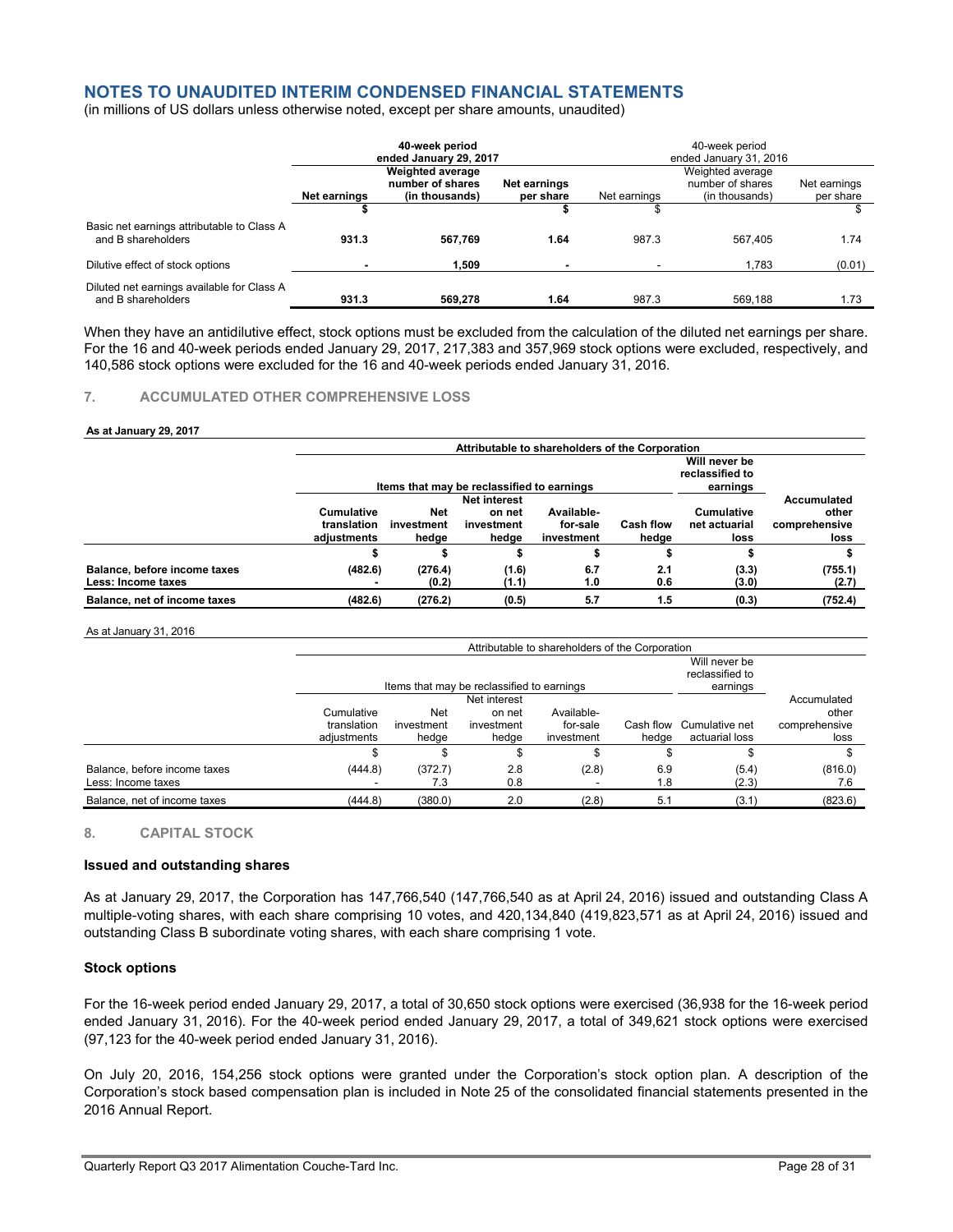(in millions of US dollars unless otherwise noted, except per share amounts, unaudited)

|                                                                  |              | 40-week period<br>ended January 29, 2017                      |                           | 40-week period<br>ended January 31, 2016 |                                                        |                           |  |
|------------------------------------------------------------------|--------------|---------------------------------------------------------------|---------------------------|------------------------------------------|--------------------------------------------------------|---------------------------|--|
|                                                                  | Net earnings | <b>Weighted average</b><br>number of shares<br>(in thousands) | Net earnings<br>per share | Net earnings                             | Weighted average<br>number of shares<br>(in thousands) | Net earnings<br>per share |  |
|                                                                  |              |                                                               |                           | ъ                                        |                                                        |                           |  |
| Basic net earnings attributable to Class A<br>and B shareholders | 931.3        | 567.769                                                       | 1.64                      | 987.3                                    | 567,405                                                | 1.74                      |  |
| Dilutive effect of stock options                                 |              | 1.509                                                         |                           |                                          | 1.783                                                  | (0.01)                    |  |
| Diluted net earnings available for Class A<br>and B shareholders | 931.3        | 569.278                                                       | 1.64                      | 987.3                                    | 569,188                                                | 1.73                      |  |

When they have an antidilutive effect, stock options must be excluded from the calculation of the diluted net earnings per share. For the 16 and 40-week periods ended January 29, 2017, 217,383 and 357,969 stock options were excluded, respectively, and 140,586 stock options were excluded for the 16 and 40-week periods ended January 31, 2016.

#### **7. ACCUMULATED OTHER COMPREHENSIVE LOSS**

#### **As at January 29, 2017**

|                                                    | Attributable to shareholders of the Corporation |                                            |                                                      |                                      |                           |                                            |                                               |  |  |
|----------------------------------------------------|-------------------------------------------------|--------------------------------------------|------------------------------------------------------|--------------------------------------|---------------------------|--------------------------------------------|-----------------------------------------------|--|--|
|                                                    |                                                 | Items that may be reclassified to earnings | Will never be<br>reclassified to<br>earnings         |                                      |                           |                                            |                                               |  |  |
|                                                    | <b>Cumulative</b><br>translation<br>adiustments | Net<br>investment<br>hedge                 | <b>Net interest</b><br>on net<br>investment<br>hedae | Available-<br>for-sale<br>investment | <b>Cash flow</b><br>hedge | <b>Cumulative</b><br>net actuarial<br>loss | Accumulated<br>other<br>comprehensive<br>loss |  |  |
|                                                    |                                                 |                                            |                                                      |                                      |                           |                                            |                                               |  |  |
| Balance, before income taxes<br>Less: Income taxes | (482.6)                                         | (276.4)<br>(0.2)                           | (1.6)<br>(1.1)                                       | 6.7<br>1.0                           | 2.1<br>0.6                | (3.3)<br>(3.0)                             | (755.1)<br>(2.7)                              |  |  |
| Balance, net of income taxes                       | (482.6)                                         | (276.2)                                    | (0.5)                                                | 5.7                                  | 1.5                       | (0.3)                                      | (752.4)                                       |  |  |

#### As at January 31, 2016

|                                                    |                                          | Attributable to shareholders of the Corporation |                                               |                                      |                                               |                |                |  |  |  |  |
|----------------------------------------------------|------------------------------------------|-------------------------------------------------|-----------------------------------------------|--------------------------------------|-----------------------------------------------|----------------|----------------|--|--|--|--|
|                                                    |                                          | Items that may be reclassified to earnings      | Will never be<br>reclassified to<br>earnings  |                                      |                                               |                |                |  |  |  |  |
|                                                    | Cumulative<br>translation<br>adiustments | <b>Net</b><br>investment<br>hedae               | Net interest<br>on net<br>investment<br>hedae | Available-<br>for-sale<br>investment | Accumulated<br>other<br>comprehensive<br>loss |                |                |  |  |  |  |
|                                                    |                                          |                                                 |                                               |                                      |                                               |                |                |  |  |  |  |
| Balance, before income taxes<br>Less: Income taxes | (444.8)                                  | (372.7)<br>7.3                                  | 2.8<br>0.8                                    | (2.8)                                | 6.9<br>1.8                                    | (5.4)<br>(2.3) | (816.0)<br>7.6 |  |  |  |  |
| Balance, net of income taxes                       | (444.8)                                  | (380.0)                                         | 2.0                                           | (2.8)                                | 5.1                                           | (3.1)          | (823.6)        |  |  |  |  |

#### **8. CAPITAL STOCK**

#### **Issued and outstanding shares**

As at January 29, 2017, the Corporation has 147,766,540 (147,766,540 as at April 24, 2016) issued and outstanding Class A multiple-voting shares, with each share comprising 10 votes, and 420,134,840 (419,823,571 as at April 24, 2016) issued and outstanding Class B subordinate voting shares, with each share comprising 1 vote.

#### **Stock options**

For the 16-week period ended January 29, 2017, a total of 30,650 stock options were exercised (36,938 for the 16-week period ended January 31, 2016). For the 40-week period ended January 29, 2017, a total of 349,621 stock options were exercised (97,123 for the 40-week period ended January 31, 2016).

On July 20, 2016, 154,256 stock options were granted under the Corporation's stock option plan. A description of the Corporation's stock based compensation plan is included in Note 25 of the consolidated financial statements presented in the 2016 Annual Report.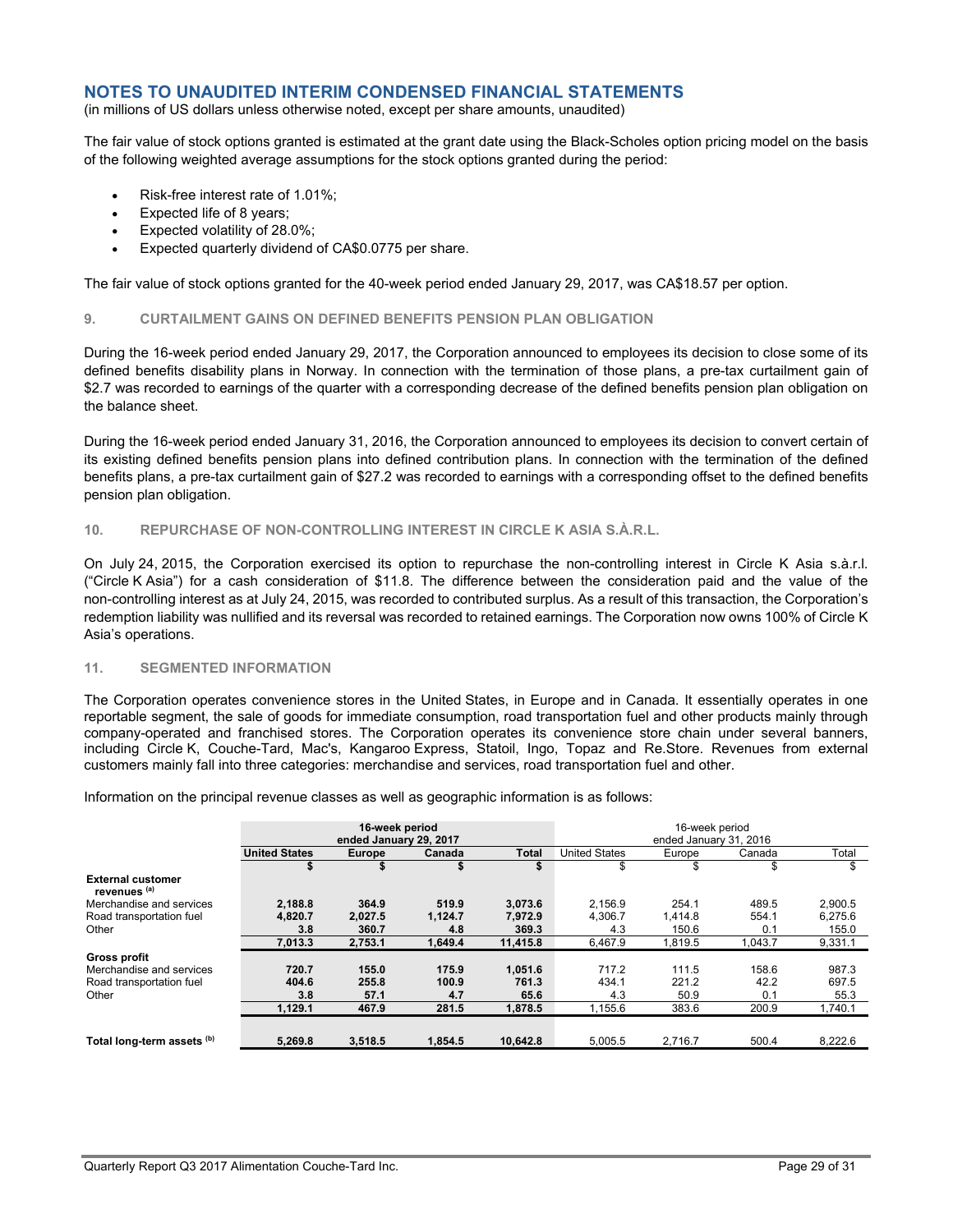(in millions of US dollars unless otherwise noted, except per share amounts, unaudited)

The fair value of stock options granted is estimated at the grant date using the Black-Scholes option pricing model on the basis of the following weighted average assumptions for the stock options granted during the period:

- Risk-free interest rate of 1.01%;
- Expected life of 8 years;
- Expected volatility of 28.0%;
- Expected quarterly dividend of CA\$0.0775 per share.

The fair value of stock options granted for the 40-week period ended January 29, 2017, was CA\$18.57 per option.

#### **9. CURTAILMENT GAINS ON DEFINED BENEFITS PENSION PLAN OBLIGATION**

During the 16-week period ended January 29, 2017, the Corporation announced to employees its decision to close some of its defined benefits disability plans in Norway. In connection with the termination of those plans, a pre-tax curtailment gain of \$2.7 was recorded to earnings of the quarter with a corresponding decrease of the defined benefits pension plan obligation on the balance sheet.

During the 16-week period ended January 31, 2016, the Corporation announced to employees its decision to convert certain of its existing defined benefits pension plans into defined contribution plans. In connection with the termination of the defined benefits plans, a pre-tax curtailment gain of \$27.2 was recorded to earnings with a corresponding offset to the defined benefits pension plan obligation.

**10. REPURCHASE OF NON-CONTROLLING INTEREST IN CIRCLE K ASIA S.À.R.L.**

On July 24, 2015, the Corporation exercised its option to repurchase the non-controlling interest in Circle K Asia s.à.r.l. ("Circle K Asia") for a cash consideration of \$11.8. The difference between the consideration paid and the value of the non-controlling interest as at July 24, 2015, was recorded to contributed surplus. As a result of this transaction, the Corporation's redemption liability was nullified and its reversal was recorded to retained earnings. The Corporation now owns 100% of Circle K Asia's operations.

#### **11. SEGMENTED INFORMATION**

The Corporation operates convenience stores in the United States, in Europe and in Canada. It essentially operates in one reportable segment, the sale of goods for immediate consumption, road transportation fuel and other products mainly through company-operated and franchised stores. The Corporation operates its convenience store chain under several banners, including Circle K, Couche-Tard, Mac's, Kangaroo Express, Statoil, Ingo, Topaz and Re.Store. Revenues from external customers mainly fall into three categories: merchandise and services, road transportation fuel and other.

Information on the principal revenue classes as well as geographic information is as follows:

|                                                     |                      | 16-week period<br>ended January 29, 2017 |         |          | 16-week period<br>ended January 31, 2016 |         |         |         |  |
|-----------------------------------------------------|----------------------|------------------------------------------|---------|----------|------------------------------------------|---------|---------|---------|--|
|                                                     | <b>United States</b> | <b>Europe</b>                            | Canada  | Total    | <b>United States</b>                     | Europe  | Canada  | Total   |  |
|                                                     | \$                   | \$                                       |         |          | \$                                       | \$      | \$      | \$      |  |
| <b>External customer</b><br>revenues <sup>(a)</sup> |                      |                                          |         |          |                                          |         |         |         |  |
| Merchandise and services                            | 2.188.8              | 364.9                                    | 519.9   | 3.073.6  | 2.156.9                                  | 254.1   | 489.5   | 2.900.5 |  |
| Road transportation fuel                            | 4.820.7              | 2.027.5                                  | 1,124.7 | 7.972.9  | 4.306.7                                  | 1.414.8 | 554.1   | 6.275.6 |  |
| Other                                               | 3.8                  | 360.7                                    | 4.8     | 369.3    | 4.3                                      | 150.6   | 0.1     | 155.0   |  |
|                                                     | 7,013.3              | 2,753.1                                  | 1,649.4 | 11,415.8 | 6.467.9                                  | 1,819.5 | 1,043.7 | 9,331.1 |  |
| Gross profit                                        |                      |                                          |         |          |                                          |         |         |         |  |
| Merchandise and services                            | 720.7                | 155.0                                    | 175.9   | 1.051.6  | 717.2                                    | 111.5   | 158.6   | 987.3   |  |
| Road transportation fuel                            | 404.6                | 255.8                                    | 100.9   | 761.3    | 434.1                                    | 221.2   | 42.2    | 697.5   |  |
| Other                                               | 3.8                  | 57.1                                     | 4.7     | 65.6     | 4.3                                      | 50.9    | 0.1     | 55.3    |  |
|                                                     | 1,129.1              | 467.9                                    | 281.5   | 1.878.5  | 1.155.6                                  | 383.6   | 200.9   | 1.740.1 |  |
| Total long-term assets (b)                          | 5,269.8              | 3,518.5                                  | 1,854.5 | 10,642.8 | 5.005.5                                  | 2,716.7 | 500.4   | 8,222.6 |  |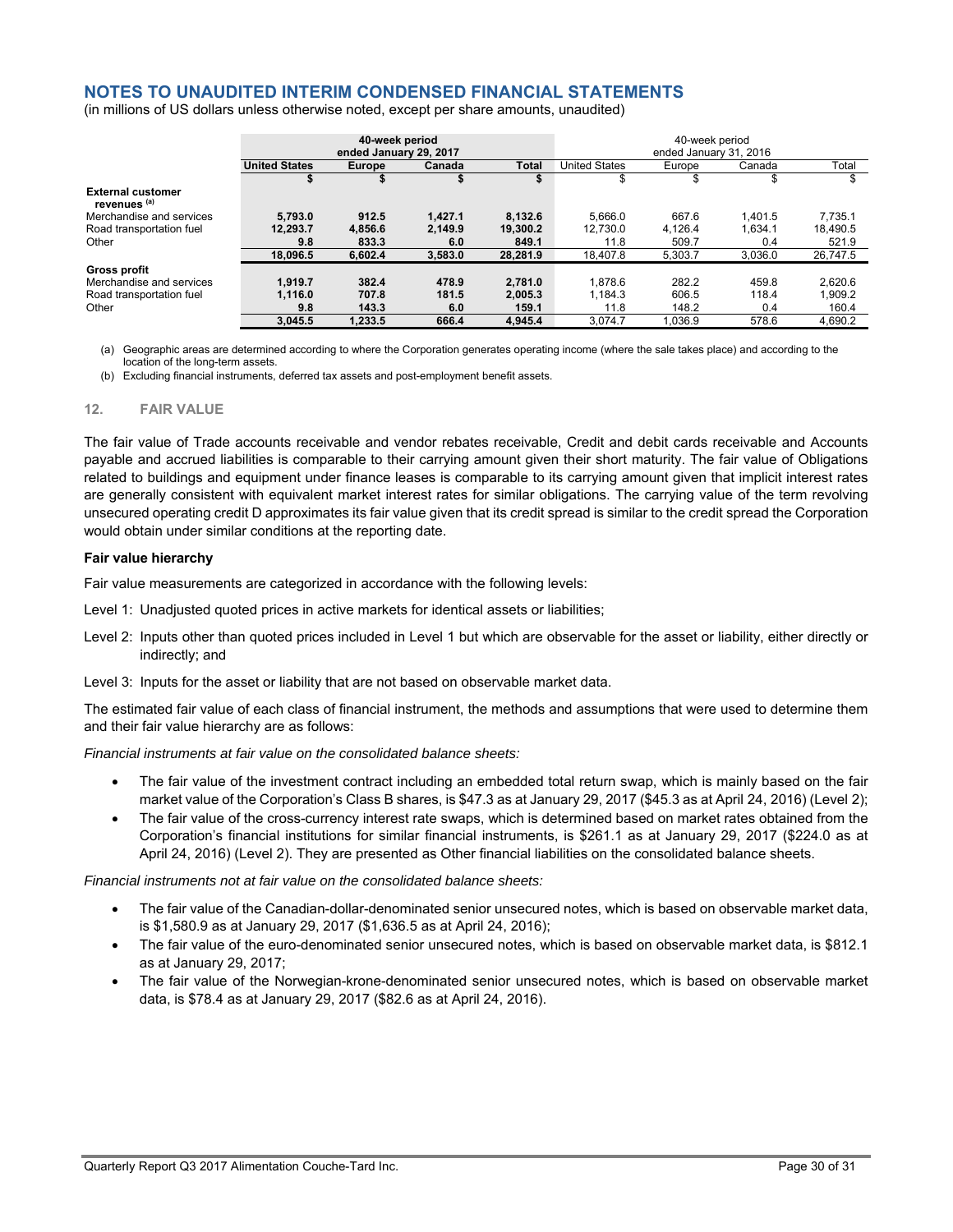(in millions of US dollars unless otherwise noted, except per share amounts, unaudited)

|                                          |                      | 40-week period<br>ended January 29, 2017 |         |          |                      | 40-week period<br>ended January 31, 2016 |         |          |
|------------------------------------------|----------------------|------------------------------------------|---------|----------|----------------------|------------------------------------------|---------|----------|
|                                          | <b>United States</b> | <b>Europe</b>                            | Canada  | Total    | <b>United States</b> | Europe                                   | Canada  | Total    |
|                                          |                      | S                                        |         |          | \$                   | S                                        | S       | \$       |
| <b>External customer</b><br>revenues (a) |                      |                                          |         |          |                      |                                          |         |          |
| Merchandise and services                 | 5,793.0              | 912.5                                    | 1.427.1 | 8,132.6  | 5.666.0              | 667.6                                    | 1.401.5 | 7.735.1  |
| Road transportation fuel                 | 12,293.7             | 4,856.6                                  | 2.149.9 | 19.300.2 | 12.730.0             | 4.126.4                                  | 1.634.1 | 18.490.5 |
| Other                                    | 9.8                  | 833.3                                    | 6.0     | 849.1    | 11.8                 | 509.7                                    | 0.4     | 521.9    |
|                                          | 18.096.5             | 6.602.4                                  | 3,583.0 | 28.281.9 | 18.407.8             | 5.303.7                                  | 3.036.0 | 26.747.5 |
| Gross profit                             |                      |                                          |         |          |                      |                                          |         |          |
| Merchandise and services                 | 1.919.7              | 382.4                                    | 478.9   | 2,781.0  | 1.878.6              | 282.2                                    | 459.8   | 2.620.6  |
| Road transportation fuel                 | 1.116.0              | 707.8                                    | 181.5   | 2.005.3  | 1.184.3              | 606.5                                    | 118.4   | .909.2   |
| Other                                    | 9.8                  | 143.3                                    | 6.0     | 159.1    | 11.8                 | 148.2                                    | 0.4     | 160.4    |
|                                          | 3.045.5              | 1.233.5                                  | 666.4   | 4.945.4  | 3.074.7              | 1.036.9                                  | 578.6   | 4.690.2  |

(a) Geographic areas are determined according to where the Corporation generates operating income (where the sale takes place) and according to the location of the long-term assets.

(b) Excluding financial instruments, deferred tax assets and post-employment benefit assets.

#### **12. FAIR VALUE**

The fair value of Trade accounts receivable and vendor rebates receivable, Credit and debit cards receivable and Accounts payable and accrued liabilities is comparable to their carrying amount given their short maturity. The fair value of Obligations related to buildings and equipment under finance leases is comparable to its carrying amount given that implicit interest rates are generally consistent with equivalent market interest rates for similar obligations. The carrying value of the term revolving unsecured operating credit D approximates its fair value given that its credit spread is similar to the credit spread the Corporation would obtain under similar conditions at the reporting date.

#### **Fair value hierarchy**

Fair value measurements are categorized in accordance with the following levels:

- Level 1: Unadjusted quoted prices in active markets for identical assets or liabilities;
- Level 2: Inputs other than quoted prices included in Level 1 but which are observable for the asset or liability, either directly or indirectly; and
- Level 3: Inputs for the asset or liability that are not based on observable market data.

The estimated fair value of each class of financial instrument, the methods and assumptions that were used to determine them and their fair value hierarchy are as follows:

*Financial instruments at fair value on the consolidated balance sheets:* 

- The fair value of the investment contract including an embedded total return swap, which is mainly based on the fair market value of the Corporation's Class B shares, is \$47.3 as at January 29, 2017 (\$45.3 as at April 24, 2016) (Level 2);
- The fair value of the cross-currency interest rate swaps, which is determined based on market rates obtained from the Corporation's financial institutions for similar financial instruments, is \$261.1 as at January 29, 2017 (\$224.0 as at April 24, 2016) (Level 2). They are presented as Other financial liabilities on the consolidated balance sheets.

*Financial instruments not at fair value on the consolidated balance sheets:* 

- The fair value of the Canadian-dollar-denominated senior unsecured notes, which is based on observable market data, is \$1,580.9 as at January 29, 2017 (\$1,636.5 as at April 24, 2016);
- The fair value of the euro-denominated senior unsecured notes, which is based on observable market data, is \$812.1 as at January 29, 2017;
- The fair value of the Norwegian-krone-denominated senior unsecured notes, which is based on observable market data, is \$78.4 as at January 29, 2017 (\$82.6 as at April 24, 2016).